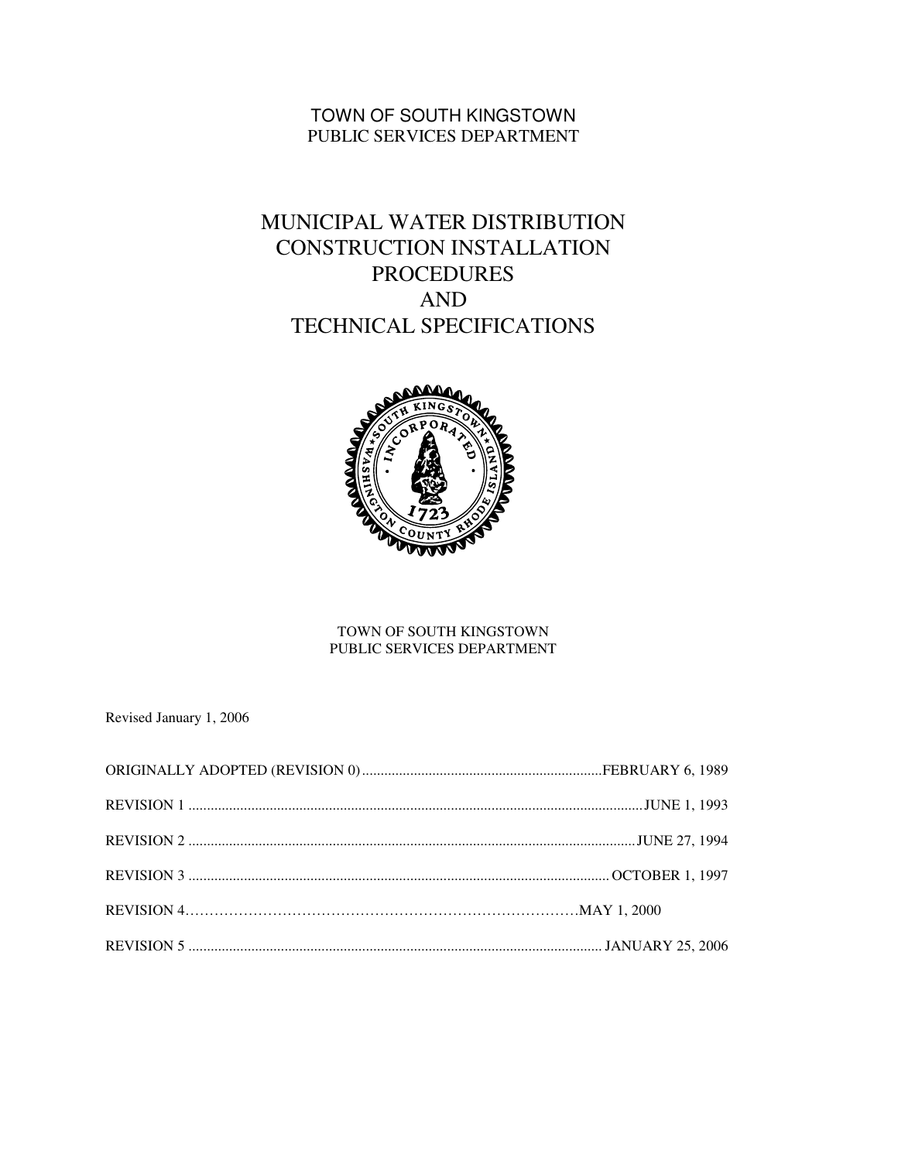# TOWN OF SOUTH KINGSTOWN PUBLIC SERVICES DEPARTMENT

# MUNICIPAL WATER DISTRIBUTION CONSTRUCTION INSTALLATION PROCEDURES AND TECHNICAL SPECIFICATIONS



#### TOWN OF SOUTH KINGSTOWN PUBLIC SERVICES DEPARTMENT

Revised January 1, 2006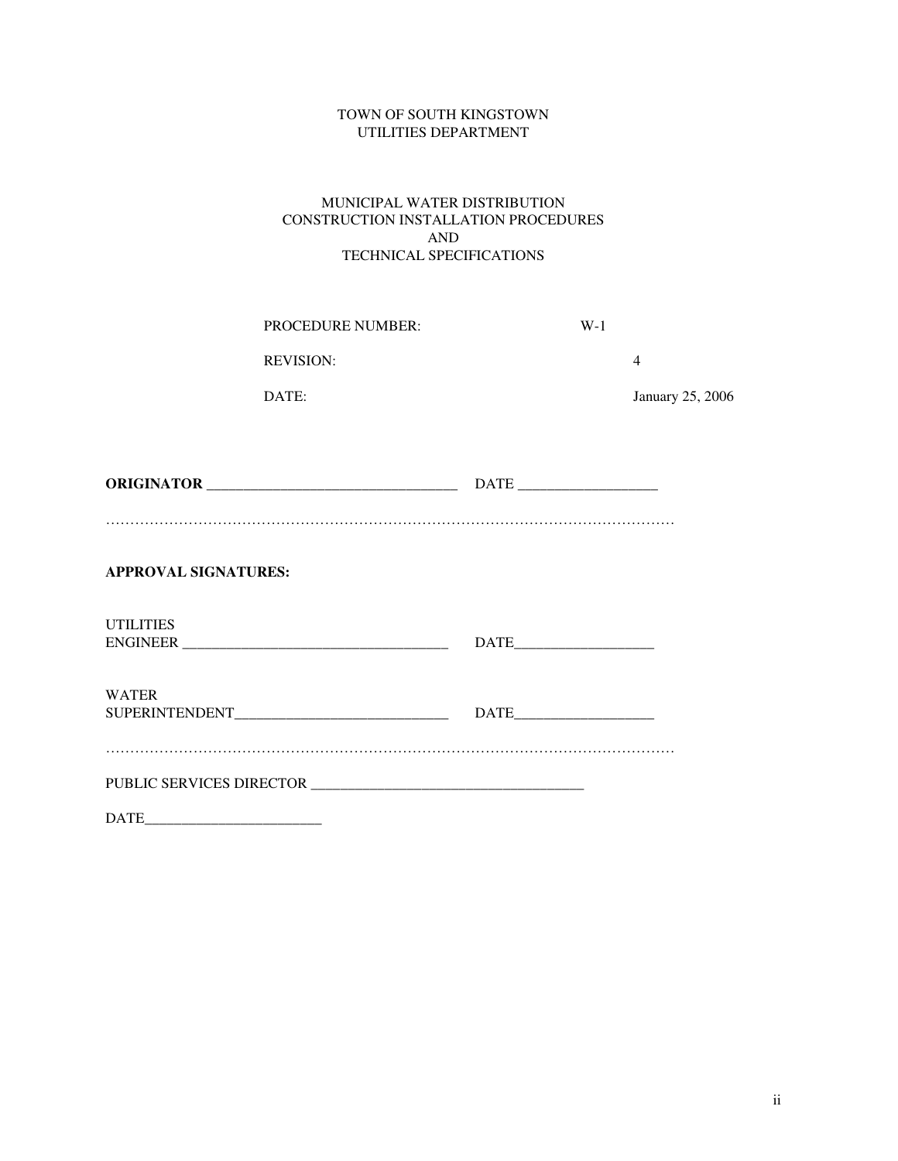#### TOWN OF SOUTH KINGSTOWN UTILITIES DEPARTMENT

#### MUNICIPAL WATER DISTRIBUTION CONSTRUCTION INSTALLATION PROCEDURES AND TECHNICAL SPECIFICATIONS

| <b>PROCEDURE NUMBER:</b> | W-1 |                         |
|--------------------------|-----|-------------------------|
| <b>REVISION:</b>         |     |                         |
| DATE:                    |     | <b>January 25, 2006</b> |
|                          |     |                         |

| <b>ORIGINATOR</b> |  | DATE |  |
|-------------------|--|------|--|
|                   |  |      |  |
|                   |  |      |  |

#### **APPROVAL SIGNATURES:**

| <b>UTILITIES</b><br><b>ENGINEER</b> | <b>DATE</b><br><u> Alexandria de la contrada de la contrada de la contrada de la contrada de la contrada de la contrada de la c</u> |
|-------------------------------------|-------------------------------------------------------------------------------------------------------------------------------------|
| <b>WATER</b><br>SUPERINTENDENT      | <b>DATE</b>                                                                                                                         |
| PUBLIC SERVICES DIRECTOR            |                                                                                                                                     |

DATE\_\_\_\_\_\_\_\_\_\_\_\_\_\_\_\_\_\_\_\_\_\_\_\_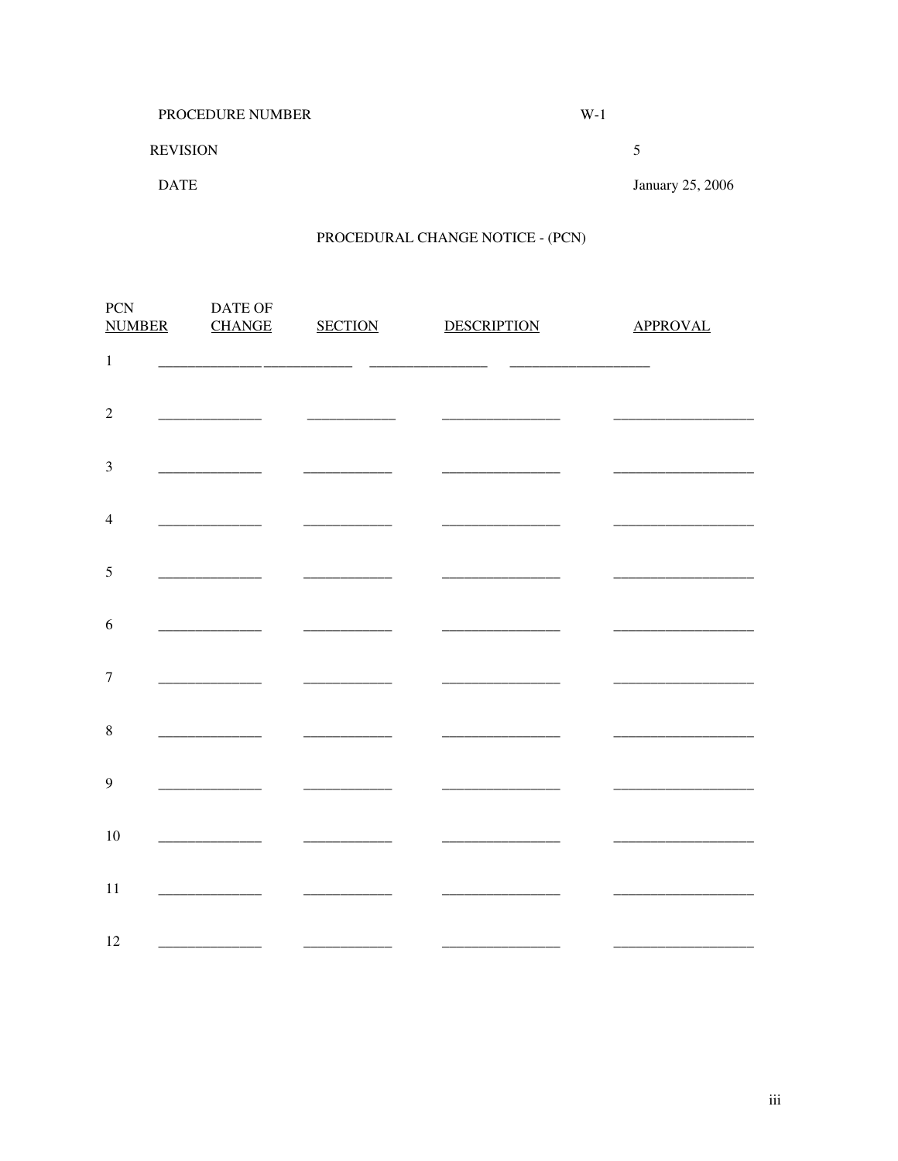| <b>PROCEDURE NUMBER</b> | W-1 |                  |
|-------------------------|-----|------------------|
| <b>REVISION</b>         |     |                  |
| <b>DATE</b>             |     | January 25, 2006 |

# PROCEDURAL CHANGE NOTICE - (PCN)

| PCN<br><b>NUMBER</b> | DATE OF<br><b>CHANGE</b> | <b>SECTION</b> | <b>DESCRIPTION</b> | <b>APPROVAL</b> |
|----------------------|--------------------------|----------------|--------------------|-----------------|
| $\,1\,$              |                          |                |                    |                 |
| $\sqrt{2}$           |                          |                |                    |                 |
| $\mathfrak{Z}$       |                          |                |                    |                 |
| $\overline{4}$       |                          |                |                    |                 |
| 5                    |                          |                |                    |                 |
| 6                    |                          |                |                    |                 |
| $\overline{7}$       |                          |                |                    |                 |
| $\,8\,$              |                          |                |                    |                 |
| 9                    |                          |                |                    |                 |
| 10                   |                          |                |                    |                 |
| 11                   |                          |                |                    |                 |
| 12                   |                          |                |                    |                 |
|                      |                          |                |                    |                 |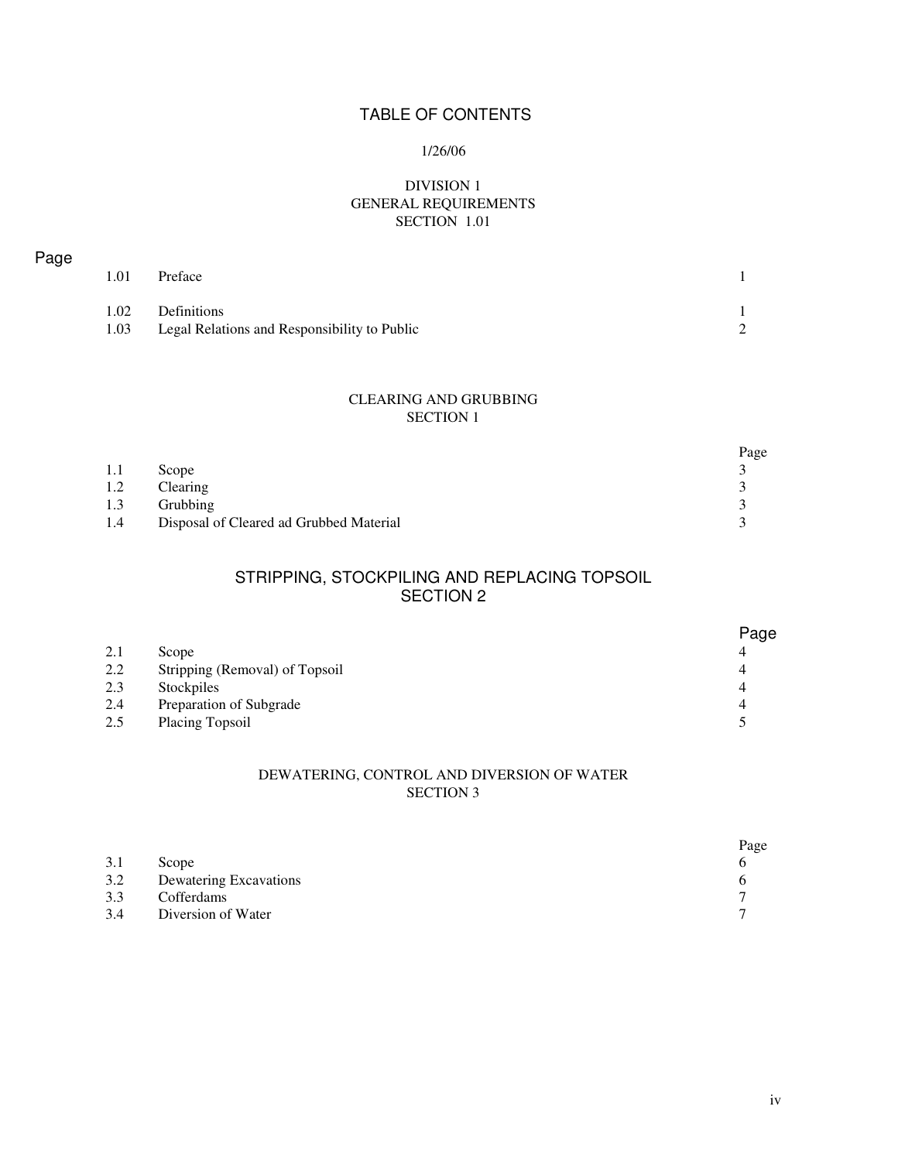# TABLE OF CONTENTS

#### 1/26/06

#### DIVISION 1 GENERAL REQUIREMENTS SECTION 1.01

| Page |      |                                              |                |
|------|------|----------------------------------------------|----------------|
|      | 1.01 | Preface                                      |                |
|      |      |                                              |                |
|      | 1.02 | Definitions                                  |                |
|      | 1.03 | Legal Relations and Responsibility to Public | $\overline{2}$ |

#### CLEARING AND GRUBBING SECTION 1

|     |                                         | Page |
|-----|-----------------------------------------|------|
| 1.1 | Scope                                   |      |
| 1.2 | Clearing                                |      |
| 1.3 | Grubbing                                |      |
| 1.4 | Disposal of Cleared ad Grubbed Material |      |

## STRIPPING, STOCKPILING AND REPLACING TOPSOIL SECTION 2

|     |                                | Page |
|-----|--------------------------------|------|
| 2.1 | Scope                          | 4    |
| 2.2 | Stripping (Removal) of Topsoil | 4    |
| 2.3 | Stockpiles                     | 4    |
| 2.4 | Preparation of Subgrade        | 4    |
| 2.5 | Placing Topsoil                |      |

#### DEWATERING, CONTROL AND DIVERSION OF WATER SECTION 3

|     |                        | Page |
|-----|------------------------|------|
| 3.1 | Scope                  |      |
| 3.2 | Dewatering Excavations |      |
| 3.3 | Cofferdams             |      |
| 3.4 | Diversion of Water     |      |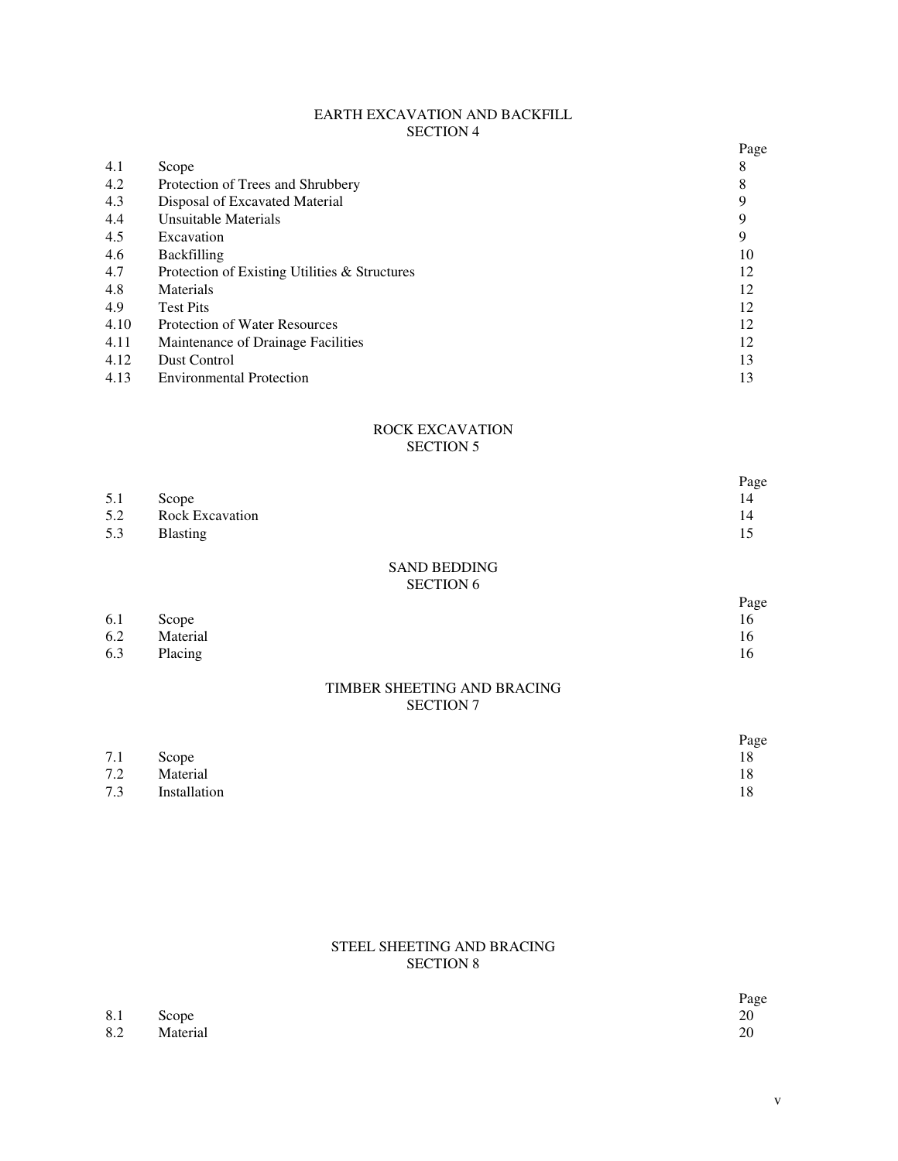#### EARTH EXCAVATION AND BACKFILL SECTION 4

|      |                                               | Page |
|------|-----------------------------------------------|------|
| 4.1  | Scope                                         | 8    |
| 4.2  | Protection of Trees and Shrubbery             | 8    |
| 4.3  | Disposal of Excavated Material                |      |
| 4.4  | Unsuitable Materials                          | 9    |
| 4.5  | Excavation                                    | 9    |
| 4.6  | <b>Backfilling</b>                            | 10   |
| 4.7  | Protection of Existing Utilities & Structures | 12   |
| 4.8  | Materials                                     | 12   |
| 4.9  | <b>Test Pits</b>                              | 12   |
| 4.10 | <b>Protection of Water Resources</b>          | 12   |
| 4.11 | Maintenance of Drainage Facilities            | 12   |
| 4.12 | Dust Control                                  | 13   |
| 4.13 | <b>Environmental Protection</b>               | 13   |

#### ROCK EXCAVATION SECTION 5

|     |                        | Page |
|-----|------------------------|------|
| 5.1 | Scope                  | 14   |
| 5.2 | <b>Rock Excavation</b> | 14   |
| 5.3 | <b>Blasting</b>        |      |

#### SAND BEDDING SECTION 6

|     |              | Page |
|-----|--------------|------|
| 6.1 | Scope        | 16   |
|     | 6.2 Material | 16   |
| 6.3 | Placing      | 16   |

#### TIMBER SHEETING AND BRACING SECTION 7

|     |              | Page |
|-----|--------------|------|
| 7.1 | Scope        |      |
| 7.2 | Material     |      |
| 7.3 | Installation |      |

#### STEEL SHEETING AND BRACING SECTION 8

 $8.1$  Scope 20 8.2 Material 20

Page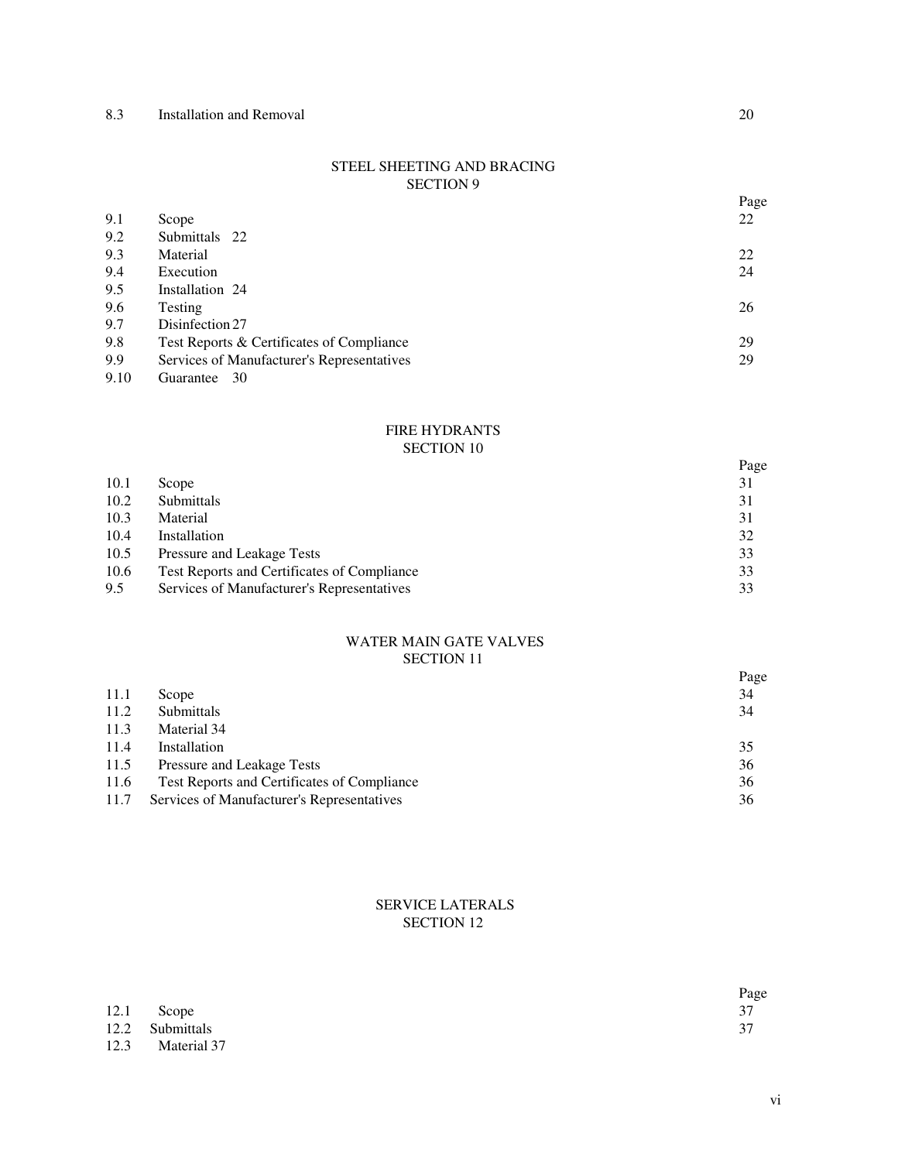#### STEEL SHEETING AND BRACING SECTION 9

|      |                                            | Page |
|------|--------------------------------------------|------|
| 9.1  | Scope                                      | 22   |
| 9.2  | Submittals 22                              |      |
| 9.3  | Material                                   | 22   |
| 9.4  | Execution                                  | 24   |
| 9.5  | Installation 24                            |      |
| 9.6  | Testing                                    | 26   |
| 9.7  | Disinfection 27                            |      |
| 9.8  | Test Reports & Certificates of Compliance  | 29   |
| 9.9  | Services of Manufacturer's Representatives | 29   |
| 9.10 | -30<br>Guarantee                           |      |

#### FIRE HYDRANTS SECTION 10

|      |                                             | Page |
|------|---------------------------------------------|------|
| 10.1 | Scope                                       | 31   |
| 10.2 | Submittals                                  | 31   |
| 10.3 | Material                                    | 31   |
| 10.4 | Installation                                | 32   |
| 10.5 | Pressure and Leakage Tests                  | 33   |
| 10.6 | Test Reports and Certificates of Compliance | 33   |
| 9.5  | Services of Manufacturer's Representatives  | 33   |

#### WATER MAIN GATE VALVES SECTION 11

|      |                                             | Page |
|------|---------------------------------------------|------|
| 11.1 | Scope                                       | 34   |
| 11.2 | Submittals                                  | 34   |
| 11.3 | Material 34                                 |      |
| 11.4 | Installation                                | 35   |
| 11.5 | Pressure and Leakage Tests                  | 36   |
| 11.6 | Test Reports and Certificates of Compliance | 36   |
| 11.7 | Services of Manufacturer's Representatives  | 36   |

#### SERVICE LATERALS SECTION 12

|                  | Page |
|------------------|------|
| $12.1$ Scope     | 37   |
| 12.2 Submittals  | 37   |
| 12.3 Material 37 |      |

vi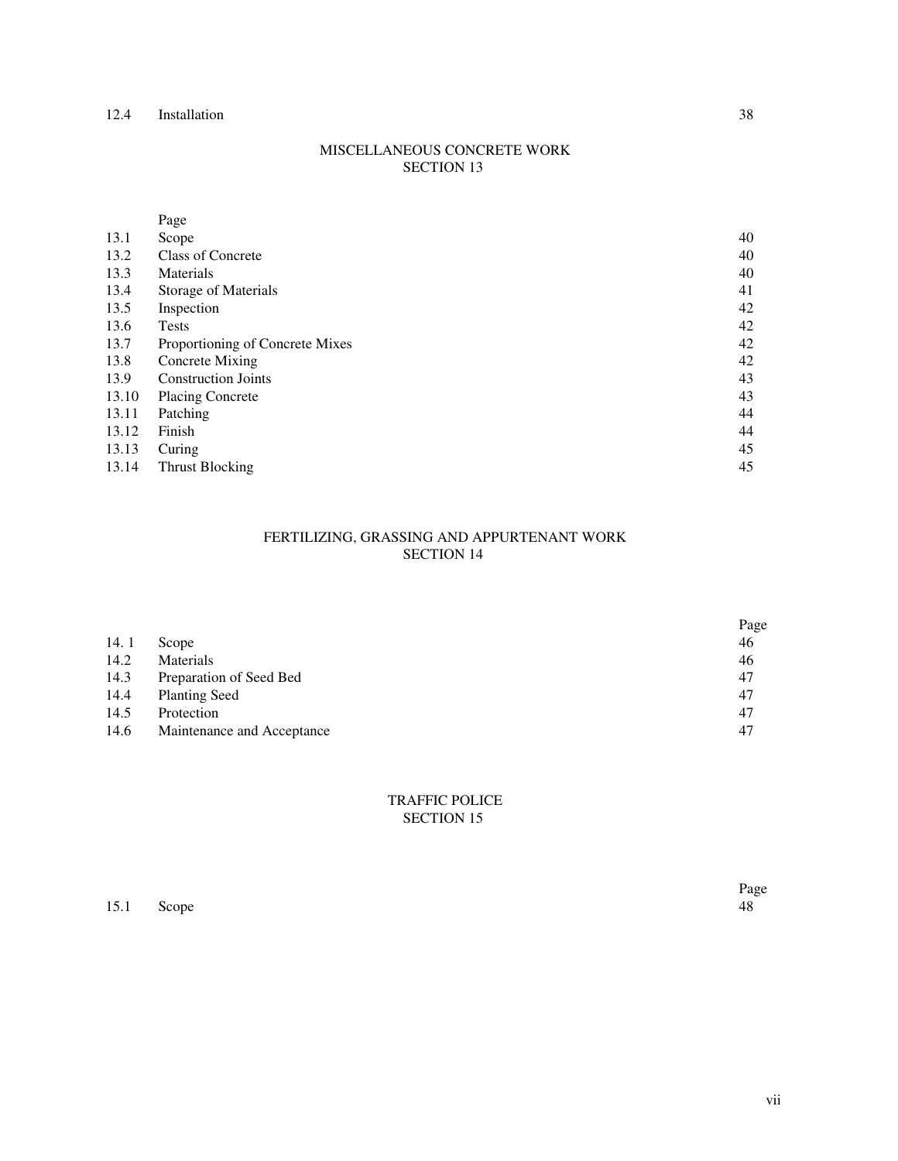#### MISCELLANEOUS CONCRETE WORK SECTION 13

|       | Page                            |    |
|-------|---------------------------------|----|
| 13.1  | Scope                           | 40 |
| 13.2  | <b>Class of Concrete</b>        | 40 |
| 13.3  | Materials                       | 40 |
| 13.4  | Storage of Materials            | 41 |
| 13.5  | Inspection                      | 42 |
| 13.6  | <b>Tests</b>                    | 42 |
| 13.7  | Proportioning of Concrete Mixes | 42 |
| 13.8  | Concrete Mixing                 | 42 |
| 13.9  | <b>Construction Joints</b>      | 43 |
| 13.10 | <b>Placing Concrete</b>         | 43 |
| 13.11 | Patching                        | 44 |
| 13.12 | Finish                          | 44 |
| 13.13 | Curing                          | 45 |
| 13.14 | Thrust Blocking                 | 45 |

#### FERTILIZING, GRASSING AND APPURTENANT WORK SECTION 14

|      |                            | Page |
|------|----------------------------|------|
| 14.1 | Scope                      | 46   |
| 14.2 | <b>Materials</b>           | 46   |
| 14.3 | Preparation of Seed Bed    | 47   |
| 14.4 | <b>Planting Seed</b>       | 47   |
| 14.5 | Protection                 | 47   |
| 14.6 | Maintenance and Acceptance | 47   |

#### TRAFFIC POLICE SECTION 15

15.1 Scope 48

Page<br>48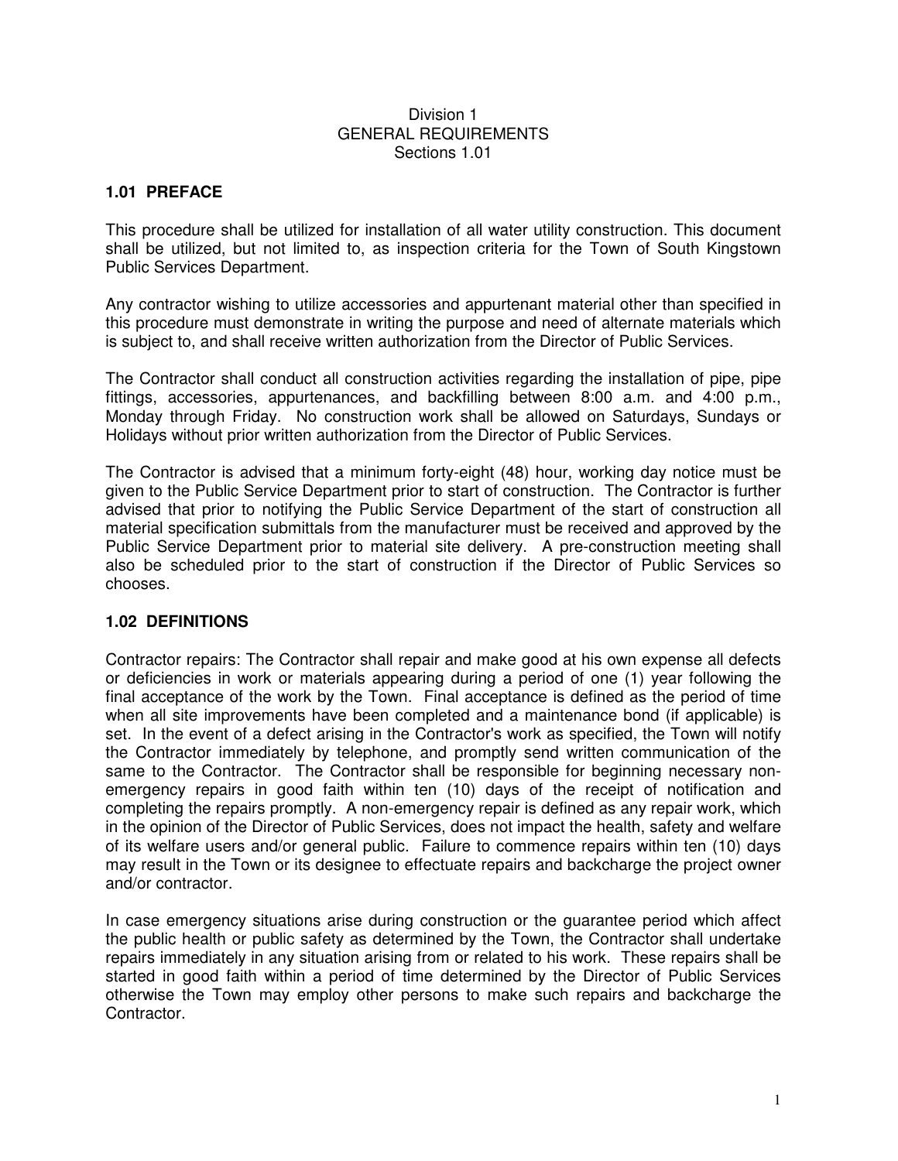#### Division 1 GENERAL REQUIREMENTS Sections 1.01

# **1.01 PREFACE**

This procedure shall be utilized for installation of all water utility construction. This document shall be utilized, but not limited to, as inspection criteria for the Town of South Kingstown Public Services Department.

Any contractor wishing to utilize accessories and appurtenant material other than specified in this procedure must demonstrate in writing the purpose and need of alternate materials which is subject to, and shall receive written authorization from the Director of Public Services.

The Contractor shall conduct all construction activities regarding the installation of pipe, pipe fittings, accessories, appurtenances, and backfilling between 8:00 a.m. and 4:00 p.m., Monday through Friday. No construction work shall be allowed on Saturdays, Sundays or Holidays without prior written authorization from the Director of Public Services.

The Contractor is advised that a minimum forty-eight (48) hour, working day notice must be given to the Public Service Department prior to start of construction. The Contractor is further advised that prior to notifying the Public Service Department of the start of construction all material specification submittals from the manufacturer must be received and approved by the Public Service Department prior to material site delivery. A pre-construction meeting shall also be scheduled prior to the start of construction if the Director of Public Services so chooses.

#### **1.02 DEFINITIONS**

Contractor repairs: The Contractor shall repair and make good at his own expense all defects or deficiencies in work or materials appearing during a period of one (1) year following the final acceptance of the work by the Town. Final acceptance is defined as the period of time when all site improvements have been completed and a maintenance bond (if applicable) is set. In the event of a defect arising in the Contractor's work as specified, the Town will notify the Contractor immediately by telephone, and promptly send written communication of the same to the Contractor. The Contractor shall be responsible for beginning necessary nonemergency repairs in good faith within ten (10) days of the receipt of notification and completing the repairs promptly. A non-emergency repair is defined as any repair work, which in the opinion of the Director of Public Services, does not impact the health, safety and welfare of its welfare users and/or general public. Failure to commence repairs within ten (10) days may result in the Town or its designee to effectuate repairs and backcharge the project owner and/or contractor.

In case emergency situations arise during construction or the guarantee period which affect the public health or public safety as determined by the Town, the Contractor shall undertake repairs immediately in any situation arising from or related to his work. These repairs shall be started in good faith within a period of time determined by the Director of Public Services otherwise the Town may employ other persons to make such repairs and backcharge the Contractor.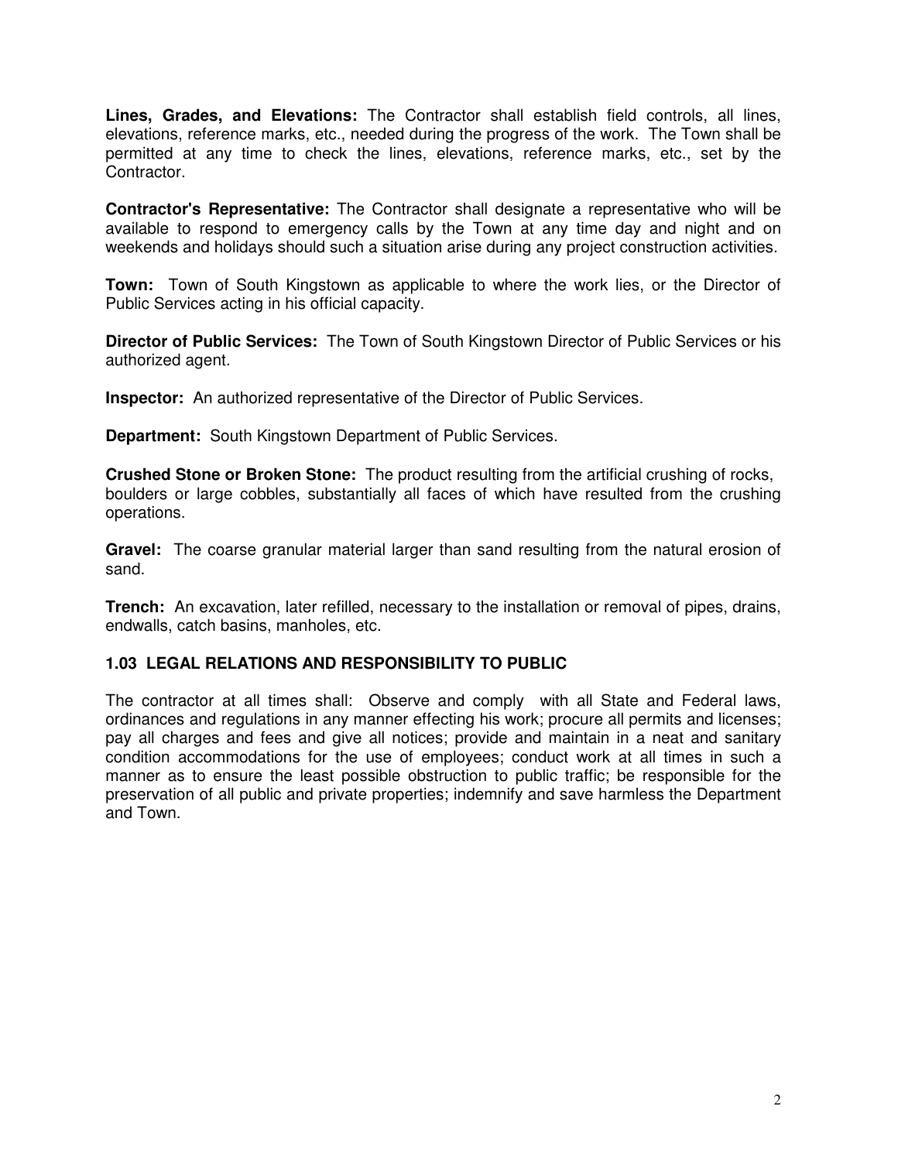**Lines, Grades, and Elevations:** The Contractor shall establish field controls, all lines, elevations, reference marks, etc., needed during the progress of the work. The Town shall be permitted at any time to check the lines, elevations, reference marks, etc., set by the Contractor.

**Contractor's Representative:** The Contractor shall designate a representative who will be available to respond to emergency calls by the Town at any time day and night and on weekends and holidays should such a situation arise during any project construction activities.

**Town:** Town of South Kingstown as applicable to where the work lies, or the Director of Public Services acting in his official capacity.

**Director of Public Services:** The Town of South Kingstown Director of Public Services or his authorized agent.

**Inspector:** An authorized representative of the Director of Public Services.

**Department:** South Kingstown Department of Public Services.

**Crushed Stone or Broken Stone:** The product resulting from the artificial crushing of rocks, boulders or large cobbles, substantially all faces of which have resulted from the crushing operations.

**Gravel:** The coarse granular material larger than sand resulting from the natural erosion of sand.

**Trench:** An excavation, later refilled, necessary to the installation or removal of pipes, drains, endwalls, catch basins, manholes, etc.

# **1.03 LEGAL RELATIONS AND RESPONSIBILITY TO PUBLIC**

The contractor at all times shall: Observe and comply with all State and Federal laws, ordinances and regulations in any manner effecting his work; procure all permits and licenses; pay all charges and fees and give all notices; provide and maintain in a neat and sanitary condition accommodations for the use of employees; conduct work at all times in such a manner as to ensure the least possible obstruction to public traffic; be responsible for the preservation of all public and private properties; indemnify and save harmless the Department and Town.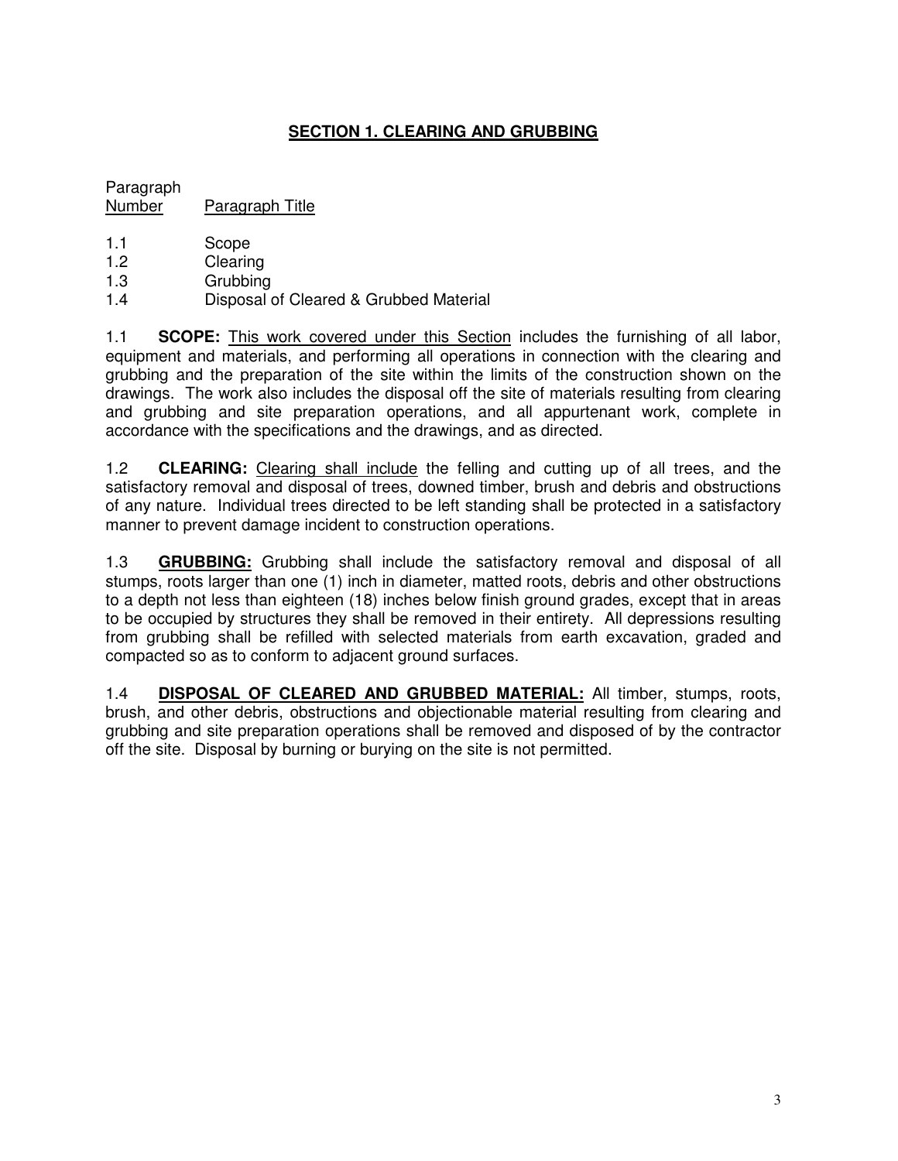# **SECTION 1. CLEARING AND GRUBBING**

Paragraph Number Paragraph Title

- 1.1 Scope
- 1.2 Clearing
- 1.3 Grubbing
- 1.4 Disposal of Cleared & Grubbed Material

1.1 **SCOPE:** This work covered under this Section includes the furnishing of all labor, equipment and materials, and performing all operations in connection with the clearing and grubbing and the preparation of the site within the limits of the construction shown on the drawings. The work also includes the disposal off the site of materials resulting from clearing and grubbing and site preparation operations, and all appurtenant work, complete in accordance with the specifications and the drawings, and as directed.

1.2 **CLEARING:** Clearing shall include the felling and cutting up of all trees, and the satisfactory removal and disposal of trees, downed timber, brush and debris and obstructions of any nature. Individual trees directed to be left standing shall be protected in a satisfactory manner to prevent damage incident to construction operations.

1.3 **GRUBBING:** Grubbing shall include the satisfactory removal and disposal of all stumps, roots larger than one (1) inch in diameter, matted roots, debris and other obstructions to a depth not less than eighteen (18) inches below finish ground grades, except that in areas to be occupied by structures they shall be removed in their entirety. All depressions resulting from grubbing shall be refilled with selected materials from earth excavation, graded and compacted so as to conform to adjacent ground surfaces.

1.4 **DISPOSAL OF CLEARED AND GRUBBED MATERIAL:** All timber, stumps, roots, brush, and other debris, obstructions and objectionable material resulting from clearing and grubbing and site preparation operations shall be removed and disposed of by the contractor off the site. Disposal by burning or burying on the site is not permitted.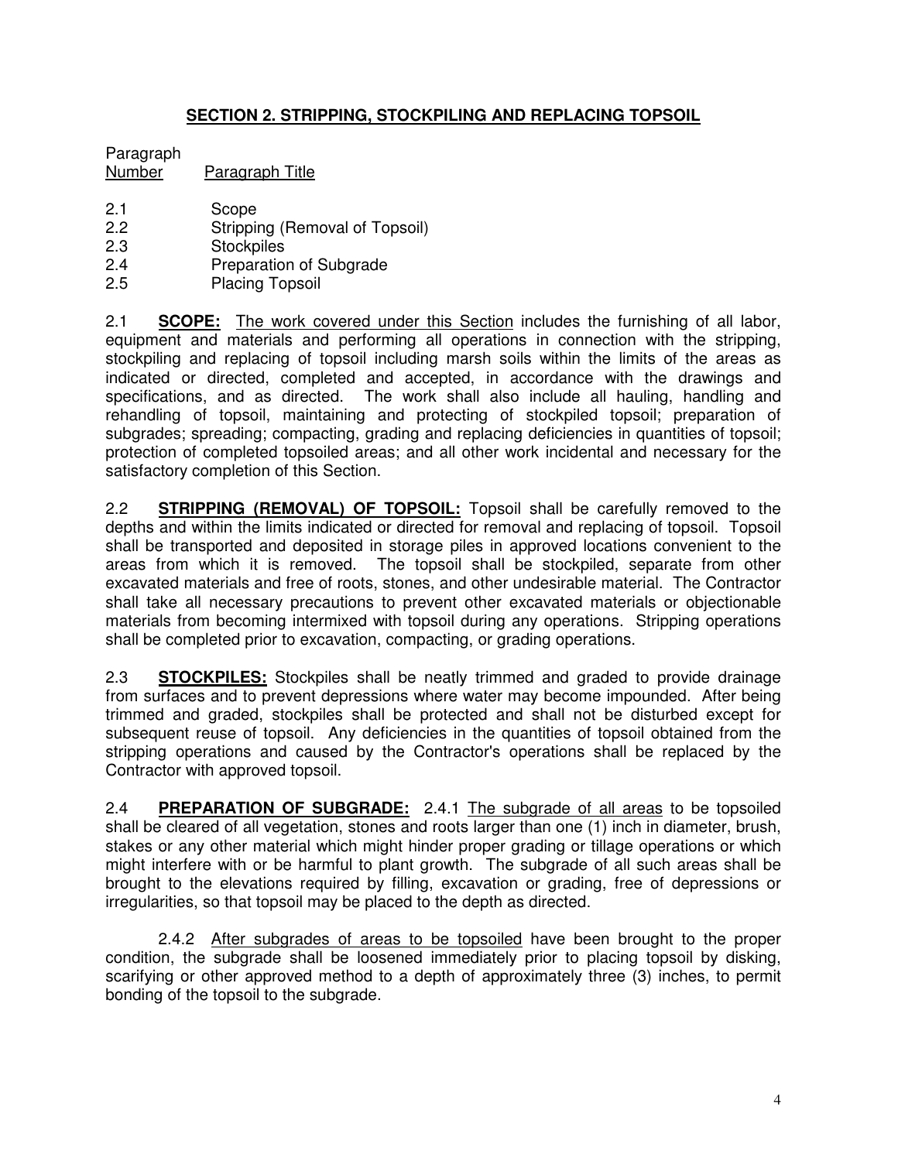# **SECTION 2. STRIPPING, STOCKPILING AND REPLACING TOPSOIL**

# Paragraph

Number Paragraph Title

- 2.1 Scope
- 2.2 Stripping (Removal of Topsoil)
- 2.3 Stockpiles
- 2.4 Preparation of Subgrade
- 2.5 Placing Topsoil

2.1 **SCOPE:** The work covered under this Section includes the furnishing of all labor, equipment and materials and performing all operations in connection with the stripping, stockpiling and replacing of topsoil including marsh soils within the limits of the areas as indicated or directed, completed and accepted, in accordance with the drawings and specifications, and as directed. The work shall also include all hauling, handling and rehandling of topsoil, maintaining and protecting of stockpiled topsoil; preparation of subgrades; spreading; compacting, grading and replacing deficiencies in quantities of topsoil; protection of completed topsoiled areas; and all other work incidental and necessary for the satisfactory completion of this Section.

2.2 **STRIPPING (REMOVAL) OF TOPSOIL:** Topsoil shall be carefully removed to the depths and within the limits indicated or directed for removal and replacing of topsoil. Topsoil shall be transported and deposited in storage piles in approved locations convenient to the areas from which it is removed. The topsoil shall be stockpiled, separate from other excavated materials and free of roots, stones, and other undesirable material. The Contractor shall take all necessary precautions to prevent other excavated materials or objectionable materials from becoming intermixed with topsoil during any operations. Stripping operations shall be completed prior to excavation, compacting, or grading operations.

2.3 **STOCKPILES:** Stockpiles shall be neatly trimmed and graded to provide drainage from surfaces and to prevent depressions where water may become impounded. After being trimmed and graded, stockpiles shall be protected and shall not be disturbed except for subsequent reuse of topsoil. Any deficiencies in the quantities of topsoil obtained from the stripping operations and caused by the Contractor's operations shall be replaced by the Contractor with approved topsoil.

2.4 **PREPARATION OF SUBGRADE:** 2.4.1 The subgrade of all areas to be topsoiled shall be cleared of all vegetation, stones and roots larger than one (1) inch in diameter, brush, stakes or any other material which might hinder proper grading or tillage operations or which might interfere with or be harmful to plant growth. The subgrade of all such areas shall be brought to the elevations required by filling, excavation or grading, free of depressions or irregularities, so that topsoil may be placed to the depth as directed.

2.4.2 After subgrades of areas to be topsoiled have been brought to the proper condition, the subgrade shall be loosened immediately prior to placing topsoil by disking, scarifying or other approved method to a depth of approximately three (3) inches, to permit bonding of the topsoil to the subgrade.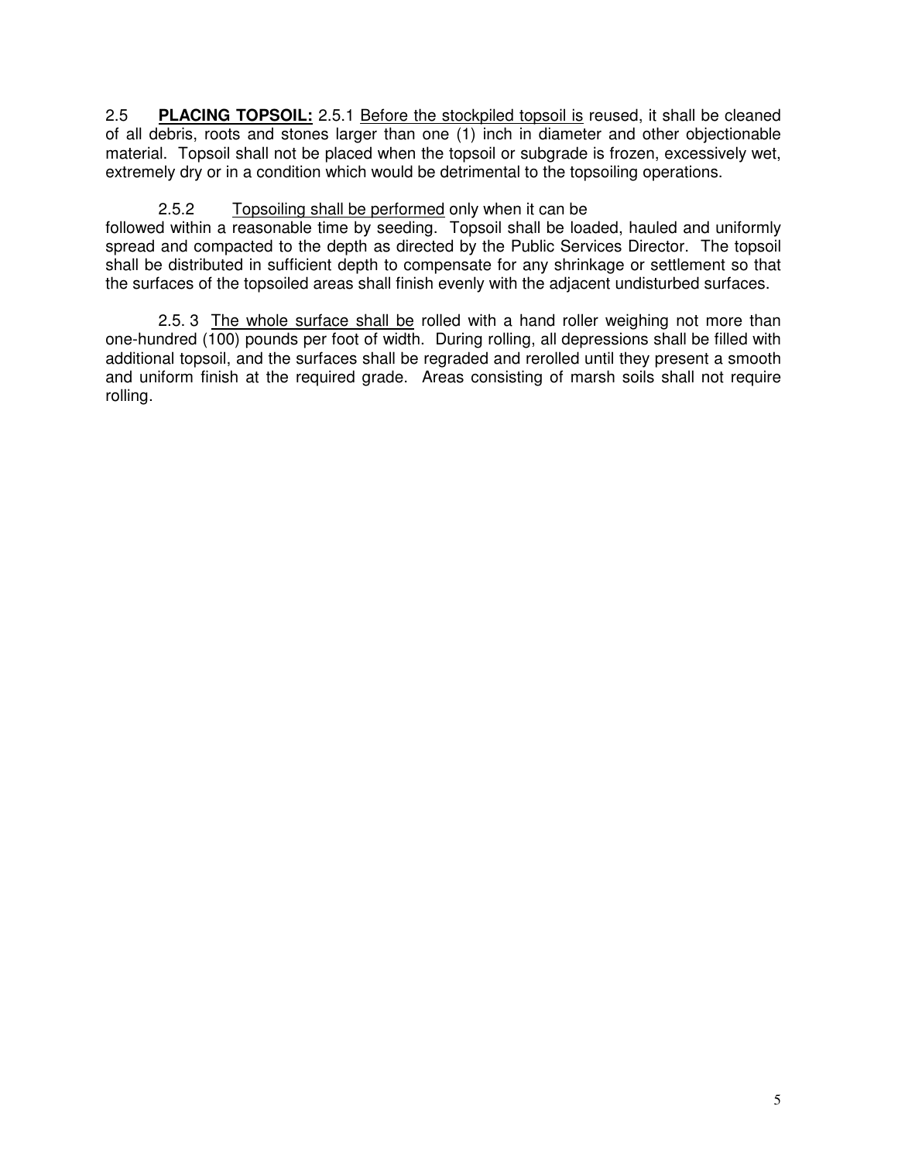2.5 **PLACING TOPSOIL:** 2.5.1 Before the stockpiled topsoil is reused, it shall be cleaned of all debris, roots and stones larger than one (1) inch in diameter and other objectionable material. Topsoil shall not be placed when the topsoil or subgrade is frozen, excessively wet, extremely dry or in a condition which would be detrimental to the topsoiling operations.

# 2.5.2 Topsoiling shall be performed only when it can be

followed within a reasonable time by seeding. Topsoil shall be loaded, hauled and uniformly spread and compacted to the depth as directed by the Public Services Director. The topsoil shall be distributed in sufficient depth to compensate for any shrinkage or settlement so that the surfaces of the topsoiled areas shall finish evenly with the adjacent undisturbed surfaces.

2.5. 3 The whole surface shall be rolled with a hand roller weighing not more than one-hundred (100) pounds per foot of width. During rolling, all depressions shall be filled with additional topsoil, and the surfaces shall be regraded and rerolled until they present a smooth and uniform finish at the required grade. Areas consisting of marsh soils shall not require rolling.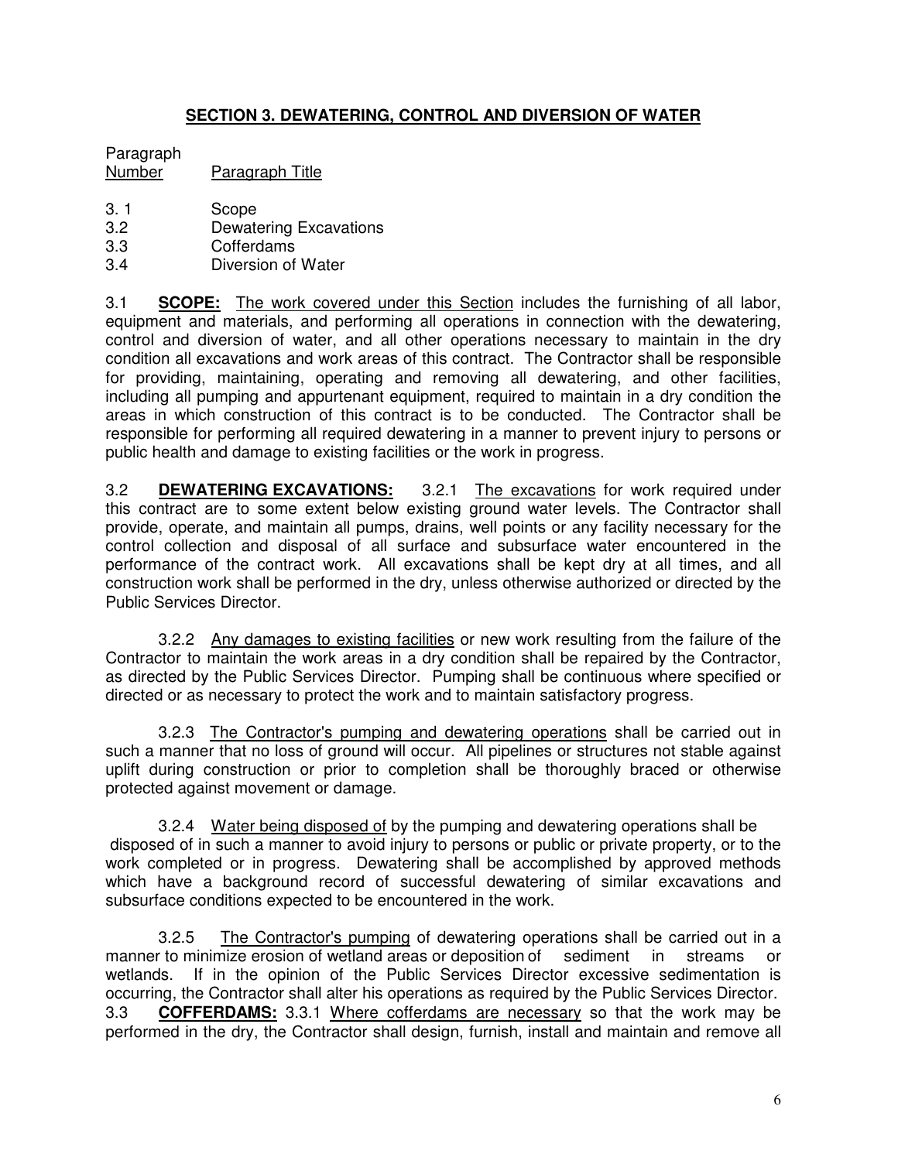# **SECTION 3. DEWATERING, CONTROL AND DIVERSION OF WATER**

# Paragraph

Number Paragraph Title

- 3. 1 Scope
- 3.2 Dewatering Excavations
- 3.3 Cofferdams
- 3.4 Diversion of Water

3.1 **SCOPE:** The work covered under this Section includes the furnishing of all labor, equipment and materials, and performing all operations in connection with the dewatering, control and diversion of water, and all other operations necessary to maintain in the dry condition all excavations and work areas of this contract. The Contractor shall be responsible for providing, maintaining, operating and removing all dewatering, and other facilities, including all pumping and appurtenant equipment, required to maintain in a dry condition the areas in which construction of this contract is to be conducted. The Contractor shall be responsible for performing all required dewatering in a manner to prevent injury to persons or public health and damage to existing facilities or the work in progress.

3.2 **DEWATERING EXCAVATIONS:** 3.2.1 The excavations for work required under this contract are to some extent below existing ground water levels. The Contractor shall provide, operate, and maintain all pumps, drains, well points or any facility necessary for the control collection and disposal of all surface and subsurface water encountered in the performance of the contract work. All excavations shall be kept dry at all times, and all construction work shall be performed in the dry, unless otherwise authorized or directed by the Public Services Director.

3.2.2 Any damages to existing facilities or new work resulting from the failure of the Contractor to maintain the work areas in a dry condition shall be repaired by the Contractor, as directed by the Public Services Director. Pumping shall be continuous where specified or directed or as necessary to protect the work and to maintain satisfactory progress.

3.2.3 The Contractor's pumping and dewatering operations shall be carried out in such a manner that no loss of ground will occur. All pipelines or structures not stable against uplift during construction or prior to completion shall be thoroughly braced or otherwise protected against movement or damage.

3.2.4 Water being disposed of by the pumping and dewatering operations shall be disposed of in such a manner to avoid injury to persons or public or private property, or to the work completed or in progress. Dewatering shall be accomplished by approved methods which have a background record of successful dewatering of similar excavations and subsurface conditions expected to be encountered in the work.

3.2.5 The Contractor's pumping of dewatering operations shall be carried out in a manner to minimize erosion of wetland areas or deposition of sediment in streams or wetlands. If in the opinion of the Public Services Director excessive sedimentation is occurring, the Contractor shall alter his operations as required by the Public Services Director. 3.3 **COFFERDAMS:** 3.3.1 Where cofferdams are necessary so that the work may be performed in the dry, the Contractor shall design, furnish, install and maintain and remove all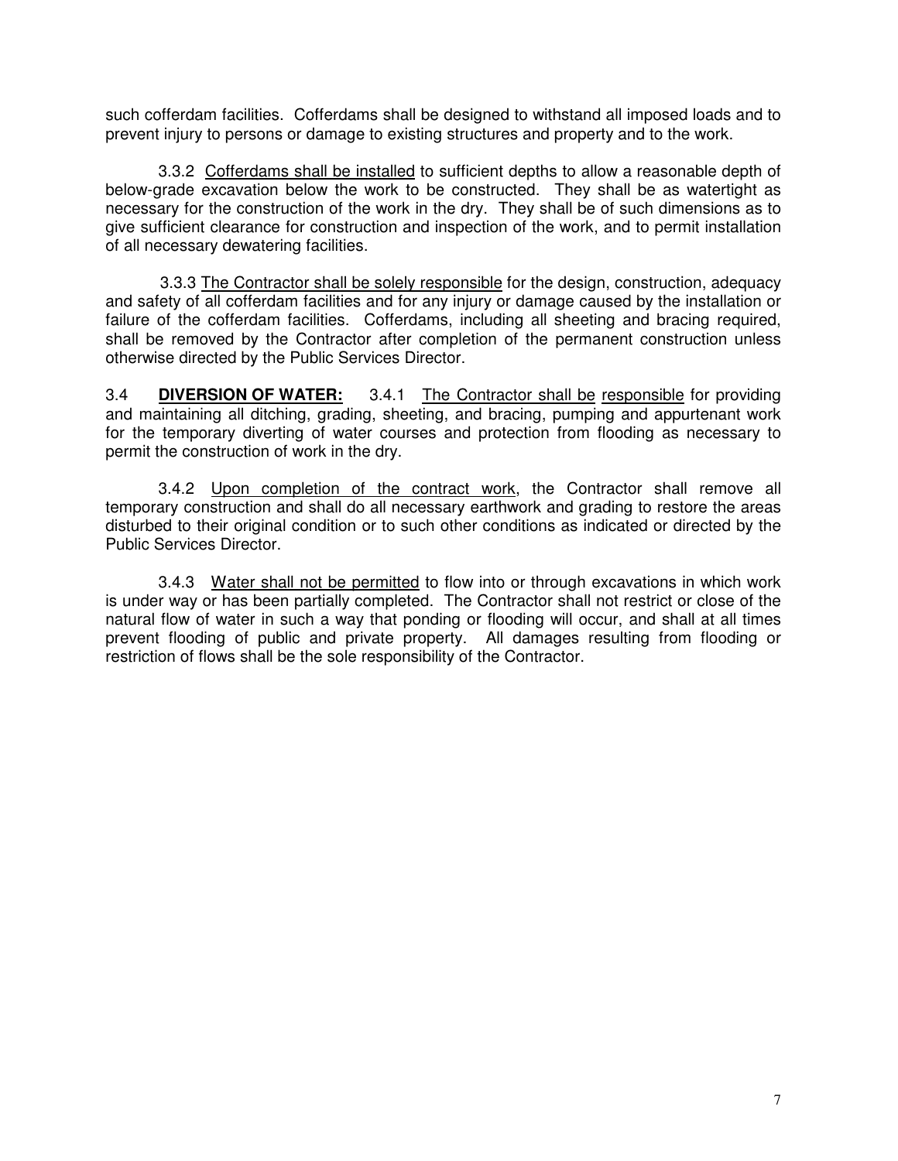such cofferdam facilities. Cofferdams shall be designed to withstand all imposed loads and to prevent injury to persons or damage to existing structures and property and to the work.

3.3.2 Cofferdams shall be installed to sufficient depths to allow a reasonable depth of below-grade excavation below the work to be constructed. They shall be as watertight as necessary for the construction of the work in the dry. They shall be of such dimensions as to give sufficient clearance for construction and inspection of the work, and to permit installation of all necessary dewatering facilities.

3.3.3 The Contractor shall be solely responsible for the design, construction, adequacy and safety of all cofferdam facilities and for any injury or damage caused by the installation or failure of the cofferdam facilities. Cofferdams, including all sheeting and bracing required, shall be removed by the Contractor after completion of the permanent construction unless otherwise directed by the Public Services Director.

3.4 **DIVERSION OF WATER:** 3.4.1 The Contractor shall be responsible for providing and maintaining all ditching, grading, sheeting, and bracing, pumping and appurtenant work for the temporary diverting of water courses and protection from flooding as necessary to permit the construction of work in the dry.

3.4.2 Upon completion of the contract work, the Contractor shall remove all temporary construction and shall do all necessary earthwork and grading to restore the areas disturbed to their original condition or to such other conditions as indicated or directed by the Public Services Director.

3.4.3 Water shall not be permitted to flow into or through excavations in which work is under way or has been partially completed. The Contractor shall not restrict or close of the natural flow of water in such a way that ponding or flooding will occur, and shall at all times prevent flooding of public and private property. All damages resulting from flooding or restriction of flows shall be the sole responsibility of the Contractor.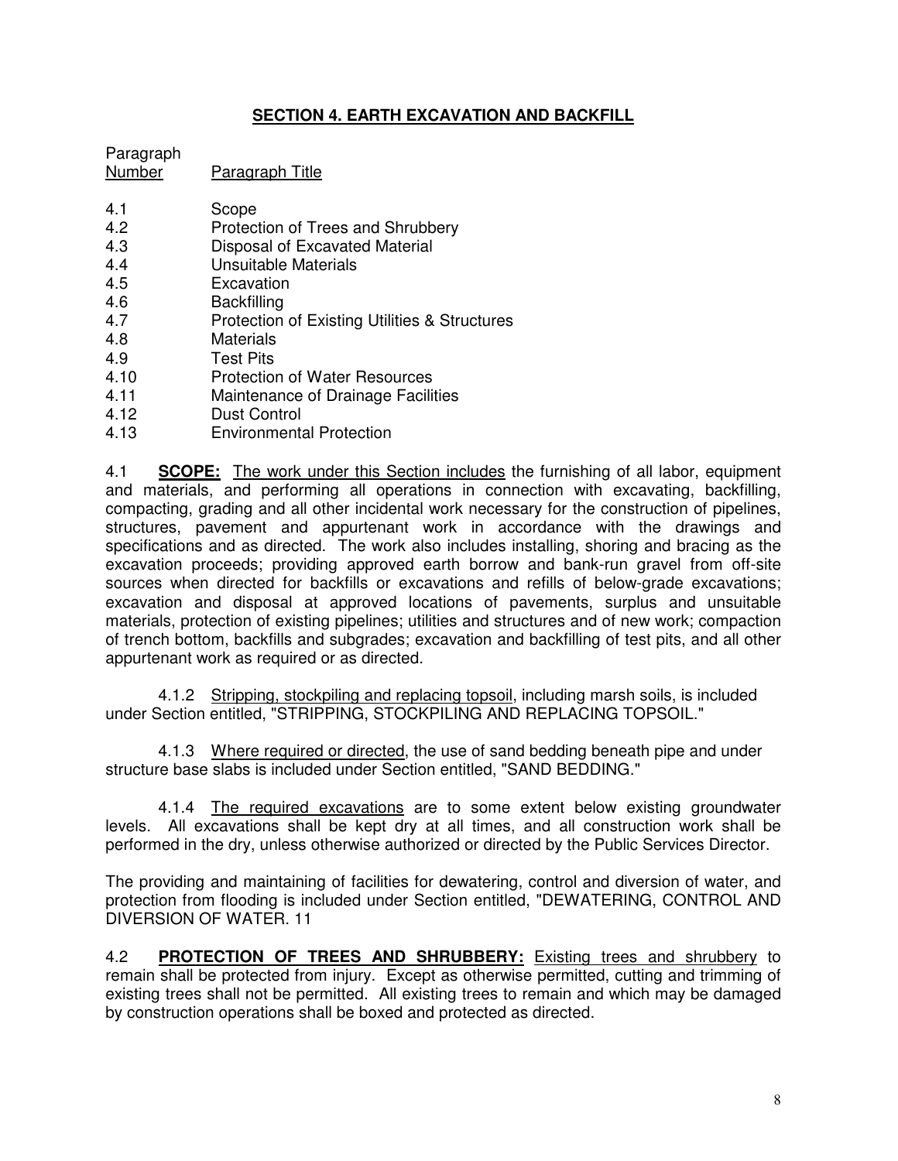# **SECTION 4. EARTH EXCAVATION AND BACKFILL**

| Paragraph<br><b>Number</b> | Paragraph Title                            |
|----------------------------|--------------------------------------------|
| 4.1<br>4.2                 | Scope<br>Protection of Trees and Shrubbery |
|                            |                                            |

- 4.3 Disposal of Excavated Material
- 4.4 Unsuitable Materials
- 4.5 Excavation
- 4.6 Backfilling
- 4.7 Protection of Existing Utilities & Structures<br>4.8 Materials
- **Materials**
- 4.9 Test Pits
- 4.10 Protection of Water Resources
- 4.11 Maintenance of Drainage Facilities
- 4.12 Dust Control
- 4.13 Environmental Protection

4.1 **SCOPE:** The work under this Section includes the furnishing of all labor, equipment and materials, and performing all operations in connection with excavating, backfilling, compacting, grading and all other incidental work necessary for the construction of pipelines, structures, pavement and appurtenant work in accordance with the drawings and specifications and as directed. The work also includes installing, shoring and bracing as the excavation proceeds; providing approved earth borrow and bank-run gravel from off-site sources when directed for backfills or excavations and refills of below-grade excavations; excavation and disposal at approved locations of pavements, surplus and unsuitable materials, protection of existing pipelines; utilities and structures and of new work; compaction of trench bottom, backfills and subgrades; excavation and backfilling of test pits, and all other appurtenant work as required or as directed.

4.1.2 Stripping, stockpiling and replacing topsoil, including marsh soils, is included under Section entitled, "STRIPPING, STOCKPILING AND REPLACING TOPSOIL."

4.1.3 Where required or directed, the use of sand bedding beneath pipe and under structure base slabs is included under Section entitled, "SAND BEDDING."

4.1.4 The required excavations are to some extent below existing groundwater levels. All excavations shall be kept dry at all times, and all construction work shall be performed in the dry, unless otherwise authorized or directed by the Public Services Director.

The providing and maintaining of facilities for dewatering, control and diversion of water, and protection from flooding is included under Section entitled, "DEWATERING, CONTROL AND DIVERSION OF WATER. 11

4.2 **PROTECTION OF TREES AND SHRUBBERY:** Existing trees and shrubbery to remain shall be protected from injury. Except as otherwise permitted, cutting and trimming of existing trees shall not be permitted. All existing trees to remain and which may be damaged by construction operations shall be boxed and protected as directed.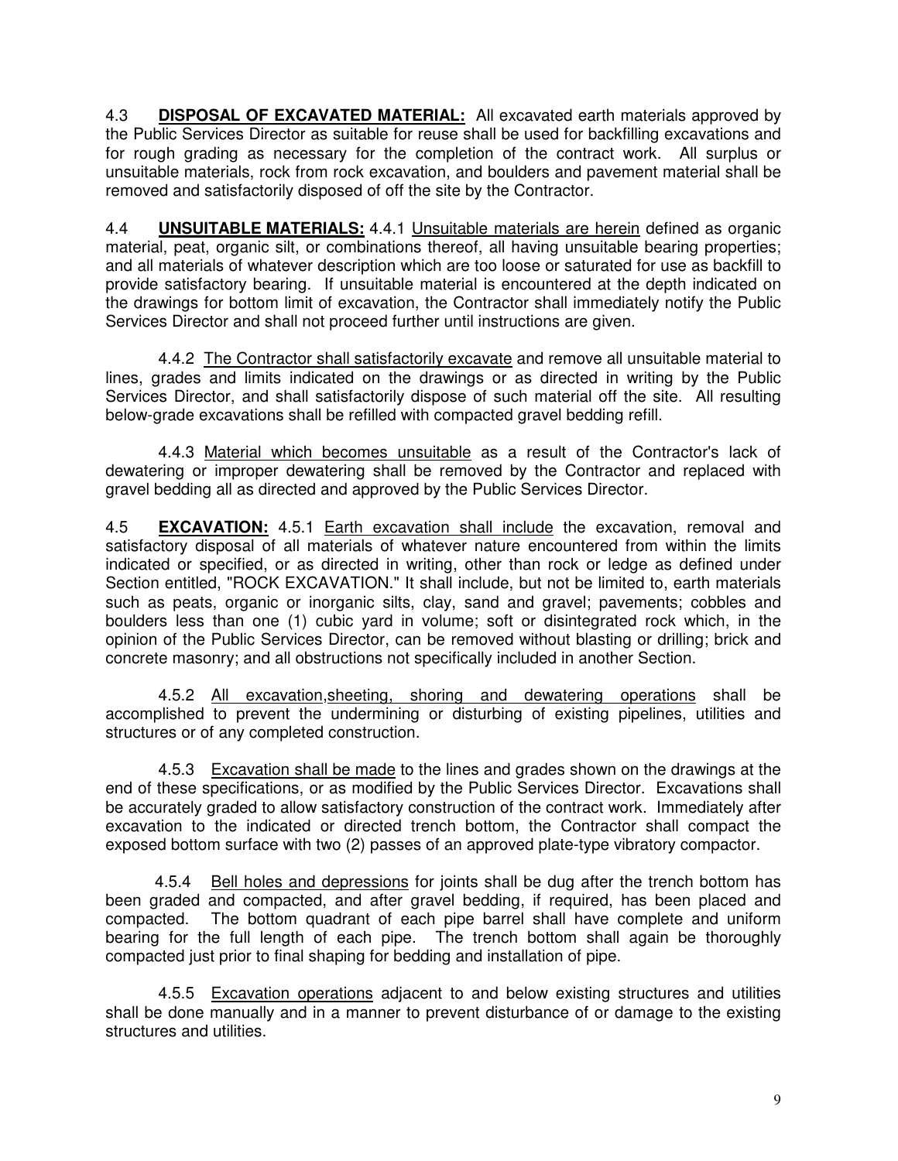4.3 **DISPOSAL OF EXCAVATED MATERIAL:** All excavated earth materials approved by the Public Services Director as suitable for reuse shall be used for backfilling excavations and for rough grading as necessary for the completion of the contract work. All surplus or unsuitable materials, rock from rock excavation, and boulders and pavement material shall be removed and satisfactorily disposed of off the site by the Contractor.

4.4 **UNSUITABLE MATERIALS:** 4.4.1 Unsuitable materials are herein defined as organic material, peat, organic silt, or combinations thereof, all having unsuitable bearing properties; and all materials of whatever description which are too loose or saturated for use as backfill to provide satisfactory bearing. If unsuitable material is encountered at the depth indicated on the drawings for bottom limit of excavation, the Contractor shall immediately notify the Public Services Director and shall not proceed further until instructions are given.

4.4.2 The Contractor shall satisfactorily excavate and remove all unsuitable material to lines, grades and limits indicated on the drawings or as directed in writing by the Public Services Director, and shall satisfactorily dispose of such material off the site. All resulting below-grade excavations shall be refilled with compacted gravel bedding refill.

4.4.3 Material which becomes unsuitable as a result of the Contractor's lack of dewatering or improper dewatering shall be removed by the Contractor and replaced with gravel bedding all as directed and approved by the Public Services Director.

4.5 **EXCAVATION:** 4.5.1 Earth excavation shall include the excavation, removal and satisfactory disposal of all materials of whatever nature encountered from within the limits indicated or specified, or as directed in writing, other than rock or ledge as defined under Section entitled, "ROCK EXCAVATION." It shall include, but not be limited to, earth materials such as peats, organic or inorganic silts, clay, sand and gravel; pavements; cobbles and boulders less than one (1) cubic yard in volume; soft or disintegrated rock which, in the opinion of the Public Services Director, can be removed without blasting or drilling; brick and concrete masonry; and all obstructions not specifically included in another Section.

4.5.2 All excavation, sheeting, shoring and dewatering operations shall be accomplished to prevent the undermining or disturbing of existing pipelines, utilities and structures or of any completed construction.

4.5.3 Excavation shall be made to the lines and grades shown on the drawings at the end of these specifications, or as modified by the Public Services Director. Excavations shall be accurately graded to allow satisfactory construction of the contract work. Immediately after excavation to the indicated or directed trench bottom, the Contractor shall compact the exposed bottom surface with two (2) passes of an approved plate-type vibratory compactor.

4.5.4 Bell holes and depressions for joints shall be dug after the trench bottom has been graded and compacted, and after gravel bedding, if required, has been placed and compacted. The bottom quadrant of each pipe barrel shall have complete and uniform bearing for the full length of each pipe. The trench bottom shall again be thoroughly compacted just prior to final shaping for bedding and installation of pipe.

4.5.5 Excavation operations adjacent to and below existing structures and utilities shall be done manually and in a manner to prevent disturbance of or damage to the existing structures and utilities.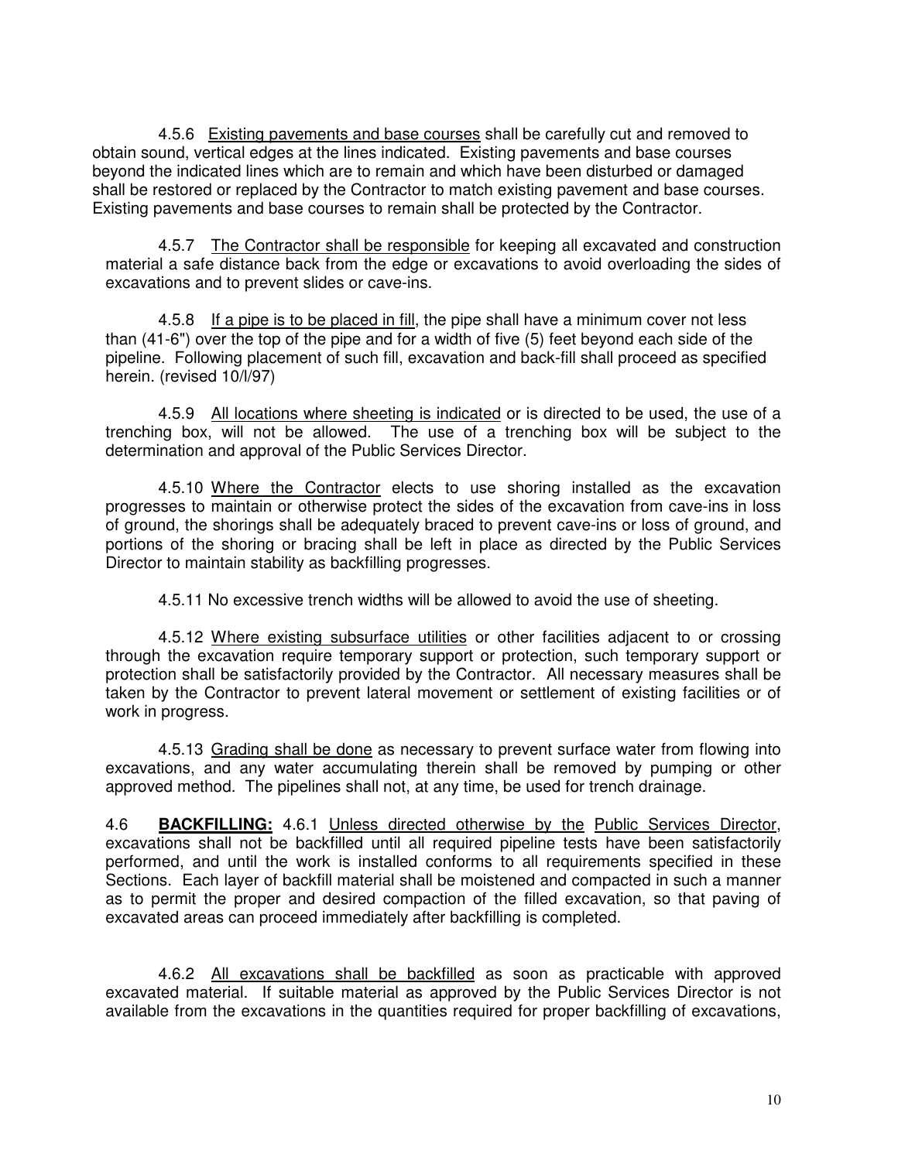4.5.6 Existing pavements and base courses shall be carefully cut and removed to obtain sound, vertical edges at the lines indicated. Existing pavements and base courses beyond the indicated lines which are to remain and which have been disturbed or damaged shall be restored or replaced by the Contractor to match existing pavement and base courses. Existing pavements and base courses to remain shall be protected by the Contractor.

4.5.7 The Contractor shall be responsible for keeping all excavated and construction material a safe distance back from the edge or excavations to avoid overloading the sides of excavations and to prevent slides or cave-ins.

4.5.8 If a pipe is to be placed in fill, the pipe shall have a minimum cover not less than (41-6") over the top of the pipe and for a width of five (5) feet beyond each side of the pipeline. Following placement of such fill, excavation and back-fill shall proceed as specified herein. (revised 10/l/97)

4.5.9 All locations where sheeting is indicated or is directed to be used, the use of a trenching box, will not be allowed. The use of a trenching box will be subject to the determination and approval of the Public Services Director.

4.5.10 Where the Contractor elects to use shoring installed as the excavation progresses to maintain or otherwise protect the sides of the excavation from cave-ins in loss of ground, the shorings shall be adequately braced to prevent cave-ins or loss of ground, and portions of the shoring or bracing shall be left in place as directed by the Public Services Director to maintain stability as backfilling progresses.

4.5.11 No excessive trench widths will be allowed to avoid the use of sheeting.

4.5.12 Where existing subsurface utilities or other facilities adjacent to or crossing through the excavation require temporary support or protection, such temporary support or protection shall be satisfactorily provided by the Contractor. All necessary measures shall be taken by the Contractor to prevent lateral movement or settlement of existing facilities or of work in progress.

4.5.13 Grading shall be done as necessary to prevent surface water from flowing into excavations, and any water accumulating therein shall be removed by pumping or other approved method. The pipelines shall not, at any time, be used for trench drainage.

4.6 **BACKFILLING:** 4.6.1 Unless directed otherwise by the Public Services Director, excavations shall not be backfilled until all required pipeline tests have been satisfactorily performed, and until the work is installed conforms to all requirements specified in these Sections. Each layer of backfill material shall be moistened and compacted in such a manner as to permit the proper and desired compaction of the filled excavation, so that paving of excavated areas can proceed immediately after backfilling is completed.

4.6.2 All excavations shall be backfilled as soon as practicable with approved excavated material. If suitable material as approved by the Public Services Director is not available from the excavations in the quantities required for proper backfilling of excavations,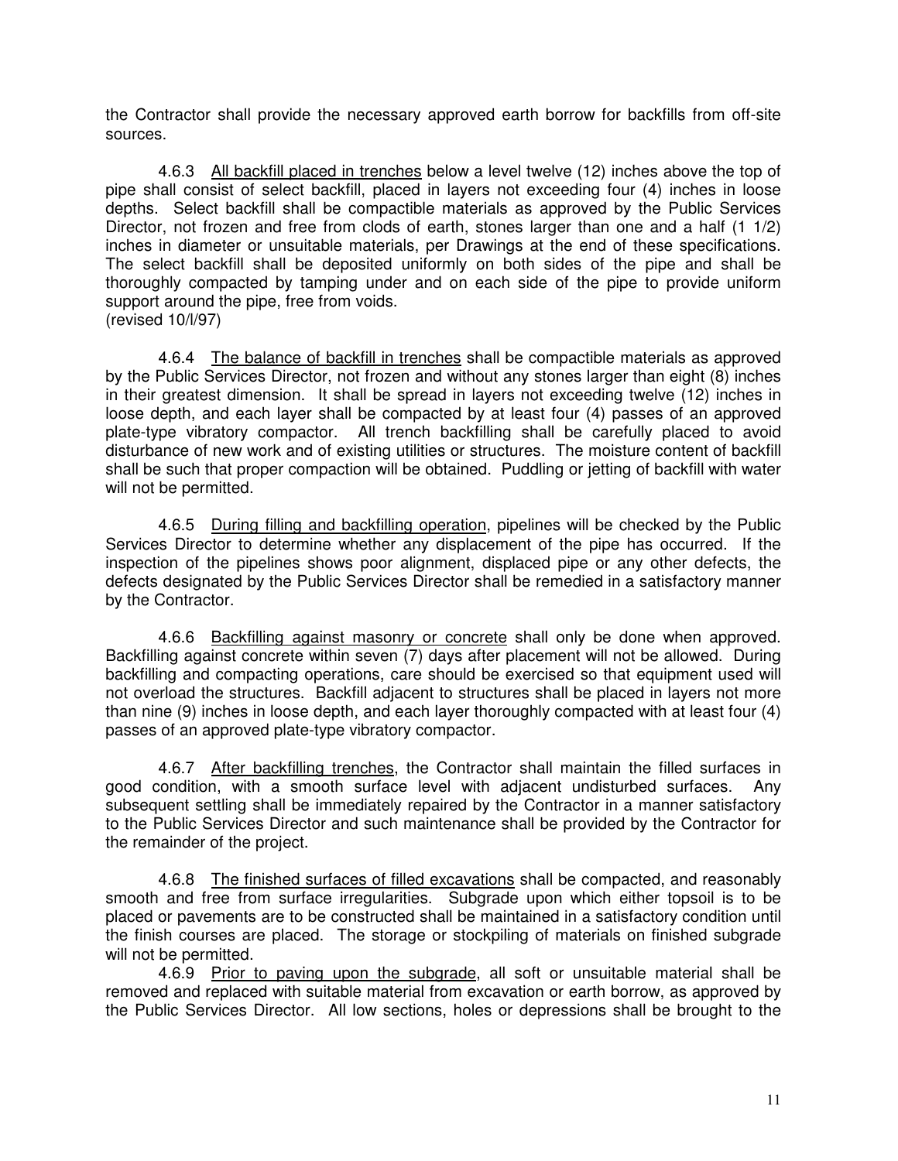the Contractor shall provide the necessary approved earth borrow for backfills from off-site sources.

4.6.3 All backfill placed in trenches below a level twelve (12) inches above the top of pipe shall consist of select backfill, placed in layers not exceeding four (4) inches in loose depths. Select backfill shall be compactible materials as approved by the Public Services Director, not frozen and free from clods of earth, stones larger than one and a half (1 1/2) inches in diameter or unsuitable materials, per Drawings at the end of these specifications. The select backfill shall be deposited uniformly on both sides of the pipe and shall be thoroughly compacted by tamping under and on each side of the pipe to provide uniform support around the pipe, free from voids. (revised 10/l/97)

4.6.4 The balance of backfill in trenches shall be compactible materials as approved by the Public Services Director, not frozen and without any stones larger than eight (8) inches in their greatest dimension. It shall be spread in layers not exceeding twelve (12) inches in loose depth, and each layer shall be compacted by at least four (4) passes of an approved plate-type vibratory compactor. All trench backfilling shall be carefully placed to avoid disturbance of new work and of existing utilities or structures. The moisture content of backfill shall be such that proper compaction will be obtained. Puddling or jetting of backfill with water will not be permitted.

4.6.5 During filling and backfilling operation, pipelines will be checked by the Public Services Director to determine whether any displacement of the pipe has occurred. If the inspection of the pipelines shows poor alignment, displaced pipe or any other defects, the defects designated by the Public Services Director shall be remedied in a satisfactory manner by the Contractor.

4.6.6 Backfilling against masonry or concrete shall only be done when approved. Backfilling against concrete within seven (7) days after placement will not be allowed. During backfilling and compacting operations, care should be exercised so that equipment used will not overload the structures. Backfill adjacent to structures shall be placed in layers not more than nine (9) inches in loose depth, and each layer thoroughly compacted with at least four (4) passes of an approved plate-type vibratory compactor.

4.6.7 After backfilling trenches, the Contractor shall maintain the filled surfaces in good condition, with a smooth surface level with adjacent undisturbed surfaces. Any subsequent settling shall be immediately repaired by the Contractor in a manner satisfactory to the Public Services Director and such maintenance shall be provided by the Contractor for the remainder of the project.

4.6.8 The finished surfaces of filled excavations shall be compacted, and reasonably smooth and free from surface irregularities. Subgrade upon which either topsoil is to be placed or pavements are to be constructed shall be maintained in a satisfactory condition until the finish courses are placed. The storage or stockpiling of materials on finished subgrade will not be permitted.

4.6.9 Prior to paving upon the subgrade, all soft or unsuitable material shall be removed and replaced with suitable material from excavation or earth borrow, as approved by the Public Services Director. All low sections, holes or depressions shall be brought to the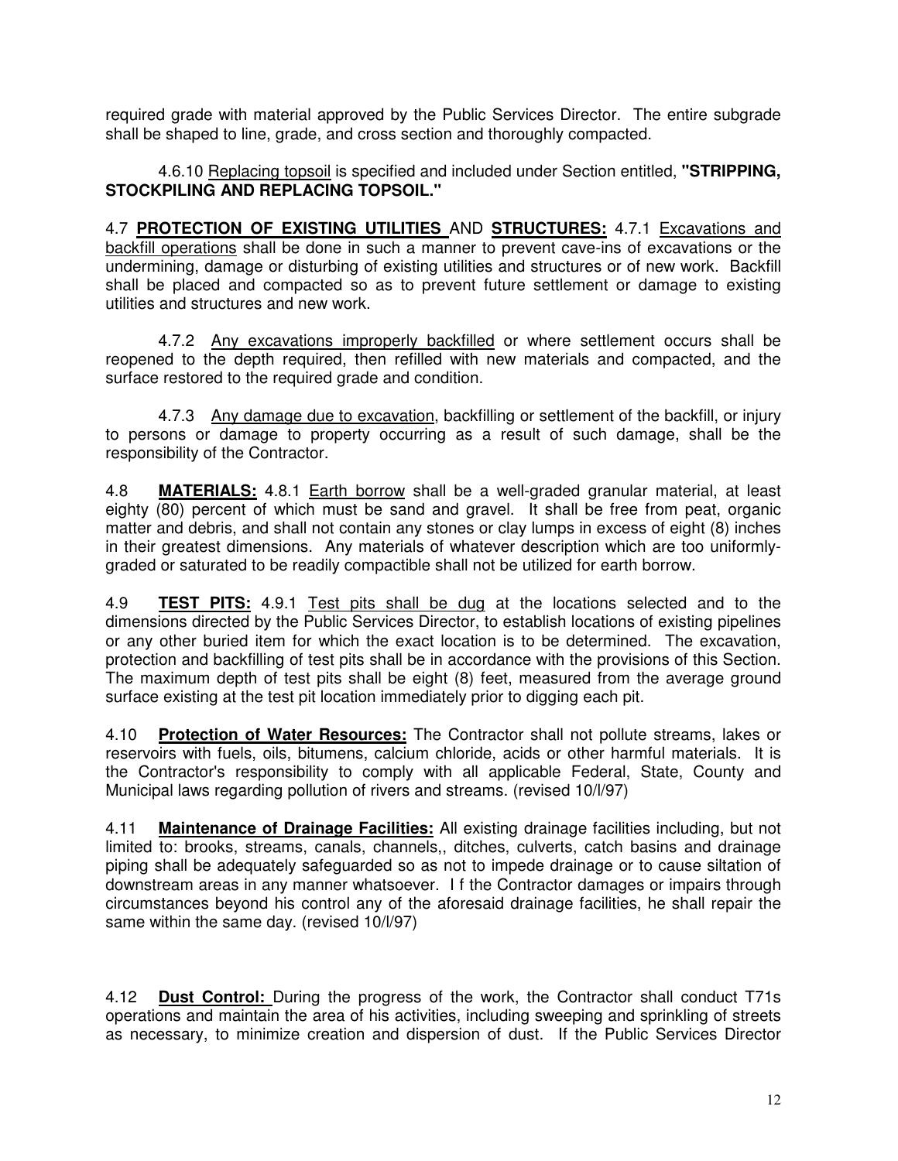required grade with material approved by the Public Services Director. The entire subgrade shall be shaped to line, grade, and cross section and thoroughly compacted.

4.6.10 Replacing topsoil is specified and included under Section entitled, **"STRIPPING, STOCKPILING AND REPLACING TOPSOIL."**

4.7 **PROTECTION OF EXISTING UTILITIES** AND **STRUCTURES:** 4.7.1 Excavations and backfill operations shall be done in such a manner to prevent cave-ins of excavations or the undermining, damage or disturbing of existing utilities and structures or of new work. Backfill shall be placed and compacted so as to prevent future settlement or damage to existing utilities and structures and new work.

4.7.2 Any excavations improperly backfilled or where settlement occurs shall be reopened to the depth required, then refilled with new materials and compacted, and the surface restored to the required grade and condition.

4.7.3 Any damage due to excavation, backfilling or settlement of the backfill, or injury to persons or damage to property occurring as a result of such damage, shall be the responsibility of the Contractor.

4.8 **MATERIALS:** 4.8.1 Earth borrow shall be a well-graded granular material, at least eighty (80) percent of which must be sand and gravel. It shall be free from peat, organic matter and debris, and shall not contain any stones or clay lumps in excess of eight (8) inches in their greatest dimensions. Any materials of whatever description which are too uniformlygraded or saturated to be readily compactible shall not be utilized for earth borrow.

4.9 **TEST PITS:** 4.9.1 Test pits shall be dug at the locations selected and to the dimensions directed by the Public Services Director, to establish locations of existing pipelines or any other buried item for which the exact location is to be determined. The excavation, protection and backfilling of test pits shall be in accordance with the provisions of this Section. The maximum depth of test pits shall be eight (8) feet, measured from the average ground surface existing at the test pit location immediately prior to digging each pit.

4.10 **Protection of Water Resources:** The Contractor shall not pollute streams, lakes or reservoirs with fuels, oils, bitumens, calcium chloride, acids or other harmful materials. It is the Contractor's responsibility to comply with all applicable Federal, State, County and Municipal laws regarding pollution of rivers and streams. (revised 10/l/97)

4.11 **Maintenance of Drainage Facilities:** All existing drainage facilities including, but not limited to: brooks, streams, canals, channels,, ditches, culverts, catch basins and drainage piping shall be adequately safeguarded so as not to impede drainage or to cause siltation of downstream areas in any manner whatsoever. I f the Contractor damages or impairs through circumstances beyond his control any of the aforesaid drainage facilities, he shall repair the same within the same day. (revised 10/l/97)

4.12 **Dust Control:** During the progress of the work, the Contractor shall conduct T71s operations and maintain the area of his activities, including sweeping and sprinkling of streets as necessary, to minimize creation and dispersion of dust. If the Public Services Director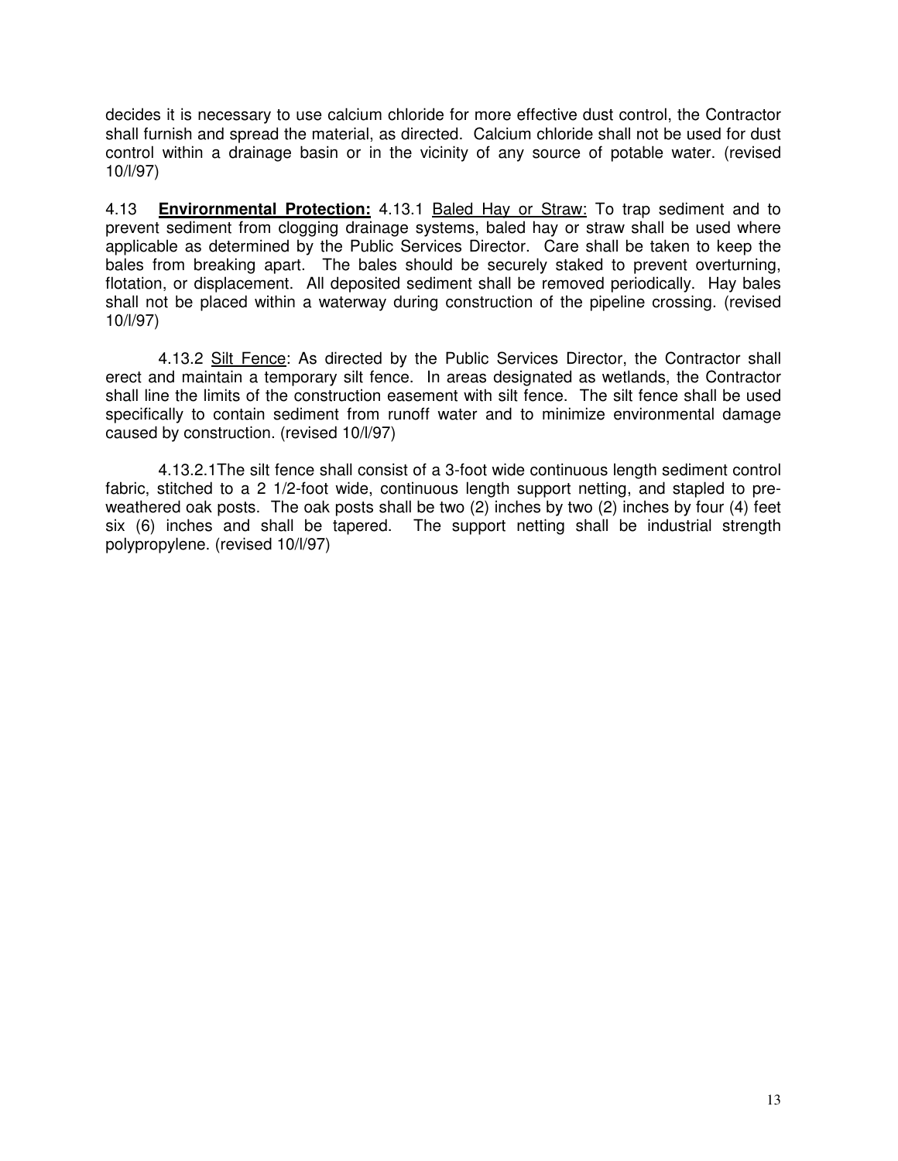decides it is necessary to use calcium chloride for more effective dust control, the Contractor shall furnish and spread the material, as directed. Calcium chloride shall not be used for dust control within a drainage basin or in the vicinity of any source of potable water. (revised 10/l/97)

4.13 **Envirornmental Protection:** 4.13.1 Baled Hay or Straw: To trap sediment and to prevent sediment from clogging drainage systems, baled hay or straw shall be used where applicable as determined by the Public Services Director. Care shall be taken to keep the bales from breaking apart. The bales should be securely staked to prevent overturning, flotation, or displacement. All deposited sediment shall be removed periodically. Hay bales shall not be placed within a waterway during construction of the pipeline crossing. (revised 10/l/97)

4.13.2 Silt Fence: As directed by the Public Services Director, the Contractor shall erect and maintain a temporary silt fence. In areas designated as wetlands, the Contractor shall line the limits of the construction easement with silt fence. The silt fence shall be used specifically to contain sediment from runoff water and to minimize environmental damage caused by construction. (revised 10/l/97)

4.13.2.1The silt fence shall consist of a 3-foot wide continuous length sediment control fabric, stitched to a 2 1/2-foot wide, continuous length support netting, and stapled to preweathered oak posts. The oak posts shall be two (2) inches by two (2) inches by four (4) feet six (6) inches and shall be tapered. The support netting shall be industrial strength polypropylene. (revised 10/l/97)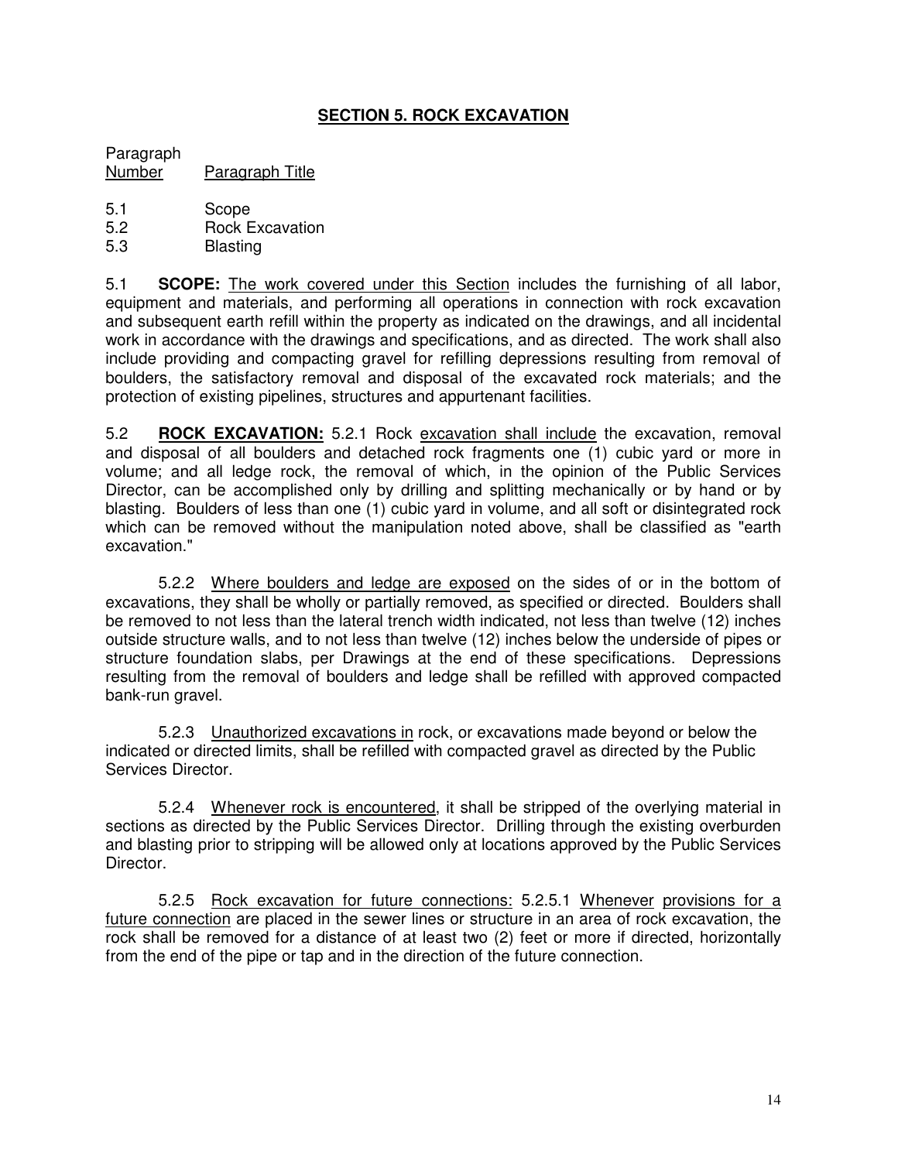# **SECTION 5. ROCK EXCAVATION**

Paragraph Number Paragraph Title

- 5.1 Scope
- 5.2 Rock Excavation
- 5.3 Blasting

5.1 **SCOPE:** The work covered under this Section includes the furnishing of all labor, equipment and materials, and performing all operations in connection with rock excavation and subsequent earth refill within the property as indicated on the drawings, and all incidental work in accordance with the drawings and specifications, and as directed. The work shall also include providing and compacting gravel for refilling depressions resulting from removal of boulders, the satisfactory removal and disposal of the excavated rock materials; and the protection of existing pipelines, structures and appurtenant facilities.

5.2 **ROCK EXCAVATION:** 5.2.1 Rock excavation shall include the excavation, removal and disposal of all boulders and detached rock fragments one (1) cubic yard or more in volume; and all ledge rock, the removal of which, in the opinion of the Public Services Director, can be accomplished only by drilling and splitting mechanically or by hand or by blasting. Boulders of less than one (1) cubic yard in volume, and all soft or disintegrated rock which can be removed without the manipulation noted above, shall be classified as "earth excavation."

5.2.2 Where boulders and ledge are exposed on the sides of or in the bottom of excavations, they shall be wholly or partially removed, as specified or directed. Boulders shall be removed to not less than the lateral trench width indicated, not less than twelve (12) inches outside structure walls, and to not less than twelve (12) inches below the underside of pipes or structure foundation slabs, per Drawings at the end of these specifications. Depressions resulting from the removal of boulders and ledge shall be refilled with approved compacted bank-run gravel.

5.2.3 Unauthorized excavations in rock, or excavations made beyond or below the indicated or directed limits, shall be refilled with compacted gravel as directed by the Public Services Director.

5.2.4 Whenever rock is encountered, it shall be stripped of the overlying material in sections as directed by the Public Services Director. Drilling through the existing overburden and blasting prior to stripping will be allowed only at locations approved by the Public Services Director.

5.2.5 Rock excavation for future connections: 5.2.5.1 Whenever provisions for a future connection are placed in the sewer lines or structure in an area of rock excavation, the rock shall be removed for a distance of at least two (2) feet or more if directed, horizontally from the end of the pipe or tap and in the direction of the future connection.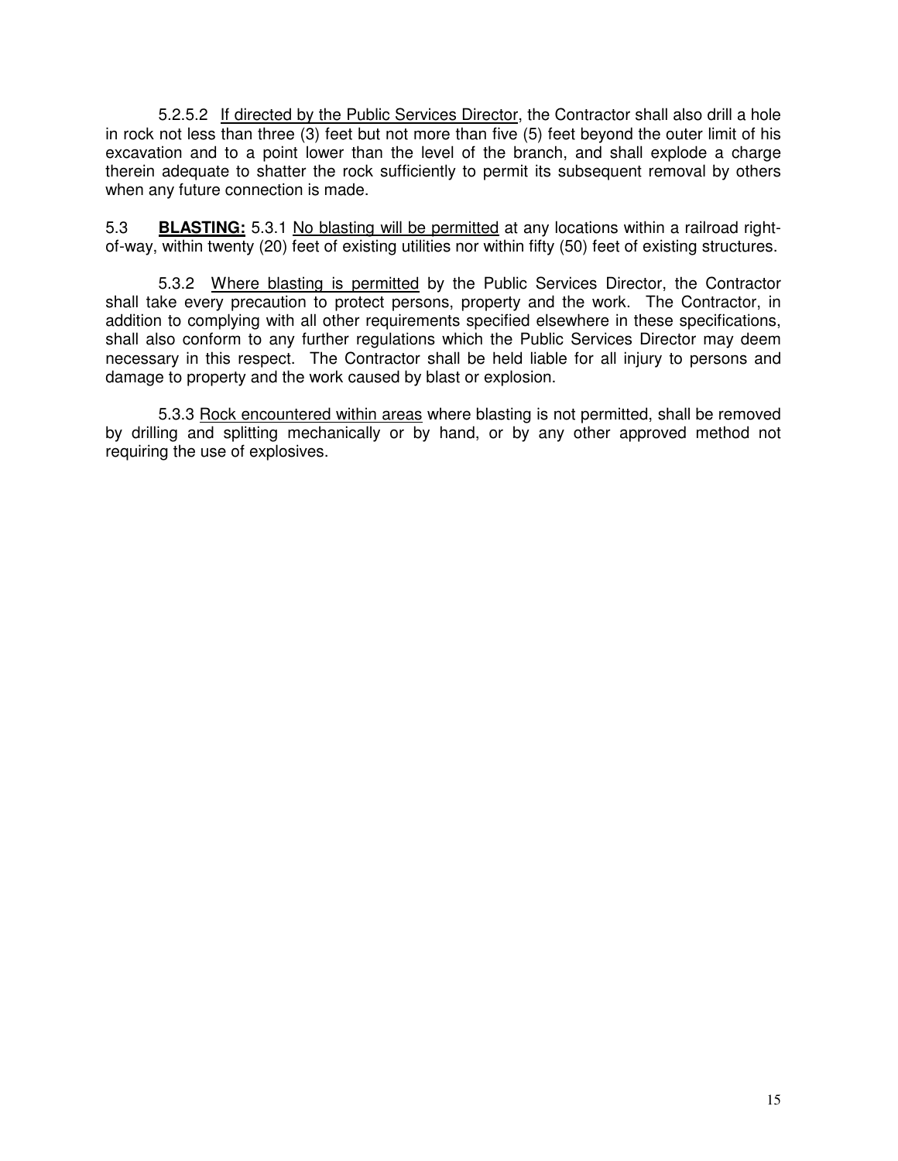5.2.5.2 If directed by the Public Services Director, the Contractor shall also drill a hole in rock not less than three (3) feet but not more than five (5) feet beyond the outer limit of his excavation and to a point lower than the level of the branch, and shall explode a charge therein adequate to shatter the rock sufficiently to permit its subsequent removal by others when any future connection is made.

5.3 **BLASTING:** 5.3.1 No blasting will be permitted at any locations within a railroad rightof-way, within twenty (20) feet of existing utilities nor within fifty (50) feet of existing structures.

5.3.2 Where blasting is permitted by the Public Services Director, the Contractor shall take every precaution to protect persons, property and the work. The Contractor, in addition to complying with all other requirements specified elsewhere in these specifications, shall also conform to any further regulations which the Public Services Director may deem necessary in this respect. The Contractor shall be held liable for all injury to persons and damage to property and the work caused by blast or explosion.

5.3.3 Rock encountered within areas where blasting is not permitted, shall be removed by drilling and splitting mechanically or by hand, or by any other approved method not requiring the use of explosives.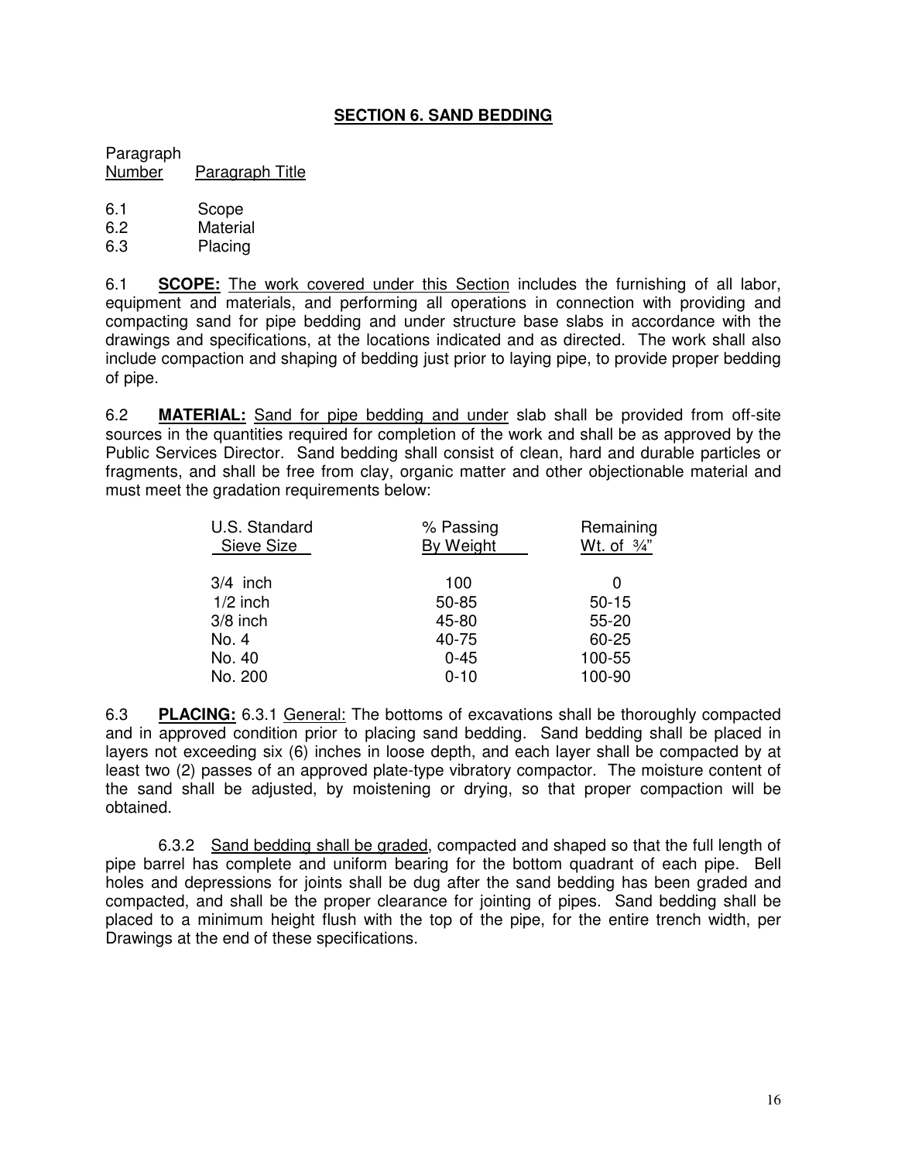# **SECTION 6. SAND BEDDING**

Paragraph Number Paragraph Title

- 6.1 Scope
- 6.2 Material
- 6.3 Placing

6.1 **SCOPE:** The work covered under this Section includes the furnishing of all labor, equipment and materials, and performing all operations in connection with providing and compacting sand for pipe bedding and under structure base slabs in accordance with the drawings and specifications, at the locations indicated and as directed. The work shall also include compaction and shaping of bedding just prior to laying pipe, to provide proper bedding of pipe.

6.2 **MATERIAL:** Sand for pipe bedding and under slab shall be provided from off-site sources in the quantities required for completion of the work and shall be as approved by the Public Services Director. Sand bedding shall consist of clean, hard and durable particles or fragments, and shall be free from clay, organic matter and other objectionable material and must meet the gradation requirements below:

| U.S. Standard<br>Sieve Size | % Passing<br><b>By Weight</b> | Remaining<br>Wt. of $\frac{3}{4}$ " |
|-----------------------------|-------------------------------|-------------------------------------|
| $3/4$ inch                  | 100                           | 0                                   |
| $1/2$ inch                  | 50-85                         | $50 - 15$                           |
| $3/8$ inch                  | 45-80                         | $55 - 20$                           |
| No. 4                       | 40-75                         | 60-25                               |
| No. 40                      | $0 - 45$                      | 100-55                              |
| No. 200                     | $0 - 10$                      | 100-90                              |

6.3 **PLACING:** 6.3.1 General: The bottoms of excavations shall be thoroughly compacted and in approved condition prior to placing sand bedding. Sand bedding shall be placed in layers not exceeding six (6) inches in loose depth, and each layer shall be compacted by at least two (2) passes of an approved plate-type vibratory compactor. The moisture content of the sand shall be adjusted, by moistening or drying, so that proper compaction will be obtained.

6.3.2 Sand bedding shall be graded, compacted and shaped so that the full length of pipe barrel has complete and uniform bearing for the bottom quadrant of each pipe. Bell holes and depressions for joints shall be dug after the sand bedding has been graded and compacted, and shall be the proper clearance for jointing of pipes. Sand bedding shall be placed to a minimum height flush with the top of the pipe, for the entire trench width, per Drawings at the end of these specifications.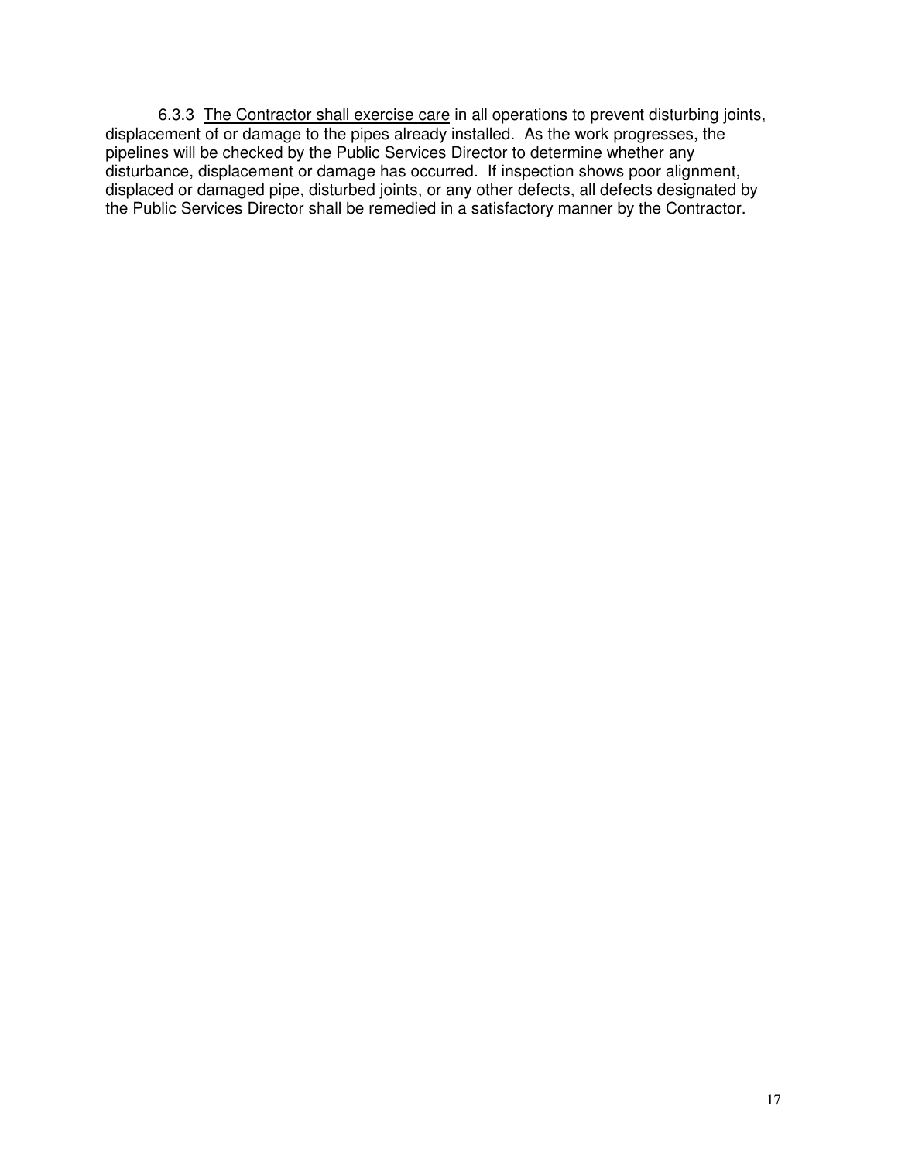6.3.3 The Contractor shall exercise care in all operations to prevent disturbing joints, displacement of or damage to the pipes already installed. As the work progresses, the pipelines will be checked by the Public Services Director to determine whether any disturbance, displacement or damage has occurred. If inspection shows poor alignment, displaced or damaged pipe, disturbed joints, or any other defects, all defects designated by the Public Services Director shall be remedied in a satisfactory manner by the Contractor.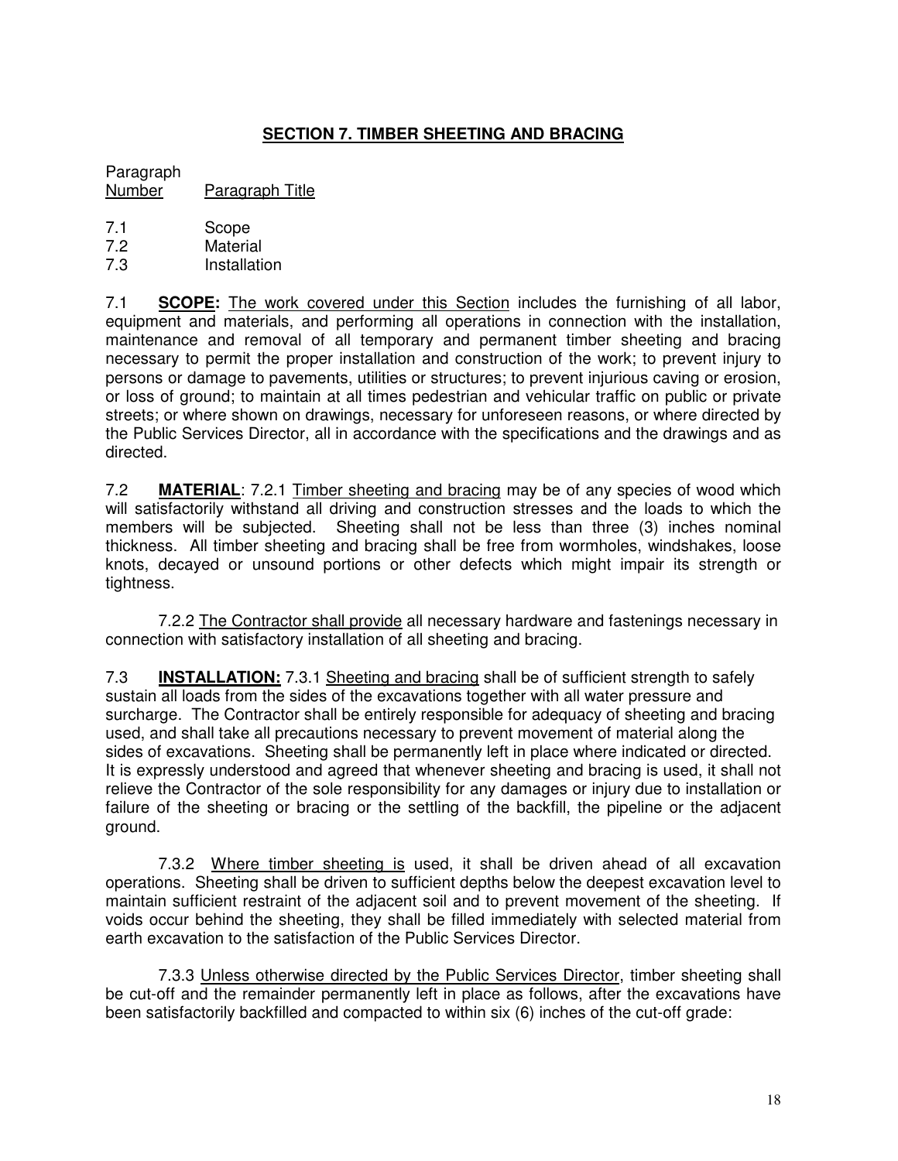# **SECTION 7. TIMBER SHEETING AND BRACING**

#### Paragraph Number Paragraph Title

- 
- 7.1 Scope<br>7.2 Materia Material
- 7.3 Installation

7.1 **SCOPE:** The work covered under this Section includes the furnishing of all labor, equipment and materials, and performing all operations in connection with the installation, maintenance and removal of all temporary and permanent timber sheeting and bracing necessary to permit the proper installation and construction of the work; to prevent injury to persons or damage to pavements, utilities or structures; to prevent injurious caving or erosion, or loss of ground; to maintain at all times pedestrian and vehicular traffic on public or private streets; or where shown on drawings, necessary for unforeseen reasons, or where directed by the Public Services Director, all in accordance with the specifications and the drawings and as directed.

7.2 **MATERIAL**: 7.2.1 Timber sheeting and bracing may be of any species of wood which will satisfactorily withstand all driving and construction stresses and the loads to which the members will be subjected. Sheeting shall not be less than three (3) inches nominal thickness. All timber sheeting and bracing shall be free from wormholes, windshakes, loose knots, decayed or unsound portions or other defects which might impair its strength or tightness.

7.2.2 The Contractor shall provide all necessary hardware and fastenings necessary in connection with satisfactory installation of all sheeting and bracing.

7.3 **INSTALLATION:** 7.3.1 Sheeting and bracing shall be of sufficient strength to safely sustain all loads from the sides of the excavations together with all water pressure and surcharge. The Contractor shall be entirely responsible for adequacy of sheeting and bracing used, and shall take all precautions necessary to prevent movement of material along the sides of excavations. Sheeting shall be permanently left in place where indicated or directed. It is expressly understood and agreed that whenever sheeting and bracing is used, it shall not relieve the Contractor of the sole responsibility for any damages or injury due to installation or failure of the sheeting or bracing or the settling of the backfill, the pipeline or the adjacent ground.

7.3.2 Where timber sheeting is used, it shall be driven ahead of all excavation operations. Sheeting shall be driven to sufficient depths below the deepest excavation level to maintain sufficient restraint of the adjacent soil and to prevent movement of the sheeting. If voids occur behind the sheeting, they shall be filled immediately with selected material from earth excavation to the satisfaction of the Public Services Director.

7.3.3 Unless otherwise directed by the Public Services Director, timber sheeting shall be cut-off and the remainder permanently left in place as follows, after the excavations have been satisfactorily backfilled and compacted to within six (6) inches of the cut-off grade: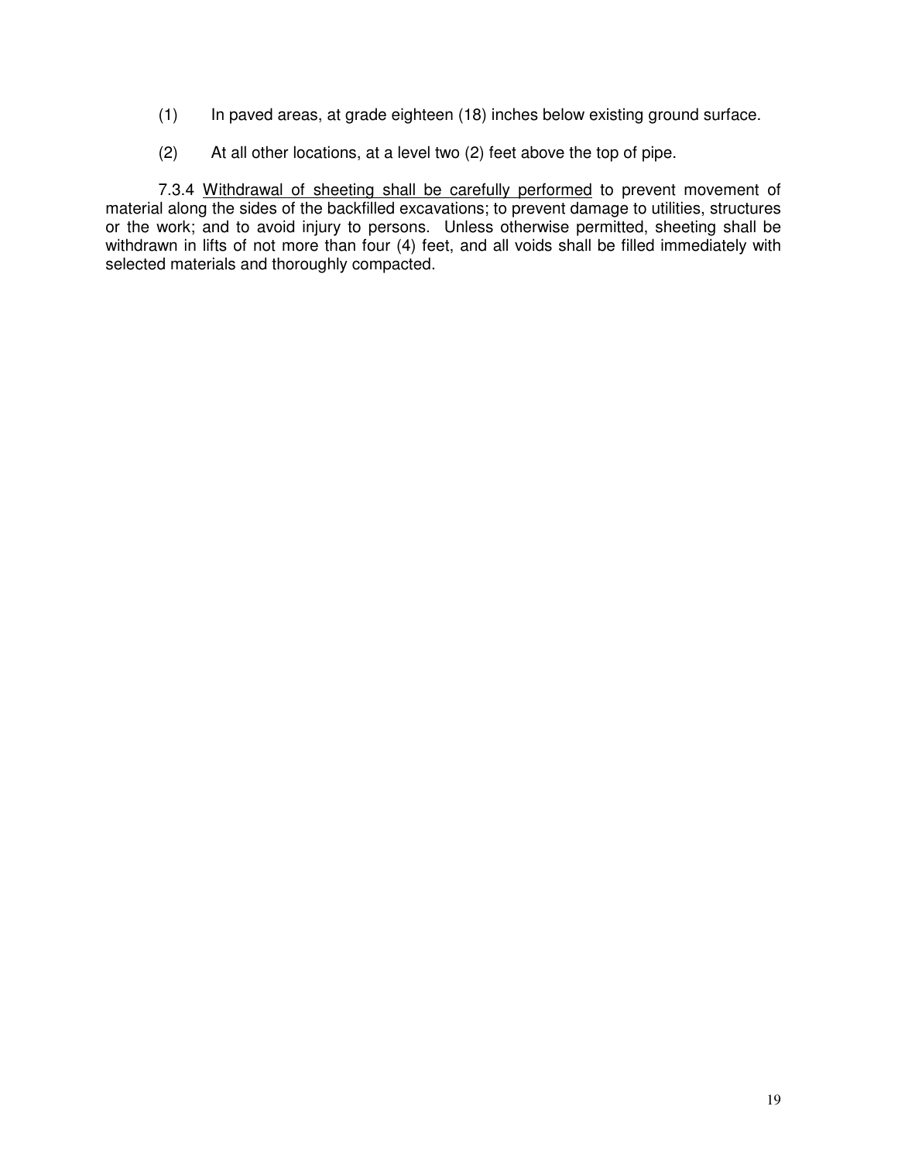- (1) In paved areas, at grade eighteen (18) inches below existing ground surface.
- (2) At all other locations, at a level two (2) feet above the top of pipe.

7.3.4 Withdrawal of sheeting shall be carefully performed to prevent movement of material along the sides of the backfilled excavations; to prevent damage to utilities, structures or the work; and to avoid injury to persons. Unless otherwise permitted, sheeting shall be withdrawn in lifts of not more than four (4) feet, and all voids shall be filled immediately with selected materials and thoroughly compacted.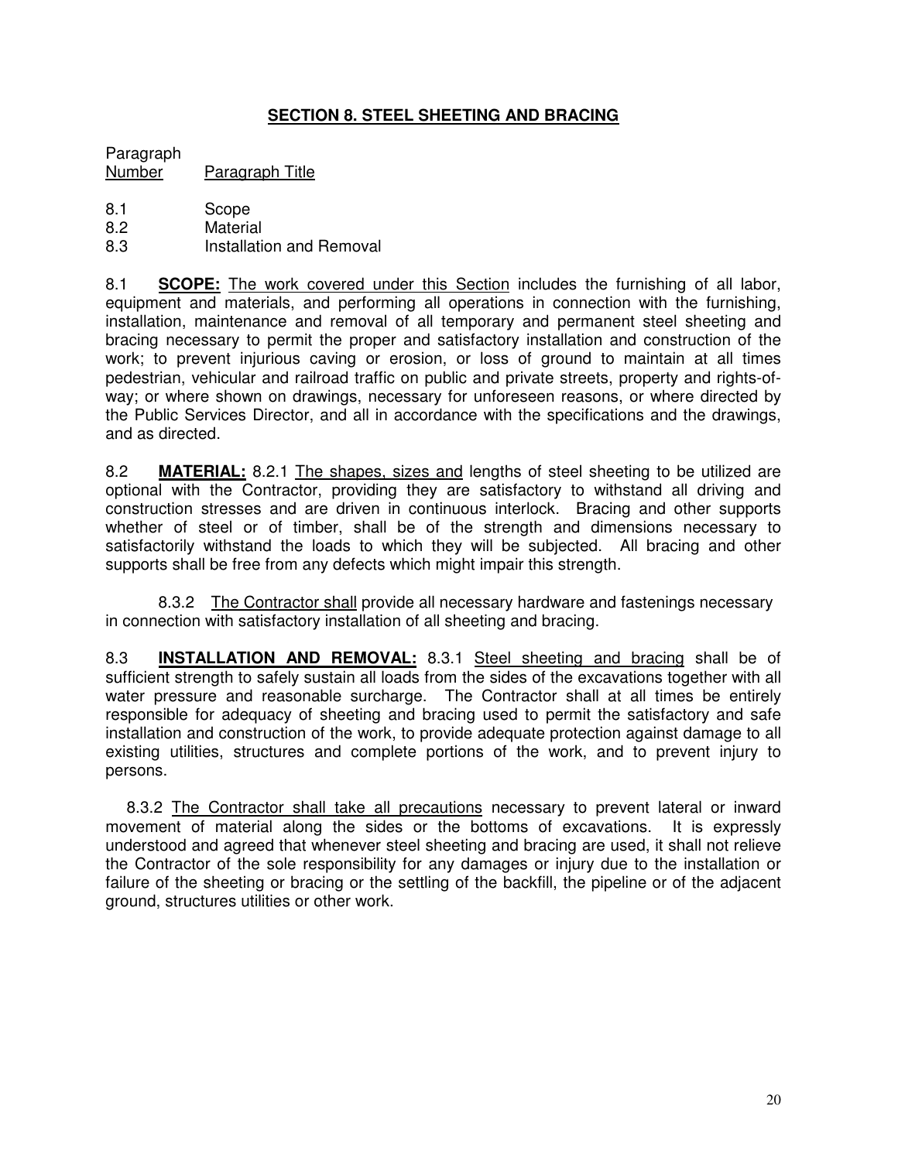# **SECTION 8. STEEL SHEETING AND BRACING**

Paragraph Number Paragraph Title

- 8.1 Scope
- 8.2 Material
- 8.3 Installation and Removal

8.1 **SCOPE:** The work covered under this Section includes the furnishing of all labor, equipment and materials, and performing all operations in connection with the furnishing, installation, maintenance and removal of all temporary and permanent steel sheeting and bracing necessary to permit the proper and satisfactory installation and construction of the work; to prevent injurious caving or erosion, or loss of ground to maintain at all times pedestrian, vehicular and railroad traffic on public and private streets, property and rights-ofway; or where shown on drawings, necessary for unforeseen reasons, or where directed by the Public Services Director, and all in accordance with the specifications and the drawings, and as directed.

8.2 **MATERIAL:** 8.2.1 The shapes, sizes and lengths of steel sheeting to be utilized are optional with the Contractor, providing they are satisfactory to withstand all driving and construction stresses and are driven in continuous interlock. Bracing and other supports whether of steel or of timber, shall be of the strength and dimensions necessary to satisfactorily withstand the loads to which they will be subjected. All bracing and other supports shall be free from any defects which might impair this strength.

8.3.2 The Contractor shall provide all necessary hardware and fastenings necessary in connection with satisfactory installation of all sheeting and bracing.

8.3 **INSTALLATION AND REMOVAL:** 8.3.1 Steel sheeting and bracing shall be of sufficient strength to safely sustain all loads from the sides of the excavations together with all water pressure and reasonable surcharge. The Contractor shall at all times be entirely responsible for adequacy of sheeting and bracing used to permit the satisfactory and safe installation and construction of the work, to provide adequate protection against damage to all existing utilities, structures and complete portions of the work, and to prevent injury to persons.

8.3.2 The Contractor shall take all precautions necessary to prevent lateral or inward movement of material along the sides or the bottoms of excavations. It is expressly understood and agreed that whenever steel sheeting and bracing are used, it shall not relieve the Contractor of the sole responsibility for any damages or injury due to the installation or failure of the sheeting or bracing or the settling of the backfill, the pipeline or of the adjacent ground, structures utilities or other work.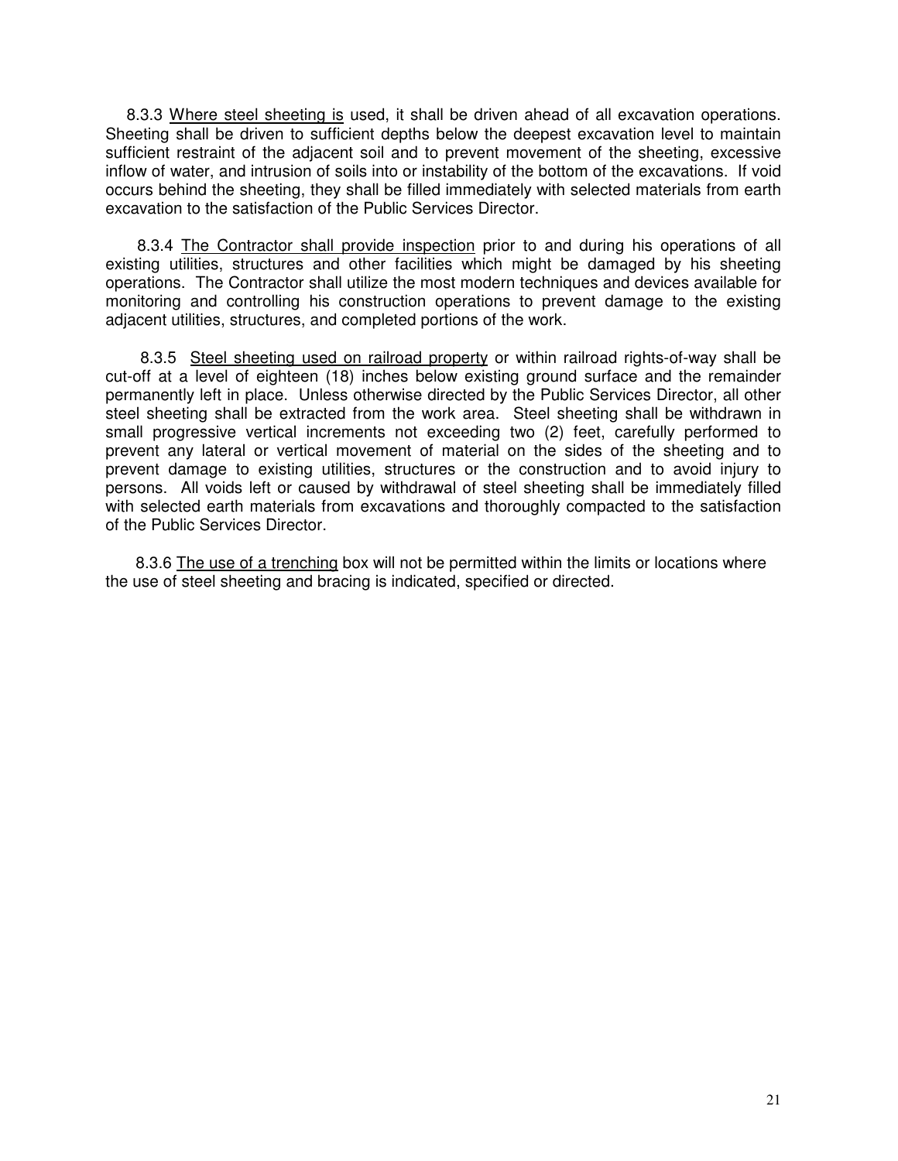8.3.3 Where steel sheeting is used, it shall be driven ahead of all excavation operations. Sheeting shall be driven to sufficient depths below the deepest excavation level to maintain sufficient restraint of the adjacent soil and to prevent movement of the sheeting, excessive inflow of water, and intrusion of soils into or instability of the bottom of the excavations. If void occurs behind the sheeting, they shall be filled immediately with selected materials from earth excavation to the satisfaction of the Public Services Director.

8.3.4 The Contractor shall provide inspection prior to and during his operations of all existing utilities, structures and other facilities which might be damaged by his sheeting operations. The Contractor shall utilize the most modern techniques and devices available for monitoring and controlling his construction operations to prevent damage to the existing adjacent utilities, structures, and completed portions of the work.

8.3.5 Steel sheeting used on railroad property or within railroad rights-of-way shall be cut-off at a level of eighteen (18) inches below existing ground surface and the remainder permanently left in place. Unless otherwise directed by the Public Services Director, all other steel sheeting shall be extracted from the work area. Steel sheeting shall be withdrawn in small progressive vertical increments not exceeding two (2) feet, carefully performed to prevent any lateral or vertical movement of material on the sides of the sheeting and to prevent damage to existing utilities, structures or the construction and to avoid injury to persons. All voids left or caused by withdrawal of steel sheeting shall be immediately filled with selected earth materials from excavations and thoroughly compacted to the satisfaction of the Public Services Director.

8.3.6 The use of a trenching box will not be permitted within the limits or locations where the use of steel sheeting and bracing is indicated, specified or directed.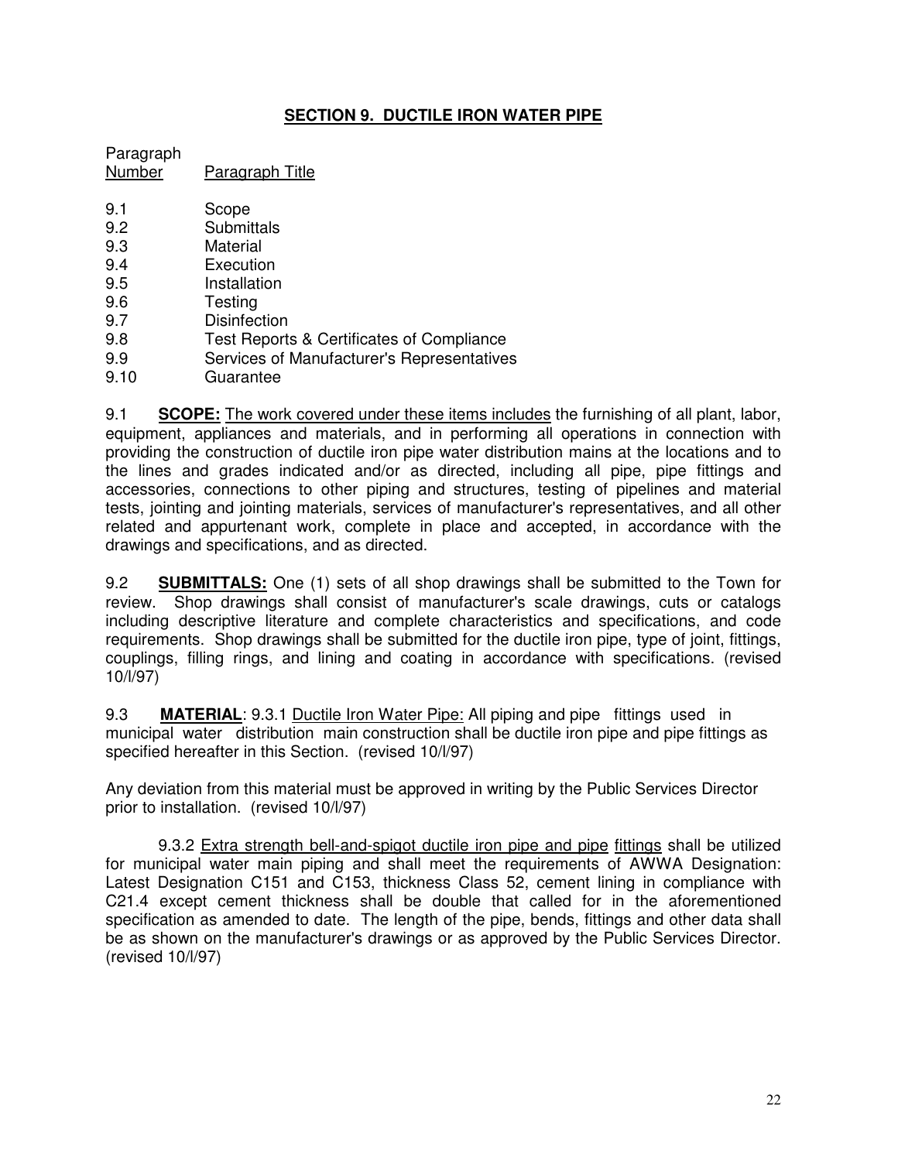# **SECTION 9. DUCTILE IRON WATER PIPE**

Paragraph Number Paragraph Title

- 9.1 Scope 9.2 Submittals
- 9.3 Material
- 9.4 Execution
- 9.5 Installation
- 9.6 Testing
- 9.7 Disinfection
- 9.8 Test Reports & Certificates of Compliance
- 9.9 Services of Manufacturer's Representatives
- 9.10 Guarantee

9.1 **SCOPE:** The work covered under these items includes the furnishing of all plant, labor, equipment, appliances and materials, and in performing all operations in connection with providing the construction of ductile iron pipe water distribution mains at the locations and to the lines and grades indicated and/or as directed, including all pipe, pipe fittings and accessories, connections to other piping and structures, testing of pipelines and material tests, jointing and jointing materials, services of manufacturer's representatives, and all other related and appurtenant work, complete in place and accepted, in accordance with the drawings and specifications, and as directed.

9.2 **SUBMITTALS:** One (1) sets of all shop drawings shall be submitted to the Town for review. Shop drawings shall consist of manufacturer's scale drawings, cuts or catalogs including descriptive literature and complete characteristics and specifications, and code requirements. Shop drawings shall be submitted for the ductile iron pipe, type of joint, fittings, couplings, filling rings, and lining and coating in accordance with specifications. (revised 10/l/97)

9.3 **MATERIAL**: 9.3.1 Ductile Iron Water Pipe: All piping and pipe fittings used in municipal water distribution main construction shall be ductile iron pipe and pipe fittings as specified hereafter in this Section. (revised 10/l/97)

Any deviation from this material must be approved in writing by the Public Services Director prior to installation. (revised 10/l/97)

9.3.2 Extra strength bell-and-spigot ductile iron pipe and pipe fittings shall be utilized for municipal water main piping and shall meet the requirements of AWWA Designation: Latest Designation C151 and C153, thickness Class 52, cement lining in compliance with C21.4 except cement thickness shall be double that called for in the aforementioned specification as amended to date. The length of the pipe, bends, fittings and other data shall be as shown on the manufacturer's drawings or as approved by the Public Services Director. (revised 10/l/97)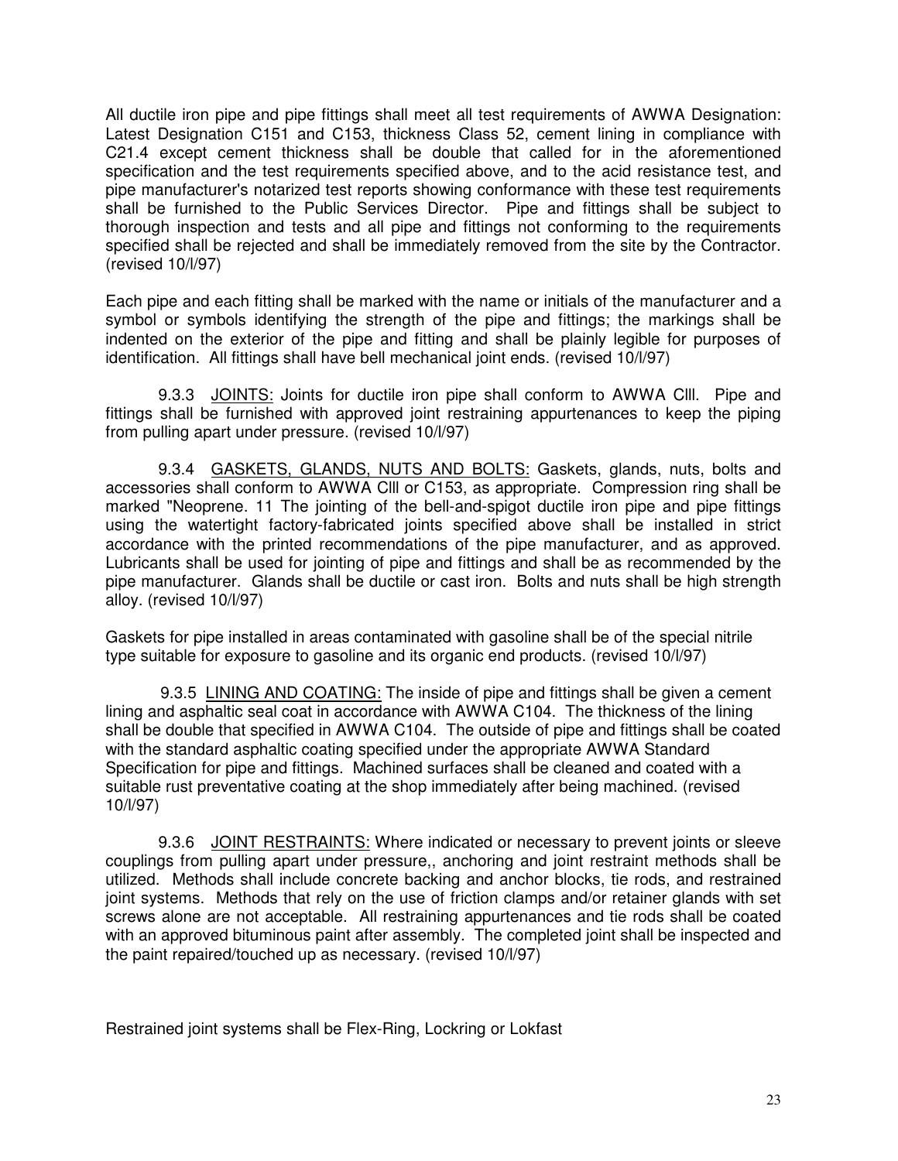All ductile iron pipe and pipe fittings shall meet all test requirements of AWWA Designation: Latest Designation C151 and C153, thickness Class 52, cement lining in compliance with C21.4 except cement thickness shall be double that called for in the aforementioned specification and the test requirements specified above, and to the acid resistance test, and pipe manufacturer's notarized test reports showing conformance with these test requirements shall be furnished to the Public Services Director. Pipe and fittings shall be subject to thorough inspection and tests and all pipe and fittings not conforming to the requirements specified shall be rejected and shall be immediately removed from the site by the Contractor. (revised 10/l/97)

Each pipe and each fitting shall be marked with the name or initials of the manufacturer and a symbol or symbols identifying the strength of the pipe and fittings; the markings shall be indented on the exterior of the pipe and fitting and shall be plainly legible for purposes of identification. All fittings shall have bell mechanical joint ends. (revised 10/l/97)

9.3.3 JOINTS: Joints for ductile iron pipe shall conform to AWWA CIII. Pipe and fittings shall be furnished with approved joint restraining appurtenances to keep the piping from pulling apart under pressure. (revised 10/l/97)

9.3.4 GASKETS, GLANDS, NUTS AND BOLTS: Gaskets, glands, nuts, bolts and accessories shall conform to AWWA Clll or C153, as appropriate. Compression ring shall be marked "Neoprene. 11 The jointing of the bell-and-spigot ductile iron pipe and pipe fittings using the watertight factory-fabricated joints specified above shall be installed in strict accordance with the printed recommendations of the pipe manufacturer, and as approved. Lubricants shall be used for jointing of pipe and fittings and shall be as recommended by the pipe manufacturer. Glands shall be ductile or cast iron. Bolts and nuts shall be high strength alloy. (revised 10/l/97)

Gaskets for pipe installed in areas contaminated with gasoline shall be of the special nitrile type suitable for exposure to gasoline and its organic end products. (revised 10/l/97)

9.3.5 LINING AND COATING: The inside of pipe and fittings shall be given a cement lining and asphaltic seal coat in accordance with AWWA C104. The thickness of the lining shall be double that specified in AWWA C104. The outside of pipe and fittings shall be coated with the standard asphaltic coating specified under the appropriate AWWA Standard Specification for pipe and fittings. Machined surfaces shall be cleaned and coated with a suitable rust preventative coating at the shop immediately after being machined. (revised 10/l/97)

9.3.6 JOINT RESTRAINTS: Where indicated or necessary to prevent joints or sleeve couplings from pulling apart under pressure,, anchoring and joint restraint methods shall be utilized. Methods shall include concrete backing and anchor blocks, tie rods, and restrained joint systems. Methods that rely on the use of friction clamps and/or retainer glands with set screws alone are not acceptable. All restraining appurtenances and tie rods shall be coated with an approved bituminous paint after assembly. The completed joint shall be inspected and the paint repaired/touched up as necessary. (revised 10/l/97)

Restrained joint systems shall be Flex-Ring, Lockring or Lokfast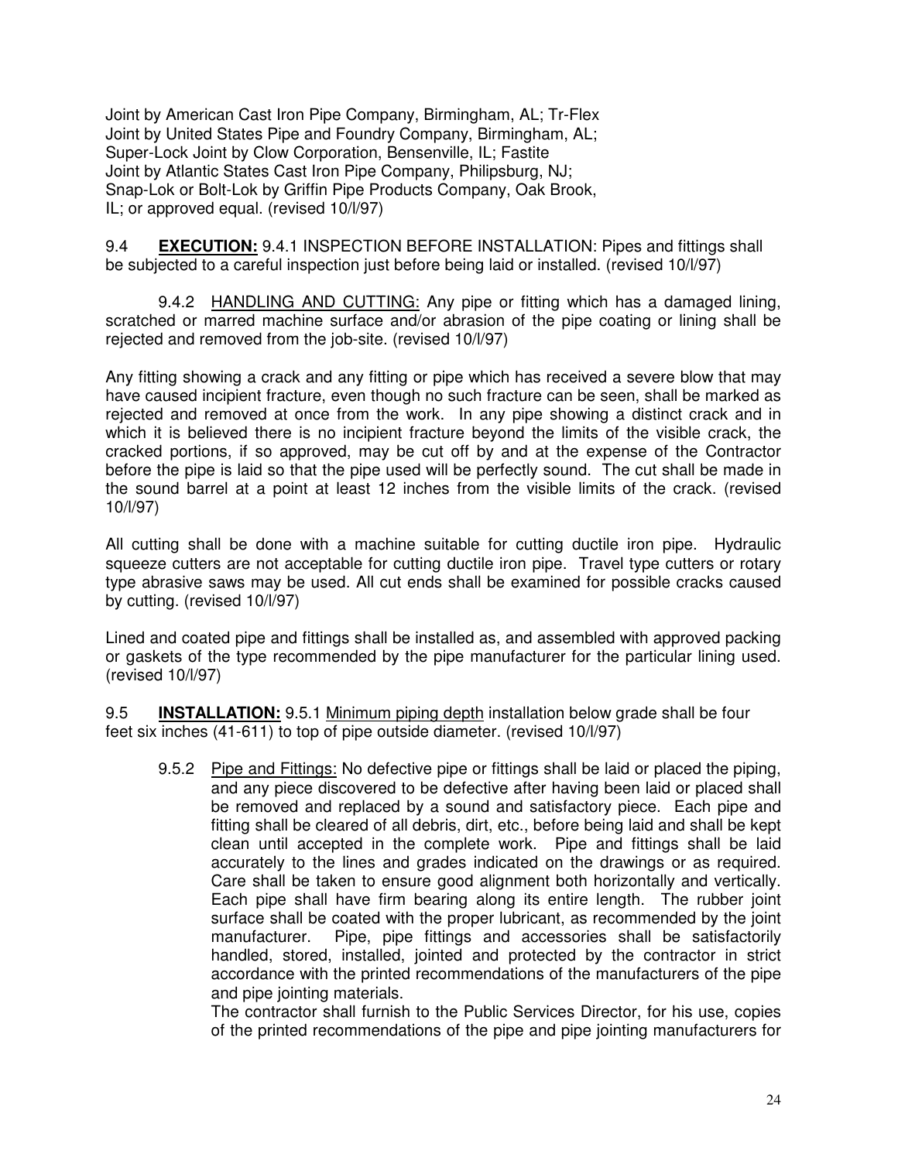Joint by American Cast Iron Pipe Company, Birmingham, AL; Tr-Flex Joint by United States Pipe and Foundry Company, Birmingham, AL; Super-Lock Joint by Clow Corporation, Bensenville, IL; Fastite Joint by Atlantic States Cast Iron Pipe Company, Philipsburg, NJ; Snap-Lok or Bolt-Lok by Griffin Pipe Products Company, Oak Brook, IL; or approved equal. (revised 10/l/97)

9.4 **EXECUTION:** 9.4.1 INSPECTION BEFORE INSTALLATION: Pipes and fittings shall be subjected to a careful inspection just before being laid or installed. (revised 10/l/97)

9.4.2 HANDLING AND CUTTING: Any pipe or fitting which has a damaged lining, scratched or marred machine surface and/or abrasion of the pipe coating or lining shall be rejected and removed from the job-site. (revised 10/l/97)

Any fitting showing a crack and any fitting or pipe which has received a severe blow that may have caused incipient fracture, even though no such fracture can be seen, shall be marked as rejected and removed at once from the work. In any pipe showing a distinct crack and in which it is believed there is no incipient fracture beyond the limits of the visible crack, the cracked portions, if so approved, may be cut off by and at the expense of the Contractor before the pipe is laid so that the pipe used will be perfectly sound. The cut shall be made in the sound barrel at a point at least 12 inches from the visible limits of the crack. (revised 10/l/97)

All cutting shall be done with a machine suitable for cutting ductile iron pipe. Hydraulic squeeze cutters are not acceptable for cutting ductile iron pipe. Travel type cutters or rotary type abrasive saws may be used. All cut ends shall be examined for possible cracks caused by cutting. (revised 10/l/97)

Lined and coated pipe and fittings shall be installed as, and assembled with approved packing or gaskets of the type recommended by the pipe manufacturer for the particular lining used. (revised 10/l/97)

9.5 **INSTALLATION:** 9.5.1 Minimum piping depth installation below grade shall be four feet six inches (41-611) to top of pipe outside diameter. (revised 10/l/97)

9.5.2 Pipe and Fittings: No defective pipe or fittings shall be laid or placed the piping, and any piece discovered to be defective after having been laid or placed shall be removed and replaced by a sound and satisfactory piece. Each pipe and fitting shall be cleared of all debris, dirt, etc., before being laid and shall be kept clean until accepted in the complete work. Pipe and fittings shall be laid accurately to the lines and grades indicated on the drawings or as required. Care shall be taken to ensure good alignment both horizontally and vertically. Each pipe shall have firm bearing along its entire length. The rubber joint surface shall be coated with the proper lubricant, as recommended by the joint manufacturer. Pipe, pipe fittings and accessories shall be satisfactorily handled, stored, installed, jointed and protected by the contractor in strict accordance with the printed recommendations of the manufacturers of the pipe and pipe jointing materials.

The contractor shall furnish to the Public Services Director, for his use, copies of the printed recommendations of the pipe and pipe jointing manufacturers for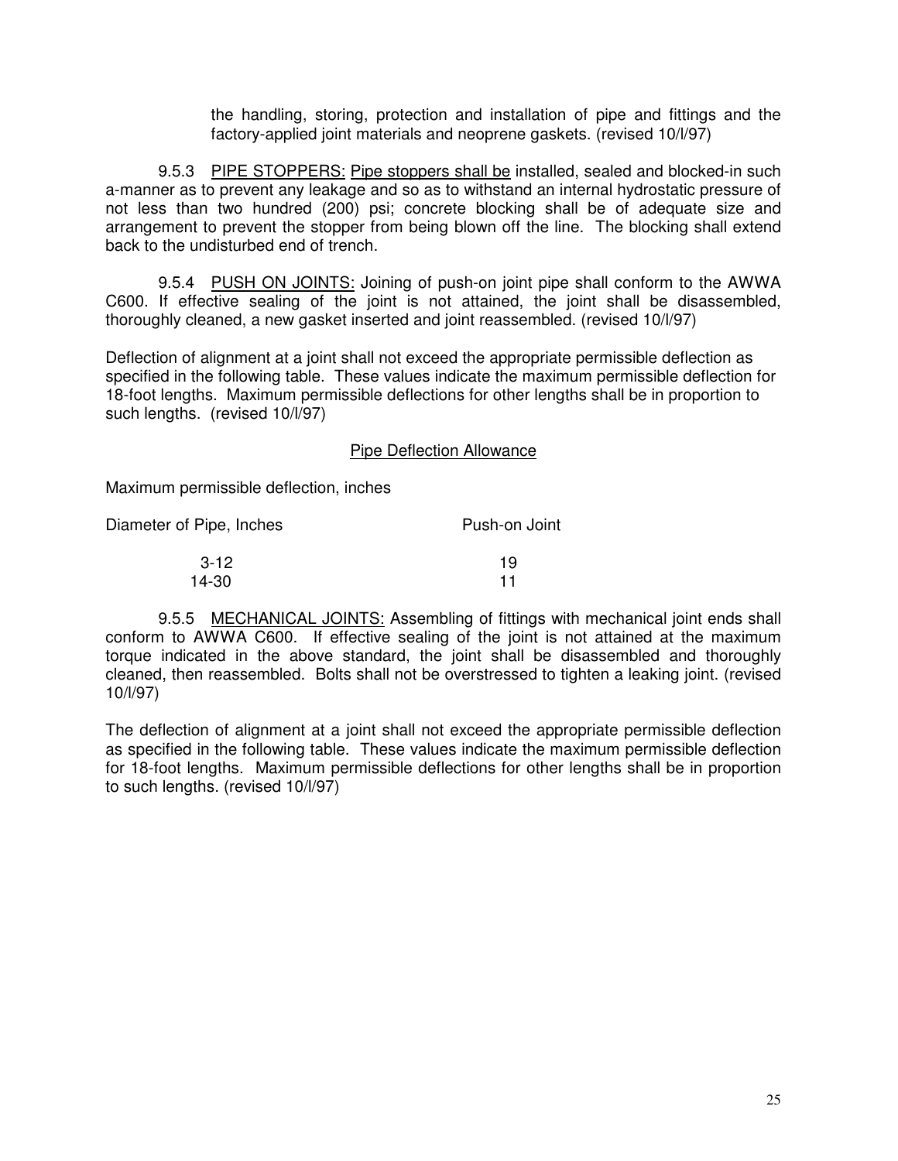the handling, storing, protection and installation of pipe and fittings and the factory-applied joint materials and neoprene gaskets. (revised 10/l/97)

9.5.3 PIPE STOPPERS: Pipe stoppers shall be installed, sealed and blocked-in such a-manner as to prevent any leakage and so as to withstand an internal hydrostatic pressure of not less than two hundred (200) psi; concrete blocking shall be of adequate size and arrangement to prevent the stopper from being blown off the line. The blocking shall extend back to the undisturbed end of trench.

9.5.4 PUSH ON JOINTS: Joining of push-on joint pipe shall conform to the AWWA C600. If effective sealing of the joint is not attained, the joint shall be disassembled, thoroughly cleaned, a new gasket inserted and joint reassembled. (revised 10/l/97)

Deflection of alignment at a joint shall not exceed the appropriate permissible deflection as specified in the following table. These values indicate the maximum permissible deflection for 18-foot lengths. Maximum permissible deflections for other lengths shall be in proportion to such lengths. (revised 10/l/97)

#### Pipe Deflection Allowance

Maximum permissible deflection, inches

| Diameter of Pipe, Inches | Push-on Joint |  |
|--------------------------|---------------|--|
| $3 - 12$                 | 19            |  |
| 14-30                    | 11            |  |

9.5.5 MECHANICAL JOINTS: Assembling of fittings with mechanical joint ends shall conform to AWWA C600. If effective sealing of the joint is not attained at the maximum torque indicated in the above standard, the joint shall be disassembled and thoroughly cleaned, then reassembled. Bolts shall not be overstressed to tighten a leaking joint. (revised 10/l/97)

The deflection of alignment at a joint shall not exceed the appropriate permissible deflection as specified in the following table. These values indicate the maximum permissible deflection for 18-foot lengths. Maximum permissible deflections for other lengths shall be in proportion to such lengths. (revised 10/l/97)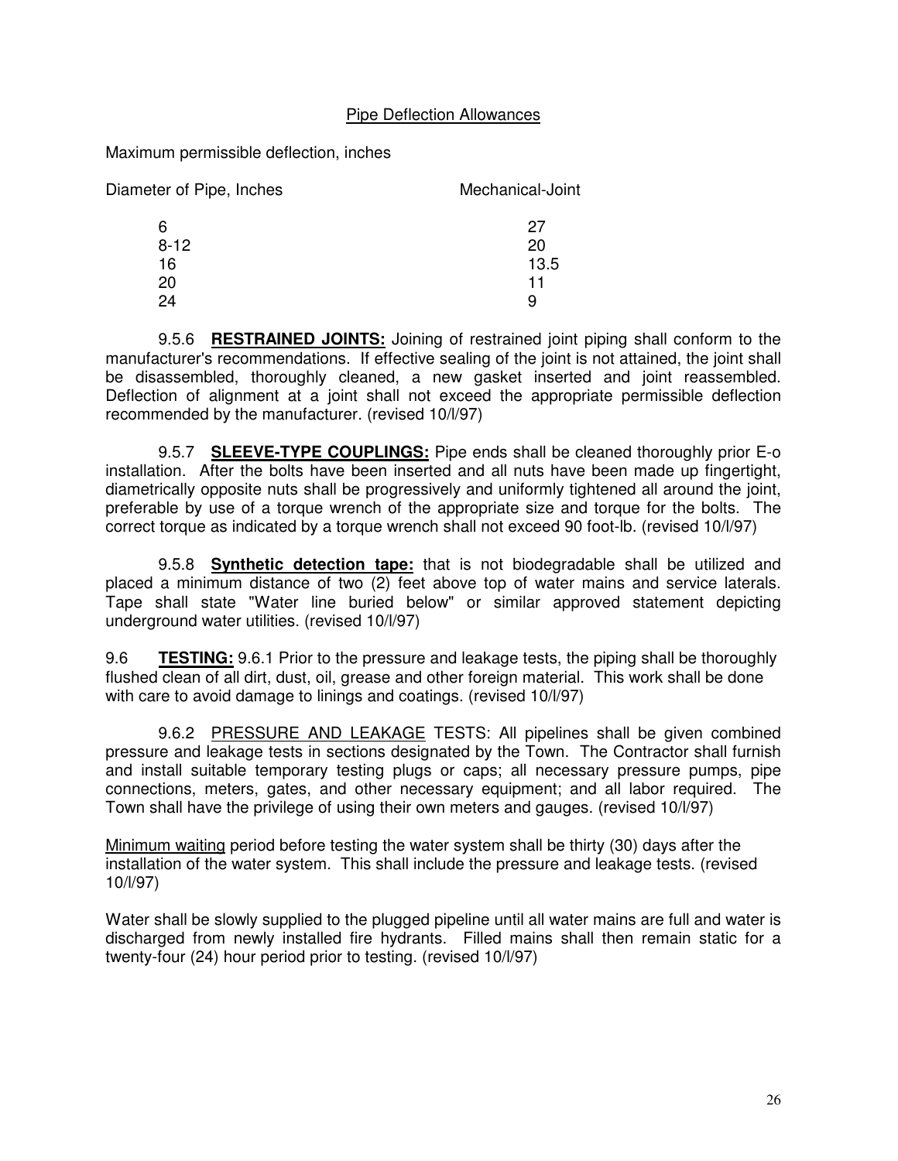# Pipe Deflection Allowances

Maximum permissible deflection, inches

| Diameter of Pipe, Inches | Mechanical-Joint |  |
|--------------------------|------------------|--|
| 6                        | 27               |  |
| $8 - 12$                 | 20               |  |
| 16                       | 13.5             |  |
| 20                       | 11               |  |
|                          |                  |  |

9.5.6 **RESTRAINED JOINTS:** Joining of restrained joint piping shall conform to the manufacturer's recommendations. If effective sealing of the joint is not attained, the joint shall be disassembled, thoroughly cleaned, a new gasket inserted and joint reassembled. Deflection of alignment at a joint shall not exceed the appropriate permissible deflection recommended by the manufacturer. (revised 10/l/97)

9.5.7 **SLEEVE-TYPE COUPLINGS:** Pipe ends shall be cleaned thoroughly prior E-o installation. After the bolts have been inserted and all nuts have been made up fingertight, diametrically opposite nuts shall be progressively and uniformly tightened all around the joint, preferable by use of a torque wrench of the appropriate size and torque for the bolts. The correct torque as indicated by a torque wrench shall not exceed 90 foot-lb. (revised 10/l/97)

9.5.8 **Synthetic detection tape:** that is not biodegradable shall be utilized and placed a minimum distance of two (2) feet above top of water mains and service laterals. Tape shall state "Water line buried below" or similar approved statement depicting underground water utilities. (revised 10/l/97)

9.6 **TESTING:** 9.6.1 Prior to the pressure and leakage tests, the piping shall be thoroughly flushed clean of all dirt, dust, oil, grease and other foreign material. This work shall be done with care to avoid damage to linings and coatings. (revised 10/l/97)

9.6.2 PRESSURE AND LEAKAGE TESTS: All pipelines shall be given combined pressure and leakage tests in sections designated by the Town. The Contractor shall furnish and install suitable temporary testing plugs or caps; all necessary pressure pumps, pipe connections, meters, gates, and other necessary equipment; and all labor required. The Town shall have the privilege of using their own meters and gauges. (revised 10/l/97)

Minimum waiting period before testing the water system shall be thirty (30) days after the installation of the water system. This shall include the pressure and leakage tests. (revised 10/l/97)

Water shall be slowly supplied to the plugged pipeline until all water mains are full and water is discharged from newly installed fire hydrants. Filled mains shall then remain static for a twenty-four (24) hour period prior to testing. (revised 10/l/97)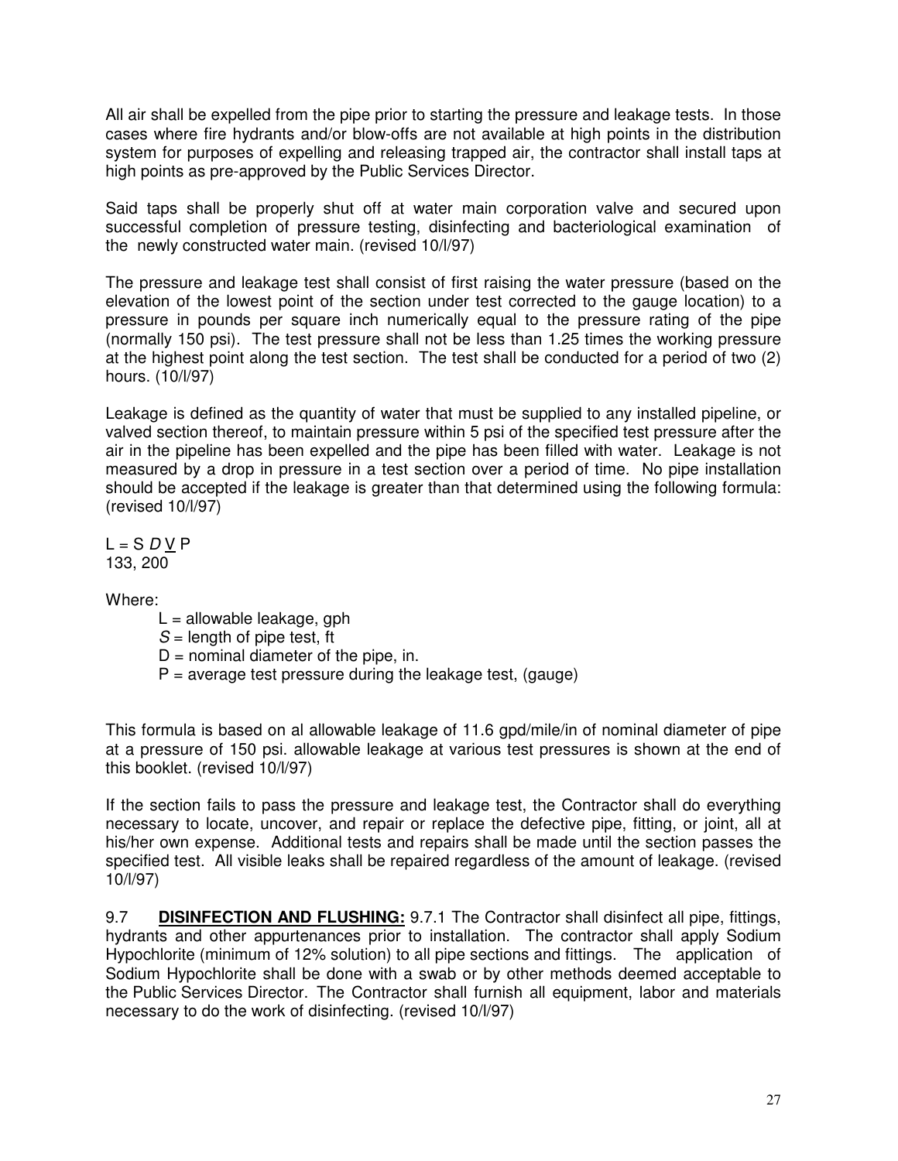All air shall be expelled from the pipe prior to starting the pressure and leakage tests. In those cases where fire hydrants and/or blow-offs are not available at high points in the distribution system for purposes of expelling and releasing trapped air, the contractor shall install taps at high points as pre-approved by the Public Services Director.

Said taps shall be properly shut off at water main corporation valve and secured upon successful completion of pressure testing, disinfecting and bacteriological examination of the newly constructed water main. (revised 10/l/97)

The pressure and leakage test shall consist of first raising the water pressure (based on the elevation of the lowest point of the section under test corrected to the gauge location) to a pressure in pounds per square inch numerically equal to the pressure rating of the pipe (normally 150 psi). The test pressure shall not be less than 1.25 times the working pressure at the highest point along the test section. The test shall be conducted for a period of two (2) hours. (10/l/97)

Leakage is defined as the quantity of water that must be supplied to any installed pipeline, or valved section thereof, to maintain pressure within 5 psi of the specified test pressure after the air in the pipeline has been expelled and the pipe has been filled with water. Leakage is not measured by a drop in pressure in a test section over a period of time. No pipe installation should be accepted if the leakage is greater than that determined using the following formula: (revised 10/l/97)

L = S *D* V P 133, 200

Where:

- $L =$  allowable leakage, gph
- *S* = length of pipe test, ft
- $D =$  nominal diameter of the pipe, in.
- $P =$  average test pressure during the leakage test, (gauge)

This formula is based on al allowable leakage of 11.6 gpd/mile/in of nominal diameter of pipe at a pressure of 150 psi. allowable leakage at various test pressures is shown at the end of this booklet. (revised 10/l/97)

If the section fails to pass the pressure and leakage test, the Contractor shall do everything necessary to locate, uncover, and repair or replace the defective pipe, fitting, or joint, all at his/her own expense. Additional tests and repairs shall be made until the section passes the specified test. All visible leaks shall be repaired regardless of the amount of leakage. (revised 10/l/97)

9.7 **DISINFECTION AND FLUSHING:** 9.7.1 The Contractor shall disinfect all pipe, fittings, hydrants and other appurtenances prior to installation. The contractor shall apply Sodium Hypochlorite (minimum of 12% solution) to all pipe sections and fittings. The application of Sodium Hypochlorite shall be done with a swab or by other methods deemed acceptable to the Public Services Director. The Contractor shall furnish all equipment, labor and materials necessary to do the work of disinfecting. (revised 10/l/97)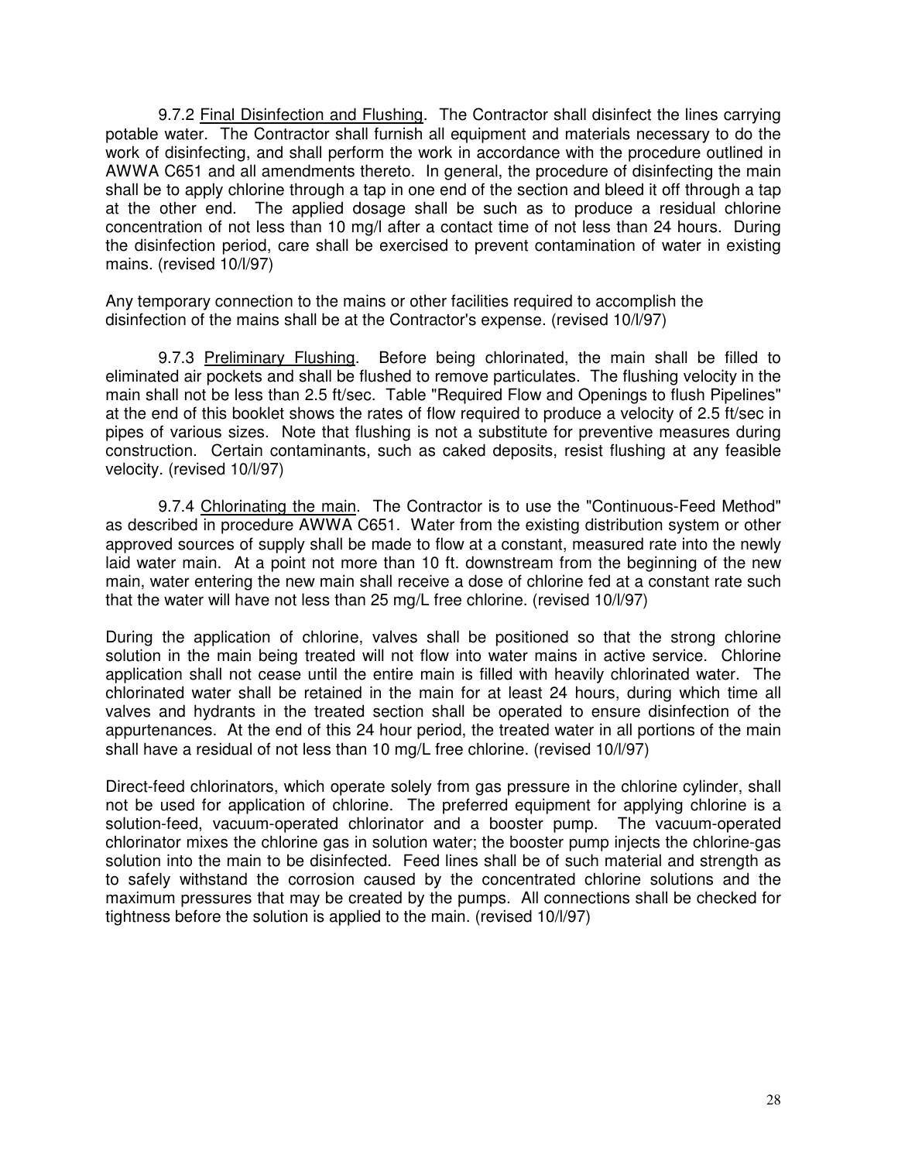9.7.2 Final Disinfection and Flushing. The Contractor shall disinfect the lines carrying potable water. The Contractor shall furnish all equipment and materials necessary to do the work of disinfecting, and shall perform the work in accordance with the procedure outlined in AWWA C651 and all amendments thereto. In general, the procedure of disinfecting the main shall be to apply chlorine through a tap in one end of the section and bleed it off through a tap at the other end. The applied dosage shall be such as to produce a residual chlorine concentration of not less than 10 mg/l after a contact time of not less than 24 hours. During the disinfection period, care shall be exercised to prevent contamination of water in existing mains. (revised 10/l/97)

Any temporary connection to the mains or other facilities required to accomplish the disinfection of the mains shall be at the Contractor's expense. (revised 10/l/97)

9.7.3 Preliminary Flushing. Before being chlorinated, the main shall be filled to eliminated air pockets and shall be flushed to remove particulates. The flushing velocity in the main shall not be less than 2.5 ft/sec. Table "Required Flow and Openings to flush Pipelines" at the end of this booklet shows the rates of flow required to produce a velocity of 2.5 ft/sec in pipes of various sizes. Note that flushing is not a substitute for preventive measures during construction. Certain contaminants, such as caked deposits, resist flushing at any feasible velocity. (revised 10/l/97)

9.7.4 Chlorinating the main. The Contractor is to use the "Continuous-Feed Method" as described in procedure AWWA C651. Water from the existing distribution system or other approved sources of supply shall be made to flow at a constant, measured rate into the newly laid water main. At a point not more than 10 ft. downstream from the beginning of the new main, water entering the new main shall receive a dose of chlorine fed at a constant rate such that the water will have not less than 25 mg/L free chlorine. (revised 10/l/97)

During the application of chlorine, valves shall be positioned so that the strong chlorine solution in the main being treated will not flow into water mains in active service. Chlorine application shall not cease until the entire main is filled with heavily chlorinated water. The chlorinated water shall be retained in the main for at least 24 hours, during which time all valves and hydrants in the treated section shall be operated to ensure disinfection of the appurtenances. At the end of this 24 hour period, the treated water in all portions of the main shall have a residual of not less than 10 mg/L free chlorine. (revised 10/l/97)

Direct-feed chlorinators, which operate solely from gas pressure in the chlorine cylinder, shall not be used for application of chlorine. The preferred equipment for applying chlorine is a solution-feed, vacuum-operated chlorinator and a booster pump. The vacuum-operated chlorinator mixes the chlorine gas in solution water; the booster pump injects the chlorine-gas solution into the main to be disinfected. Feed lines shall be of such material and strength as to safely withstand the corrosion caused by the concentrated chlorine solutions and the maximum pressures that may be created by the pumps. All connections shall be checked for tightness before the solution is applied to the main. (revised 10/l/97)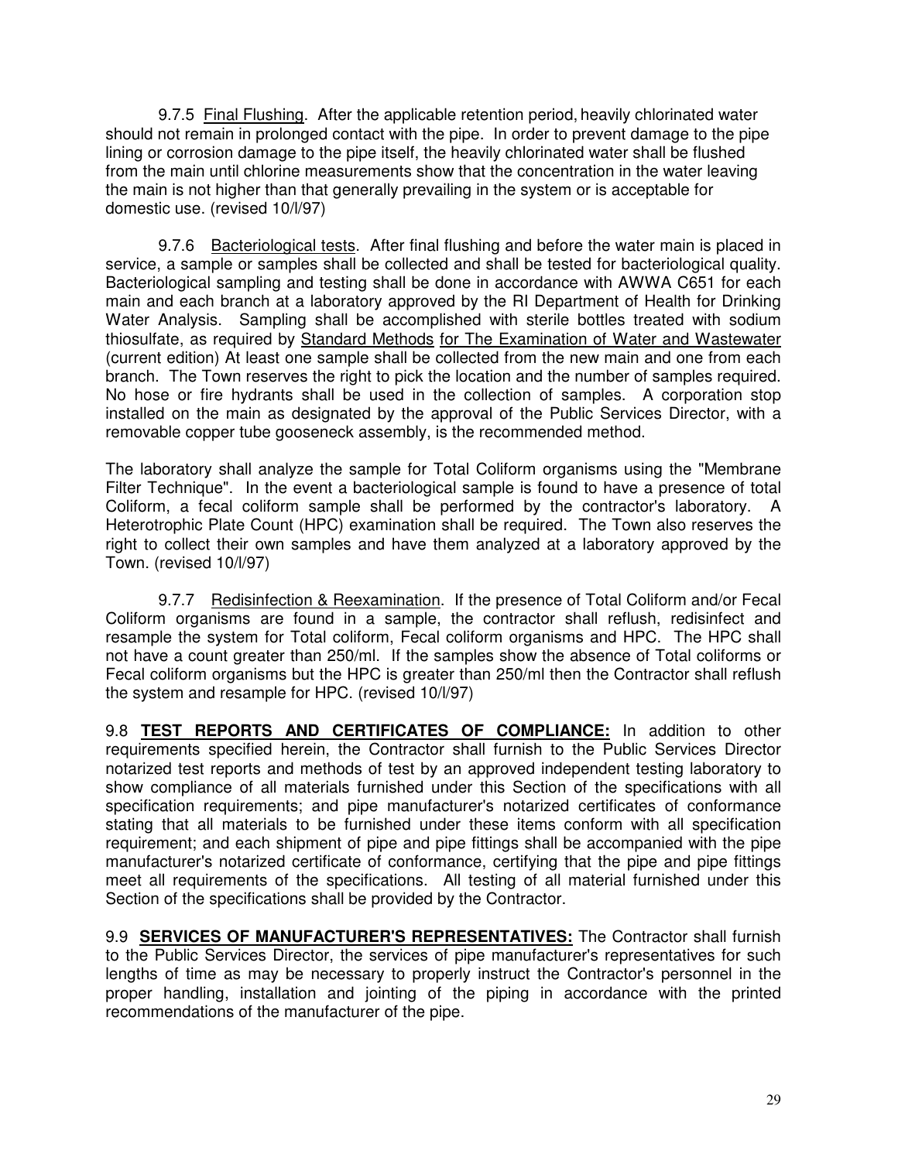9.7.5 Final Flushing. After the applicable retention period, heavily chlorinated water should not remain in prolonged contact with the pipe. In order to prevent damage to the pipe lining or corrosion damage to the pipe itself, the heavily chlorinated water shall be flushed from the main until chlorine measurements show that the concentration in the water leaving the main is not higher than that generally prevailing in the system or is acceptable for domestic use. (revised 10/l/97)

9.7.6 Bacteriological tests. After final flushing and before the water main is placed in service, a sample or samples shall be collected and shall be tested for bacteriological quality. Bacteriological sampling and testing shall be done in accordance with AWWA C651 for each main and each branch at a laboratory approved by the RI Department of Health for Drinking Water Analysis. Sampling shall be accomplished with sterile bottles treated with sodium thiosulfate, as required by Standard Methods for The Examination of Water and Wastewater (current edition) At least one sample shall be collected from the new main and one from each branch. The Town reserves the right to pick the location and the number of samples required. No hose or fire hydrants shall be used in the collection of samples. A corporation stop installed on the main as designated by the approval of the Public Services Director, with a removable copper tube gooseneck assembly, is the recommended method.

The laboratory shall analyze the sample for Total Coliform organisms using the "Membrane Filter Technique". In the event a bacteriological sample is found to have a presence of total Coliform, a fecal coliform sample shall be performed by the contractor's laboratory. A Heterotrophic Plate Count (HPC) examination shall be required. The Town also reserves the right to collect their own samples and have them analyzed at a laboratory approved by the Town. (revised 10/l/97)

9.7.7 Redisinfection & Reexamination. If the presence of Total Coliform and/or Fecal Coliform organisms are found in a sample, the contractor shall reflush, redisinfect and resample the system for Total coliform, Fecal coliform organisms and HPC. The HPC shall not have a count greater than 250/ml. If the samples show the absence of Total coliforms or Fecal coliform organisms but the HPC is greater than 250/ml then the Contractor shall reflush the system and resample for HPC. (revised 10/l/97)

9.8 **TEST REPORTS AND CERTIFICATES OF COMPLIANCE:** In addition to other requirements specified herein, the Contractor shall furnish to the Public Services Director notarized test reports and methods of test by an approved independent testing laboratory to show compliance of all materials furnished under this Section of the specifications with all specification requirements; and pipe manufacturer's notarized certificates of conformance stating that all materials to be furnished under these items conform with all specification requirement; and each shipment of pipe and pipe fittings shall be accompanied with the pipe manufacturer's notarized certificate of conformance, certifying that the pipe and pipe fittings meet all requirements of the specifications. All testing of all material furnished under this Section of the specifications shall be provided by the Contractor.

9.9 **SERVICES OF MANUFACTURER'S REPRESENTATIVES:** The Contractor shall furnish to the Public Services Director, the services of pipe manufacturer's representatives for such lengths of time as may be necessary to properly instruct the Contractor's personnel in the proper handling, installation and jointing of the piping in accordance with the printed recommendations of the manufacturer of the pipe.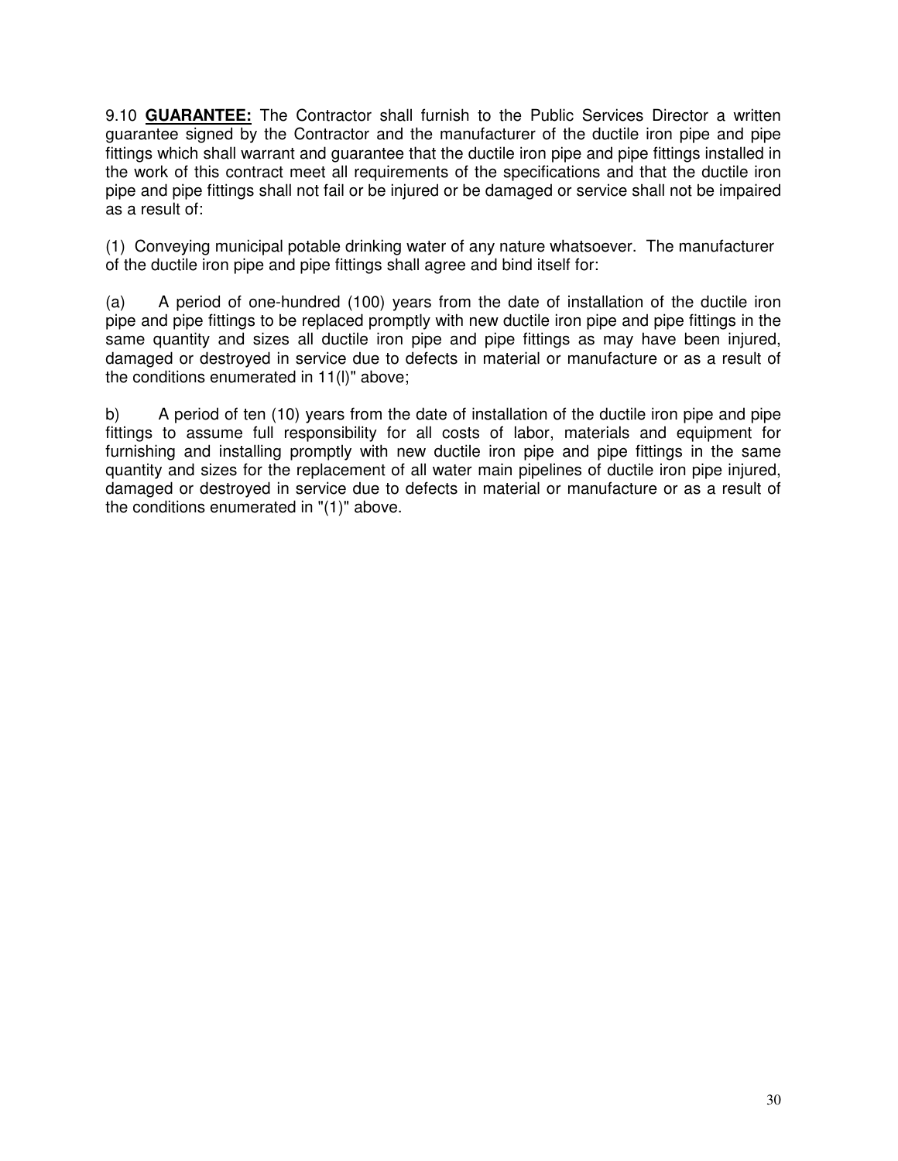9.10 **GUARANTEE:** The Contractor shall furnish to the Public Services Director a written guarantee signed by the Contractor and the manufacturer of the ductile iron pipe and pipe fittings which shall warrant and guarantee that the ductile iron pipe and pipe fittings installed in the work of this contract meet all requirements of the specifications and that the ductile iron pipe and pipe fittings shall not fail or be injured or be damaged or service shall not be impaired as a result of:

(1) Conveying municipal potable drinking water of any nature whatsoever. The manufacturer of the ductile iron pipe and pipe fittings shall agree and bind itself for:

(a) A period of one-hundred (100) years from the date of installation of the ductile iron pipe and pipe fittings to be replaced promptly with new ductile iron pipe and pipe fittings in the same quantity and sizes all ductile iron pipe and pipe fittings as may have been injured, damaged or destroyed in service due to defects in material or manufacture or as a result of the conditions enumerated in 11(l)" above;

b) A period of ten (10) years from the date of installation of the ductile iron pipe and pipe fittings to assume full responsibility for all costs of labor, materials and equipment for furnishing and installing promptly with new ductile iron pipe and pipe fittings in the same quantity and sizes for the replacement of all water main pipelines of ductile iron pipe injured, damaged or destroyed in service due to defects in material or manufacture or as a result of the conditions enumerated in "(1)" above.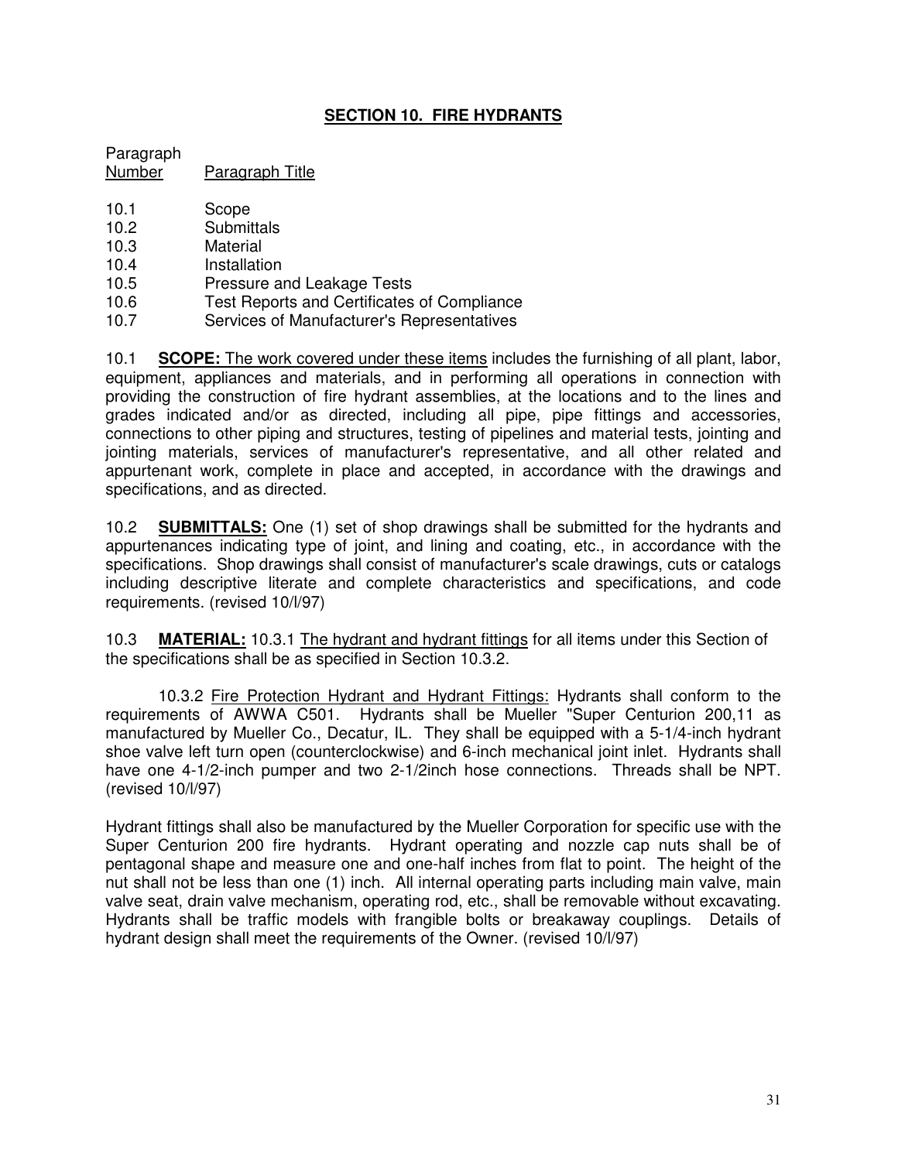# **SECTION 10. FIRE HYDRANTS**

Paragraph Number Paragraph Title

- 
- 10.1 Scope<br>10.2 Submit **Submittals**
- 10.3 Material
- 10.4 Installation
- 10.5 Pressure and Leakage Tests
- 10.6 Test Reports and Certificates of Compliance<br>10.7 Services of Manufacturer's Representatives
- Services of Manufacturer's Representatives

10.1 **SCOPE:** The work covered under these items includes the furnishing of all plant, labor, equipment, appliances and materials, and in performing all operations in connection with providing the construction of fire hydrant assemblies, at the locations and to the lines and grades indicated and/or as directed, including all pipe, pipe fittings and accessories, connections to other piping and structures, testing of pipelines and material tests, jointing and jointing materials, services of manufacturer's representative, and all other related and appurtenant work, complete in place and accepted, in accordance with the drawings and specifications, and as directed.

10.2 **SUBMITTALS:** One (1) set of shop drawings shall be submitted for the hydrants and appurtenances indicating type of joint, and lining and coating, etc., in accordance with the specifications. Shop drawings shall consist of manufacturer's scale drawings, cuts or catalogs including descriptive literate and complete characteristics and specifications, and code requirements. (revised 10/l/97)

10.3 **MATERIAL:** 10.3.1 The hydrant and hydrant fittings for all items under this Section of the specifications shall be as specified in Section 10.3.2.

10.3.2 Fire Protection Hydrant and Hydrant Fittings: Hydrants shall conform to the requirements of AWWA C501. Hydrants shall be Mueller "Super Centurion 200,11 as manufactured by Mueller Co., Decatur, IL. They shall be equipped with a 5-1/4-inch hydrant shoe valve left turn open (counterclockwise) and 6-inch mechanical joint inlet. Hydrants shall have one 4-1/2-inch pumper and two 2-1/2inch hose connections. Threads shall be NPT. (revised 10/l/97)

Hydrant fittings shall also be manufactured by the Mueller Corporation for specific use with the Super Centurion 200 fire hydrants. Hydrant operating and nozzle cap nuts shall be of pentagonal shape and measure one and one-half inches from flat to point. The height of the nut shall not be less than one (1) inch. All internal operating parts including main valve, main valve seat, drain valve mechanism, operating rod, etc., shall be removable without excavating. Hydrants shall be traffic models with frangible bolts or breakaway couplings. Details of hydrant design shall meet the requirements of the Owner. (revised 10/l/97)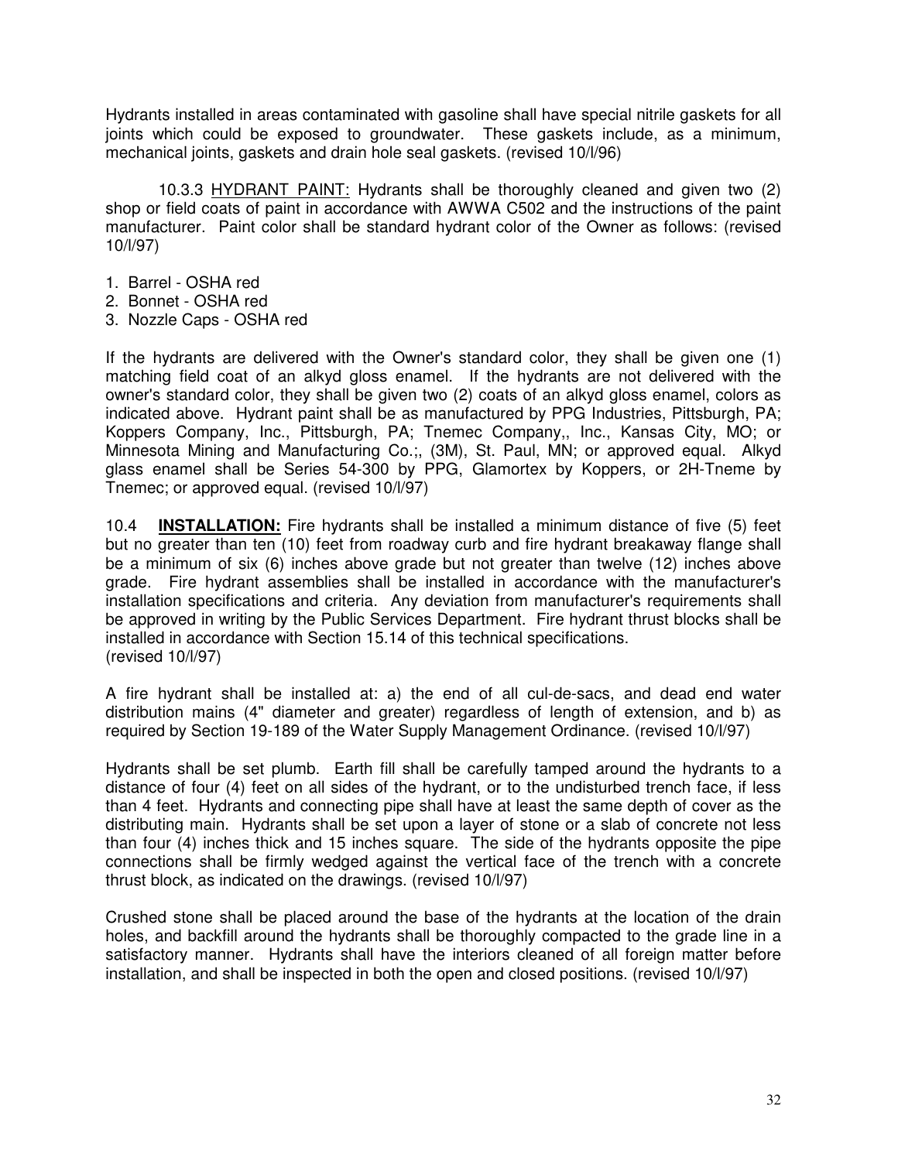Hydrants installed in areas contaminated with gasoline shall have special nitrile gaskets for all joints which could be exposed to groundwater. These gaskets include, as a minimum, mechanical joints, gaskets and drain hole seal gaskets. (revised 10/l/96)

10.3.3 HYDRANT PAINT: Hydrants shall be thoroughly cleaned and given two (2) shop or field coats of paint in accordance with AWWA C502 and the instructions of the paint manufacturer. Paint color shall be standard hydrant color of the Owner as follows: (revised 10/l/97)

- 1. Barrel OSHA red
- 2. Bonnet OSHA red
- 3. Nozzle Caps OSHA red

If the hydrants are delivered with the Owner's standard color, they shall be given one (1) matching field coat of an alkyd gloss enamel. If the hydrants are not delivered with the owner's standard color, they shall be given two (2) coats of an alkyd gloss enamel, colors as indicated above. Hydrant paint shall be as manufactured by PPG Industries, Pittsburgh, PA; Koppers Company, Inc., Pittsburgh, PA; Tnemec Company,, Inc., Kansas City, MO; or Minnesota Mining and Manufacturing Co.;, (3M), St. Paul, MN; or approved equal. Alkyd glass enamel shall be Series 54-300 by PPG, Glamortex by Koppers, or 2H-Tneme by Tnemec; or approved equal. (revised 10/l/97)

10.4 **INSTALLATION:** Fire hydrants shall be installed a minimum distance of five (5) feet but no greater than ten (10) feet from roadway curb and fire hydrant breakaway flange shall be a minimum of six (6) inches above grade but not greater than twelve (12) inches above grade. Fire hydrant assemblies shall be installed in accordance with the manufacturer's installation specifications and criteria. Any deviation from manufacturer's requirements shall be approved in writing by the Public Services Department. Fire hydrant thrust blocks shall be installed in accordance with Section 15.14 of this technical specifications. (revised 10/l/97)

A fire hydrant shall be installed at: a) the end of all cul-de-sacs, and dead end water distribution mains (4" diameter and greater) regardless of length of extension, and b) as required by Section 19-189 of the Water Supply Management Ordinance. (revised 10/l/97)

Hydrants shall be set plumb. Earth fill shall be carefully tamped around the hydrants to a distance of four (4) feet on all sides of the hydrant, or to the undisturbed trench face, if less than 4 feet. Hydrants and connecting pipe shall have at least the same depth of cover as the distributing main. Hydrants shall be set upon a layer of stone or a slab of concrete not less than four (4) inches thick and 15 inches square. The side of the hydrants opposite the pipe connections shall be firmly wedged against the vertical face of the trench with a concrete thrust block, as indicated on the drawings. (revised 10/l/97)

Crushed stone shall be placed around the base of the hydrants at the location of the drain holes, and backfill around the hydrants shall be thoroughly compacted to the grade line in a satisfactory manner. Hydrants shall have the interiors cleaned of all foreign matter before installation, and shall be inspected in both the open and closed positions. (revised 10/l/97)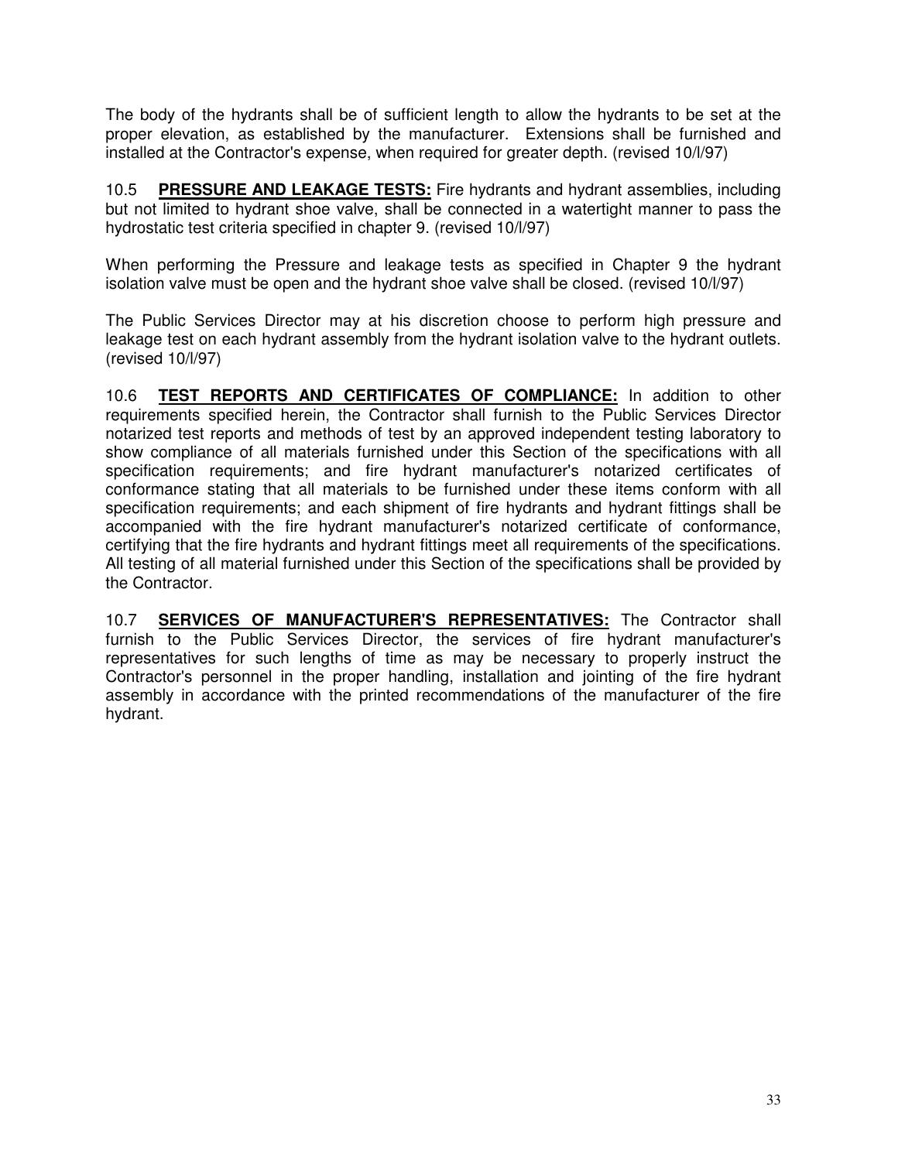The body of the hydrants shall be of sufficient length to allow the hydrants to be set at the proper elevation, as established by the manufacturer. Extensions shall be furnished and installed at the Contractor's expense, when required for greater depth. (revised 10/l/97)

10.5 **PRESSURE AND LEAKAGE TESTS:** Fire hydrants and hydrant assemblies, including but not limited to hydrant shoe valve, shall be connected in a watertight manner to pass the hydrostatic test criteria specified in chapter 9. (revised 10/l/97)

When performing the Pressure and leakage tests as specified in Chapter 9 the hydrant isolation valve must be open and the hydrant shoe valve shall be closed. (revised 10/l/97)

The Public Services Director may at his discretion choose to perform high pressure and leakage test on each hydrant assembly from the hydrant isolation valve to the hydrant outlets. (revised 10/l/97)

10.6 **TEST REPORTS AND CERTIFICATES OF COMPLIANCE:** In addition to other requirements specified herein, the Contractor shall furnish to the Public Services Director notarized test reports and methods of test by an approved independent testing laboratory to show compliance of all materials furnished under this Section of the specifications with all specification requirements; and fire hydrant manufacturer's notarized certificates of conformance stating that all materials to be furnished under these items conform with all specification requirements; and each shipment of fire hydrants and hydrant fittings shall be accompanied with the fire hydrant manufacturer's notarized certificate of conformance, certifying that the fire hydrants and hydrant fittings meet all requirements of the specifications. All testing of all material furnished under this Section of the specifications shall be provided by the Contractor.

10.7 **SERVICES OF MANUFACTURER'S REPRESENTATIVES:** The Contractor shall furnish to the Public Services Director, the services of fire hydrant manufacturer's representatives for such lengths of time as may be necessary to properly instruct the Contractor's personnel in the proper handling, installation and jointing of the fire hydrant assembly in accordance with the printed recommendations of the manufacturer of the fire hydrant.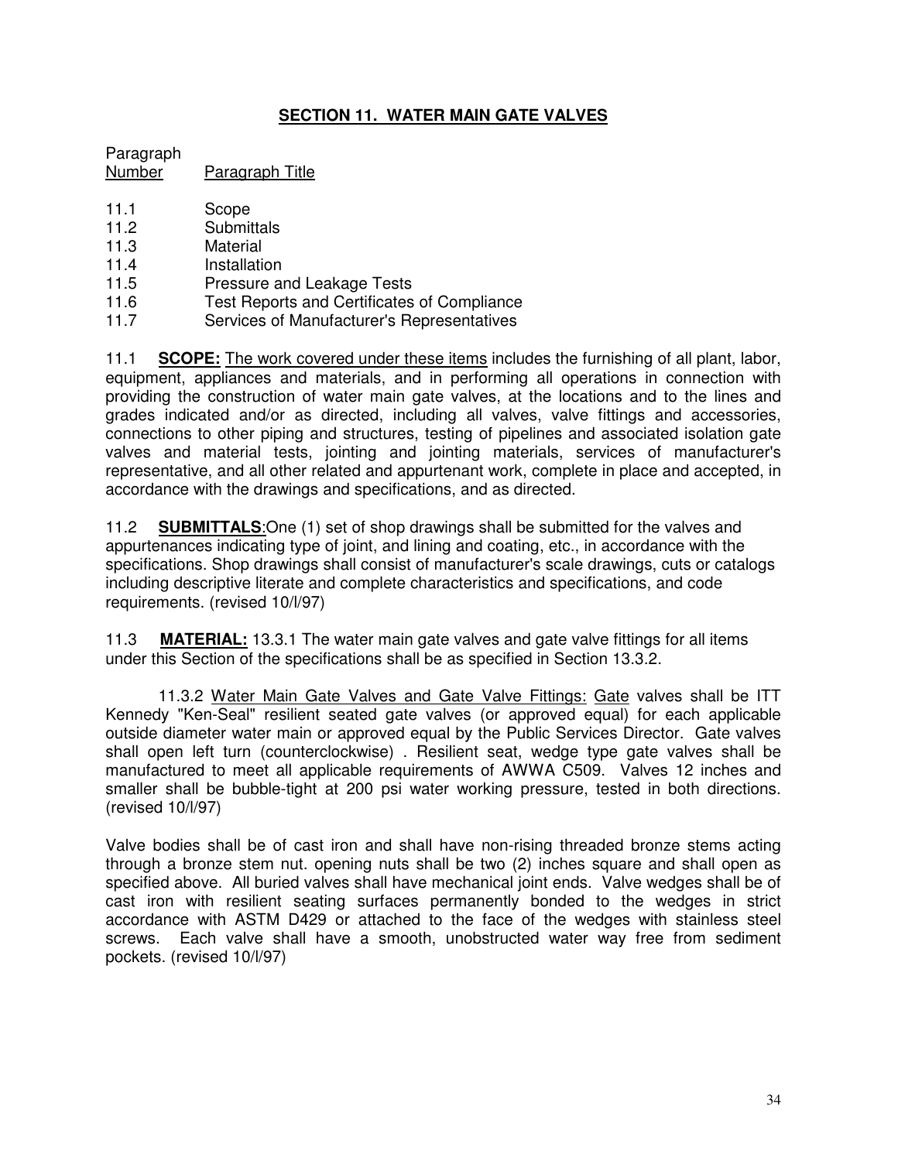# **SECTION 11. WATER MAIN GATE VALVES**

Paragraph Number Paragraph Title

- 11.1 Scope
- 11.2 Submittals
- 11.3 Material
- 11.4 Installation
- 11.5 Pressure and Leakage Tests
- 11.6 Test Reports and Certificates of Compliance
- 11.7 Services of Manufacturer's Representatives

11.1 **SCOPE:** The work covered under these items includes the furnishing of all plant, labor, equipment, appliances and materials, and in performing all operations in connection with providing the construction of water main gate valves, at the locations and to the lines and grades indicated and/or as directed, including all valves, valve fittings and accessories, connections to other piping and structures, testing of pipelines and associated isolation gate valves and material tests, jointing and jointing materials, services of manufacturer's representative, and all other related and appurtenant work, complete in place and accepted, in accordance with the drawings and specifications, and as directed.

11.2 **SUBMITTALS**:One (1) set of shop drawings shall be submitted for the valves and appurtenances indicating type of joint, and lining and coating, etc., in accordance with the specifications. Shop drawings shall consist of manufacturer's scale drawings, cuts or catalogs including descriptive literate and complete characteristics and specifications, and code requirements. (revised 10/l/97)

11.3 **MATERIAL:** 13.3.1 The water main gate valves and gate valve fittings for all items under this Section of the specifications shall be as specified in Section 13.3.2.

11.3.2 Water Main Gate Valves and Gate Valve Fittings: Gate valves shall be ITT Kennedy "Ken-Seal" resilient seated gate valves (or approved equal) for each applicable outside diameter water main or approved equal by the Public Services Director. Gate valves shall open left turn (counterclockwise) . Resilient seat, wedge type gate valves shall be manufactured to meet all applicable requirements of AWWA C509. Valves 12 inches and smaller shall be bubble-tight at 200 psi water working pressure, tested in both directions. (revised 10/l/97)

Valve bodies shall be of cast iron and shall have non-rising threaded bronze stems acting through a bronze stem nut. opening nuts shall be two (2) inches square and shall open as specified above. All buried valves shall have mechanical joint ends. Valve wedges shall be of cast iron with resilient seating surfaces permanently bonded to the wedges in strict accordance with ASTM D429 or attached to the face of the wedges with stainless steel screws. Each valve shall have a smooth, unobstructed water way free from sediment pockets. (revised 10/l/97)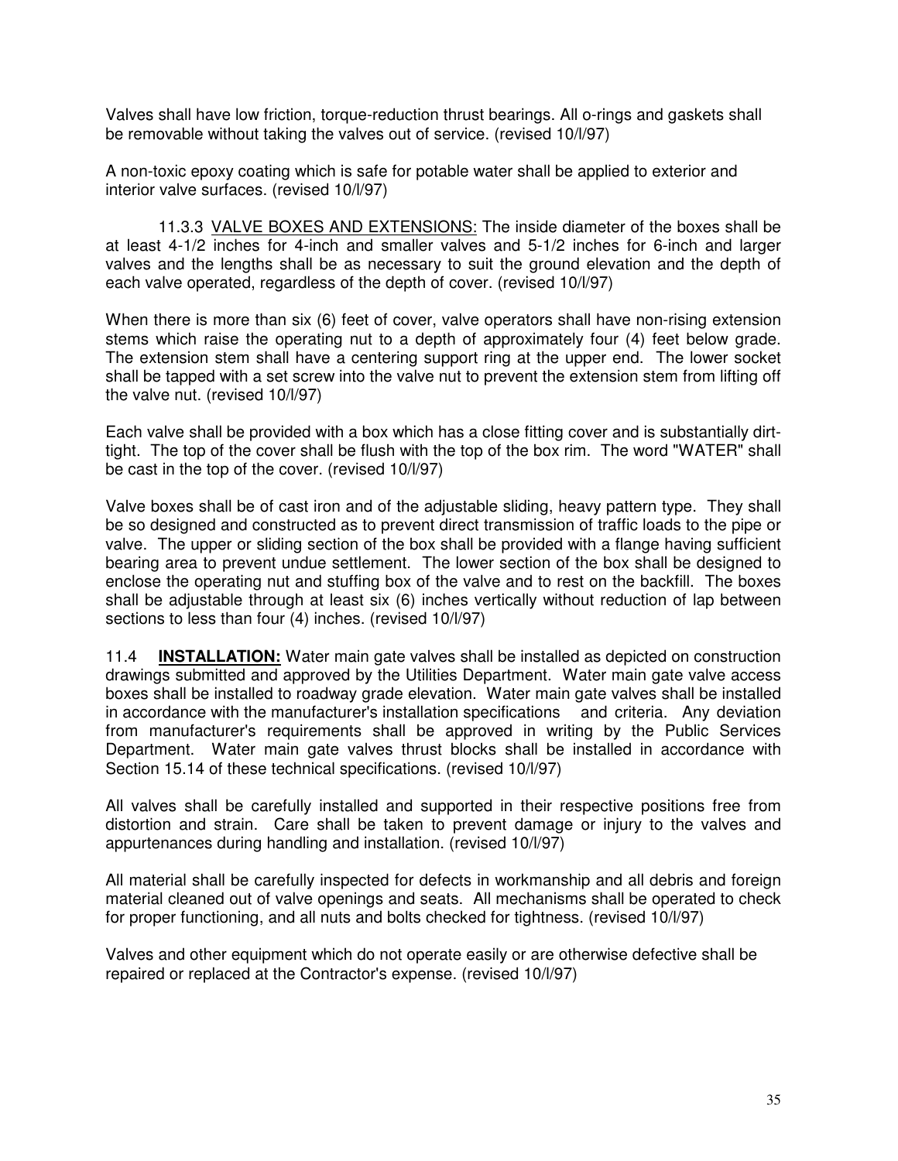Valves shall have low friction, torque-reduction thrust bearings. All o-rings and gaskets shall be removable without taking the valves out of service. (revised 10/l/97)

A non-toxic epoxy coating which is safe for potable water shall be applied to exterior and interior valve surfaces. (revised 10/l/97)

11.3.3 VALVE BOXES AND EXTENSIONS: The inside diameter of the boxes shall be at least 4-1/2 inches for 4-inch and smaller valves and 5-1/2 inches for 6-inch and larger valves and the lengths shall be as necessary to suit the ground elevation and the depth of each valve operated, regardless of the depth of cover. (revised 10/l/97)

When there is more than six (6) feet of cover, valve operators shall have non-rising extension stems which raise the operating nut to a depth of approximately four (4) feet below grade. The extension stem shall have a centering support ring at the upper end. The lower socket shall be tapped with a set screw into the valve nut to prevent the extension stem from lifting off the valve nut. (revised 10/l/97)

Each valve shall be provided with a box which has a close fitting cover and is substantially dirttight. The top of the cover shall be flush with the top of the box rim. The word "WATER" shall be cast in the top of the cover. (revised 10/l/97)

Valve boxes shall be of cast iron and of the adjustable sliding, heavy pattern type. They shall be so designed and constructed as to prevent direct transmission of traffic loads to the pipe or valve. The upper or sliding section of the box shall be provided with a flange having sufficient bearing area to prevent undue settlement. The lower section of the box shall be designed to enclose the operating nut and stuffing box of the valve and to rest on the backfill. The boxes shall be adjustable through at least six (6) inches vertically without reduction of lap between sections to less than four (4) inches. (revised 10/l/97)

11.4 **INSTALLATION:** Water main gate valves shall be installed as depicted on construction drawings submitted and approved by the Utilities Department. Water main gate valve access boxes shall be installed to roadway grade elevation. Water main gate valves shall be installed in accordance with the manufacturer's installation specifications and criteria. Any deviation from manufacturer's requirements shall be approved in writing by the Public Services Department. Water main gate valves thrust blocks shall be installed in accordance with Section 15.14 of these technical specifications. (revised 10/l/97)

All valves shall be carefully installed and supported in their respective positions free from distortion and strain. Care shall be taken to prevent damage or injury to the valves and appurtenances during handling and installation. (revised 10/l/97)

All material shall be carefully inspected for defects in workmanship and all debris and foreign material cleaned out of valve openings and seats. All mechanisms shall be operated to check for proper functioning, and all nuts and bolts checked for tightness. (revised 10/l/97)

Valves and other equipment which do not operate easily or are otherwise defective shall be repaired or replaced at the Contractor's expense. (revised 10/l/97)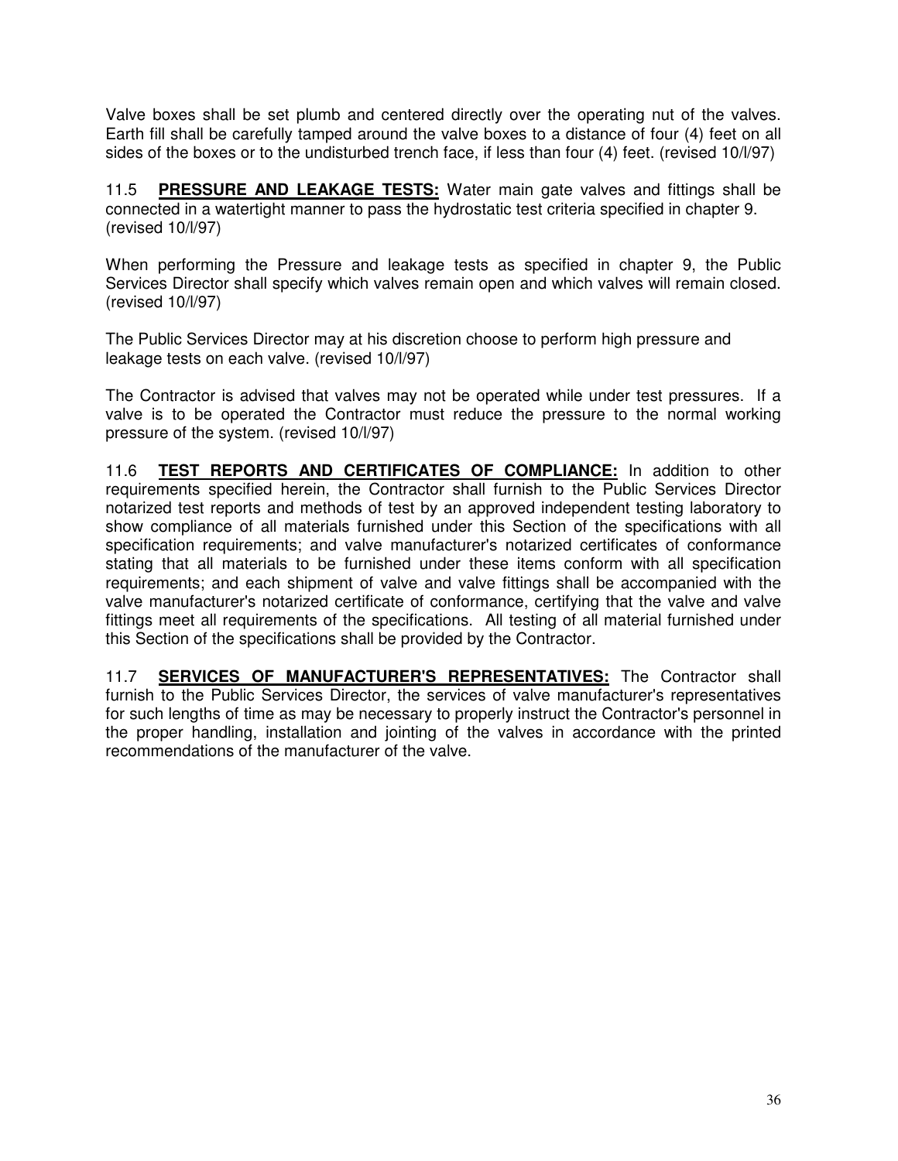Valve boxes shall be set plumb and centered directly over the operating nut of the valves. Earth fill shall be carefully tamped around the valve boxes to a distance of four (4) feet on all sides of the boxes or to the undisturbed trench face, if less than four (4) feet. (revised 10/l/97)

11.5 **PRESSURE AND LEAKAGE TESTS:** Water main gate valves and fittings shall be connected in a watertight manner to pass the hydrostatic test criteria specified in chapter 9. (revised 10/l/97)

When performing the Pressure and leakage tests as specified in chapter 9, the Public Services Director shall specify which valves remain open and which valves will remain closed. (revised 10/l/97)

The Public Services Director may at his discretion choose to perform high pressure and leakage tests on each valve. (revised 10/l/97)

The Contractor is advised that valves may not be operated while under test pressures. If a valve is to be operated the Contractor must reduce the pressure to the normal working pressure of the system. (revised 10/l/97)

11.6 **TEST REPORTS AND CERTIFICATES OF COMPLIANCE:** In addition to other requirements specified herein, the Contractor shall furnish to the Public Services Director notarized test reports and methods of test by an approved independent testing laboratory to show compliance of all materials furnished under this Section of the specifications with all specification requirements; and valve manufacturer's notarized certificates of conformance stating that all materials to be furnished under these items conform with all specification requirements; and each shipment of valve and valve fittings shall be accompanied with the valve manufacturer's notarized certificate of conformance, certifying that the valve and valve fittings meet all requirements of the specifications. All testing of all material furnished under this Section of the specifications shall be provided by the Contractor.

11.7 **SERVICES OF MANUFACTURER'S REPRESENTATIVES:** The Contractor shall furnish to the Public Services Director, the services of valve manufacturer's representatives for such lengths of time as may be necessary to properly instruct the Contractor's personnel in the proper handling, installation and jointing of the valves in accordance with the printed recommendations of the manufacturer of the valve.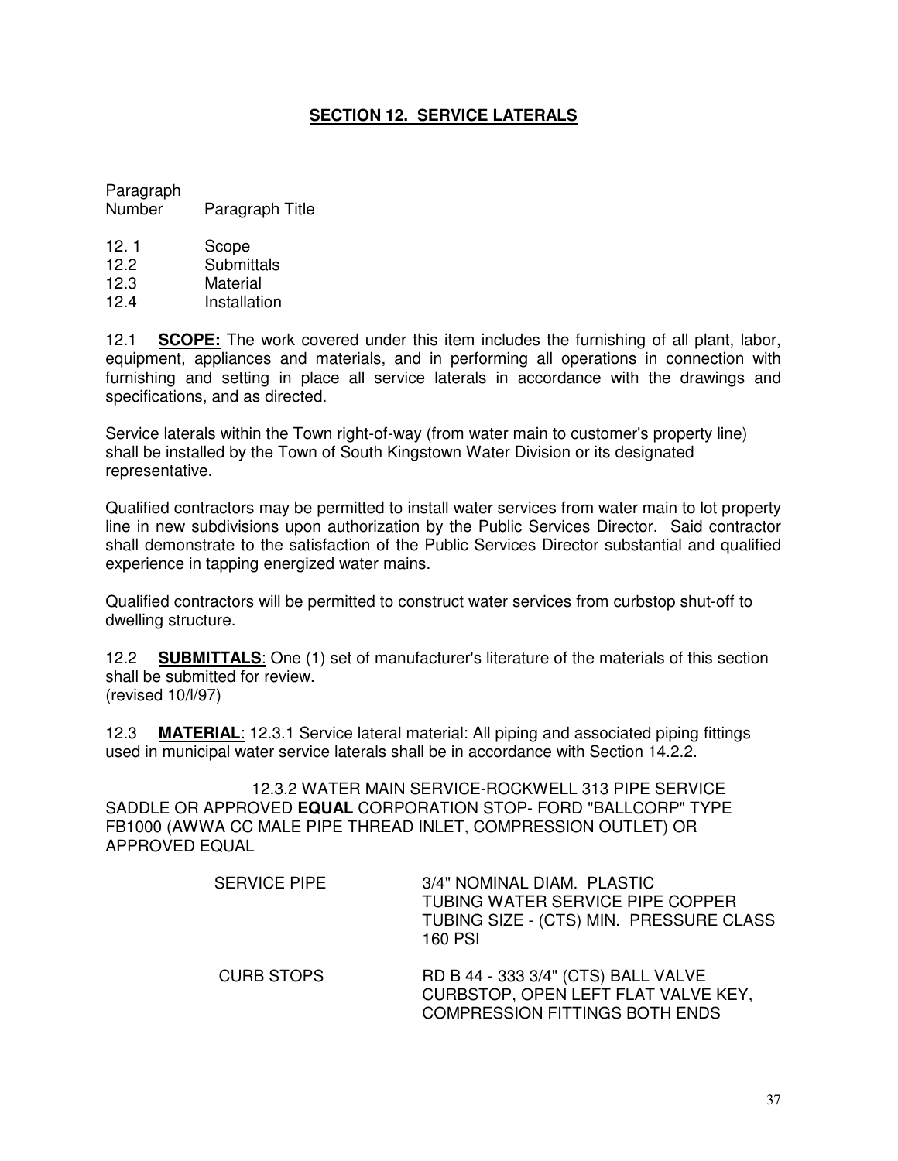# **SECTION 12. SERVICE LATERALS**

Paragraph Number Paragraph Title

12.1 Scope 12.2 Submittals 12.3 Material 12.4 Installation

12.1 **SCOPE:** The work covered under this item includes the furnishing of all plant, labor, equipment, appliances and materials, and in performing all operations in connection with furnishing and setting in place all service laterals in accordance with the drawings and specifications, and as directed.

Service laterals within the Town right-of-way (from water main to customer's property line) shall be installed by the Town of South Kingstown Water Division or its designated representative.

Qualified contractors may be permitted to install water services from water main to lot property line in new subdivisions upon authorization by the Public Services Director. Said contractor shall demonstrate to the satisfaction of the Public Services Director substantial and qualified experience in tapping energized water mains.

Qualified contractors will be permitted to construct water services from curbstop shut-off to dwelling structure.

12.2 **SUBMITTALS**: One (1) set of manufacturer's literature of the materials of this section shall be submitted for review. (revised 10/l/97)

12.3 **MATERIAL**: 12.3.1 Service lateral material: All piping and associated piping fittings used in municipal water service laterals shall be in accordance with Section 14.2.2.

12.3.2 WATER MAIN SERVICE-ROCKWELL 313 PIPE SERVICE SADDLE OR APPROVED **EQUAL** CORPORATION STOP- FORD "BALLCORP" TYPE FB1000 (AWWA CC MALE PIPE THREAD INLET, COMPRESSION OUTLET) OR APPROVED EQUAL

| <b>SERVICE PIPE</b> | 3/4" NOMINAL DIAM. PLASTIC<br>TUBING WATER SERVICE PIPE COPPER<br>TUBING SIZE - (CTS) MIN. PRESSURE CLASS<br>160 PSI |
|---------------------|----------------------------------------------------------------------------------------------------------------------|
| <b>CURB STOPS</b>   | RD B 44 - 333 3/4" (CTS) BALL VALVE<br>CURBSTOP, OPEN LEFT FLAT VALVE KEY,<br><b>COMPRESSION FITTINGS BOTH ENDS</b>  |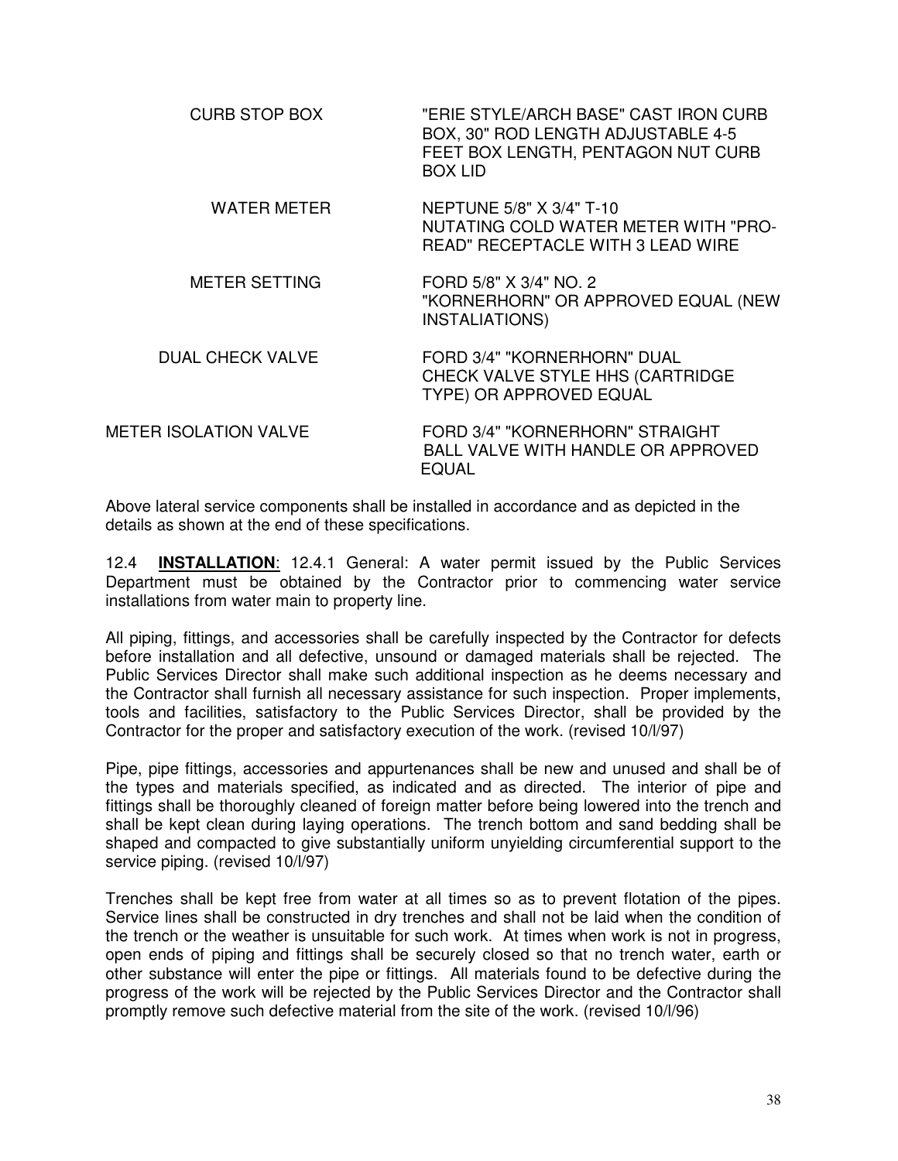| "ERIE STYLE/ARCH BASE" CAST IRON CURB<br>BOX, 30" ROD LENGTH ADJUSTABLE 4-5<br>FEET BOX LENGTH, PENTAGON NUT CURB<br><b>BOX LID</b> |
|-------------------------------------------------------------------------------------------------------------------------------------|
| NEPTUNE 5/8" X 3/4" T-10<br>NUTATING COLD WATER METER WITH "PRO-<br><b>READ" RECEPTACLE WITH 3 LEAD WIRE</b>                        |
| FORD 5/8" X 3/4" NO. 2<br>"KORNERHORN" OR APPROVED EQUAL (NEW<br><b>INSTALIATIONS)</b>                                              |
| FORD 3/4" "KORNERHORN" DUAL<br>CHECK VALVE STYLE HHS (CARTRIDGE<br>TYPE) OR APPROVED EQUAL                                          |
| FORD 3/4" "KORNERHORN" STRAIGHT<br>BALL VALVE WITH HANDLE OR APPROVED<br><b>EQUAL</b>                                               |
|                                                                                                                                     |

Above lateral service components shall be installed in accordance and as depicted in the details as shown at the end of these specifications.

12.4 **INSTALLATION**: 12.4.1 General: A water permit issued by the Public Services Department must be obtained by the Contractor prior to commencing water service installations from water main to property line.

All piping, fittings, and accessories shall be carefully inspected by the Contractor for defects before installation and all defective, unsound or damaged materials shall be rejected. The Public Services Director shall make such additional inspection as he deems necessary and the Contractor shall furnish all necessary assistance for such inspection. Proper implements, tools and facilities, satisfactory to the Public Services Director, shall be provided by the Contractor for the proper and satisfactory execution of the work. (revised 10/l/97)

Pipe, pipe fittings, accessories and appurtenances shall be new and unused and shall be of the types and materials specified, as indicated and as directed. The interior of pipe and fittings shall be thoroughly cleaned of foreign matter before being lowered into the trench and shall be kept clean during laying operations. The trench bottom and sand bedding shall be shaped and compacted to give substantially uniform unyielding circumferential support to the service piping. (revised 10/l/97)

Trenches shall be kept free from water at all times so as to prevent flotation of the pipes. Service lines shall be constructed in dry trenches and shall not be laid when the condition of the trench or the weather is unsuitable for such work. At times when work is not in progress, open ends of piping and fittings shall be securely closed so that no trench water, earth or other substance will enter the pipe or fittings. All materials found to be defective during the progress of the work will be rejected by the Public Services Director and the Contractor shall promptly remove such defective material from the site of the work. (revised 10/l/96)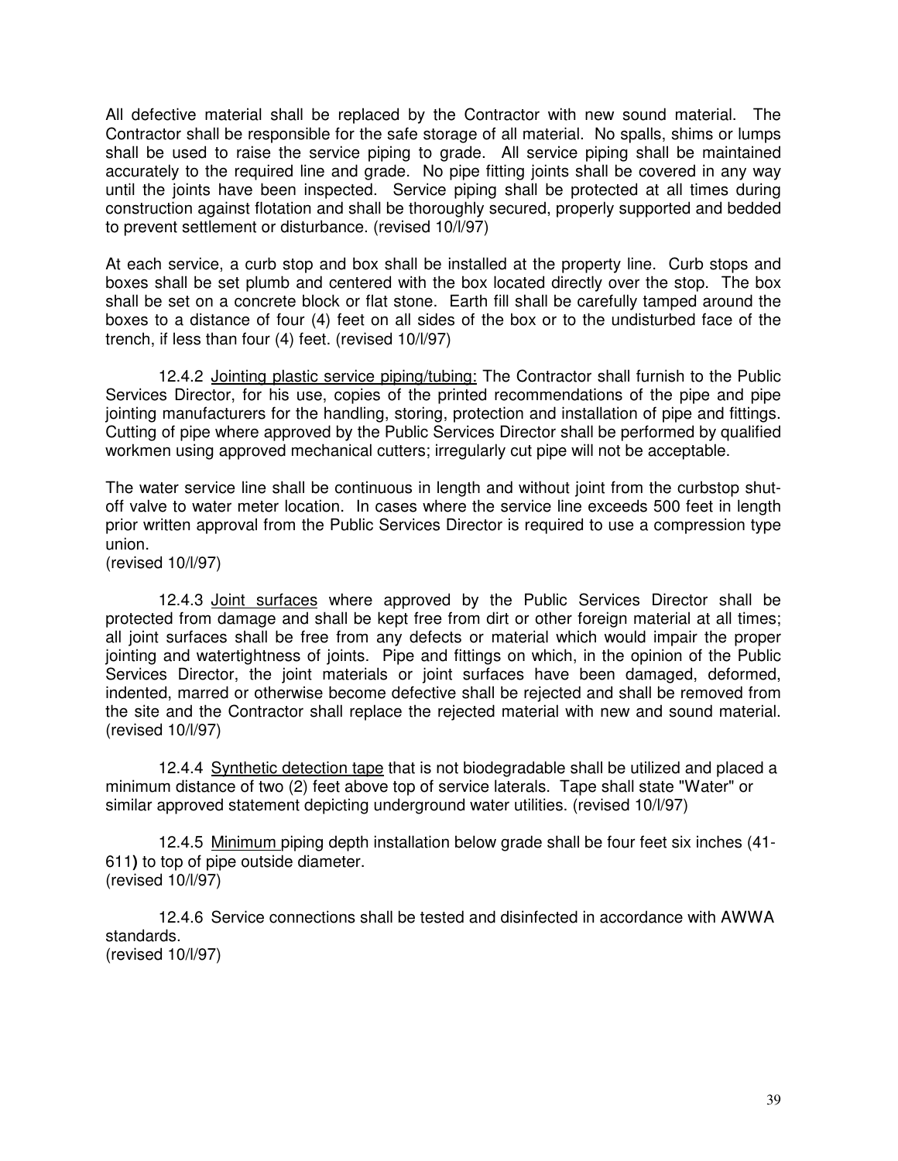All defective material shall be replaced by the Contractor with new sound material. The Contractor shall be responsible for the safe storage of all material. No spalls, shims or lumps shall be used to raise the service piping to grade. All service piping shall be maintained accurately to the required line and grade. No pipe fitting joints shall be covered in any way until the joints have been inspected. Service piping shall be protected at all times during construction against flotation and shall be thoroughly secured, properly supported and bedded to prevent settlement or disturbance. (revised 10/l/97)

At each service, a curb stop and box shall be installed at the property line. Curb stops and boxes shall be set plumb and centered with the box located directly over the stop. The box shall be set on a concrete block or flat stone. Earth fill shall be carefully tamped around the boxes to a distance of four (4) feet on all sides of the box or to the undisturbed face of the trench, if less than four (4) feet. (revised 10/l/97)

12.4.2 Jointing plastic service piping/tubing: The Contractor shall furnish to the Public Services Director, for his use, copies of the printed recommendations of the pipe and pipe jointing manufacturers for the handling, storing, protection and installation of pipe and fittings. Cutting of pipe where approved by the Public Services Director shall be performed by qualified workmen using approved mechanical cutters; irregularly cut pipe will not be acceptable.

The water service line shall be continuous in length and without joint from the curbstop shutoff valve to water meter location. In cases where the service line exceeds 500 feet in length prior written approval from the Public Services Director is required to use a compression type union.

(revised 10/l/97)

12.4.3 Joint surfaces where approved by the Public Services Director shall be protected from damage and shall be kept free from dirt or other foreign material at all times; all joint surfaces shall be free from any defects or material which would impair the proper jointing and watertightness of joints. Pipe and fittings on which, in the opinion of the Public Services Director, the joint materials or joint surfaces have been damaged, deformed, indented, marred or otherwise become defective shall be rejected and shall be removed from the site and the Contractor shall replace the rejected material with new and sound material. (revised 10/l/97)

12.4.4 Synthetic detection tape that is not biodegradable shall be utilized and placed a minimum distance of two (2) feet above top of service laterals. Tape shall state "Water" or similar approved statement depicting underground water utilities. (revised 10/l/97)

12.4.5 Minimum piping depth installation below grade shall be four feet six inches (41- 611**)** to top of pipe outside diameter. (revised 10/l/97)

12.4.6 Service connections shall be tested and disinfected in accordance with AWWA standards. (revised 10/l/97)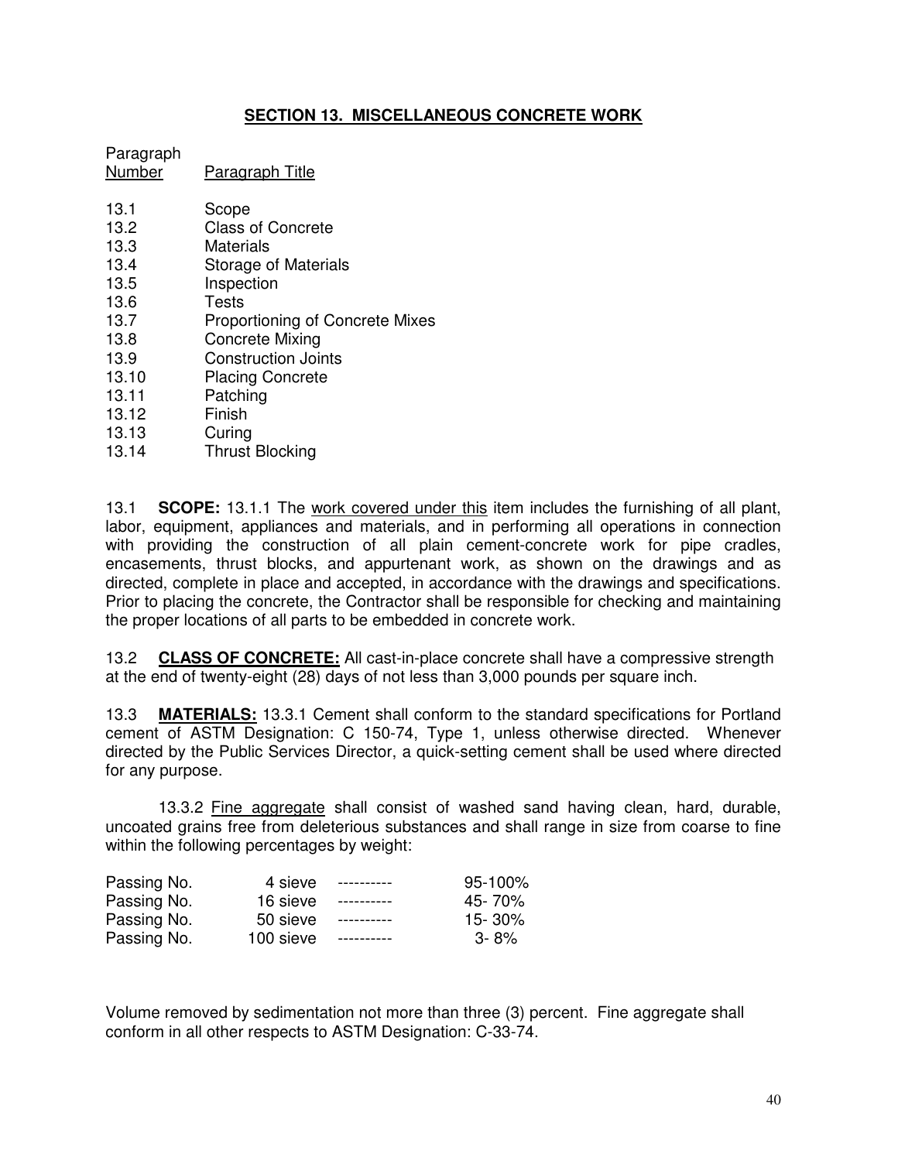# **SECTION 13. MISCELLANEOUS CONCRETE WORK**

# Paragraph Number Paragraph Title 13.1 Scope<br>13.2 Class o Class of Concrete 13.3 Materials 13.4 Storage of Materials 13.5 Inspection 13.6 Tests 13.7 Proportioning of Concrete Mixes<br>13.8 Concrete Mixing Concrete Mixing 13.9 Construction Joints 13.10 Placing Concrete 13.11 Patching 13.12 Finish

13.13 Curing<br>13.14 Thrust **Thrust Blocking** 

13.1 **SCOPE:** 13.1.1 The work covered under this item includes the furnishing of all plant, labor, equipment, appliances and materials, and in performing all operations in connection with providing the construction of all plain cement-concrete work for pipe cradles, encasements, thrust blocks, and appurtenant work, as shown on the drawings and as directed, complete in place and accepted, in accordance with the drawings and specifications. Prior to placing the concrete, the Contractor shall be responsible for checking and maintaining the proper locations of all parts to be embedded in concrete work.

13.2 **CLASS OF CONCRETE:** All cast-in-place concrete shall have a compressive strength at the end of twenty-eight (28) days of not less than 3,000 pounds per square inch.

13.3 **MATERIALS:** 13.3.1 Cement shall conform to the standard specifications for Portland cement of ASTM Designation: C 150-74, Type 1, unless otherwise directed. Whenever directed by the Public Services Director, a quick-setting cement shall be used where directed for any purpose.

13.3.2 Fine aggregate shall consist of washed sand having clean, hard, durable, uncoated grains free from deleterious substances and shall range in size from coarse to fine within the following percentages by weight:

| Passing No. | 4 sieve   | ----------- | 95-100%  |
|-------------|-----------|-------------|----------|
| Passing No. | 16 sieve  | ----------- | 45-70%   |
| Passing No. | 50 sieve  | ----------- | 15-30%   |
| Passing No. | 100 sieve | ----------- | $3 - 8%$ |

Volume removed by sedimentation not more than three (3) percent. Fine aggregate shall conform in all other respects to ASTM Designation: C-33-74.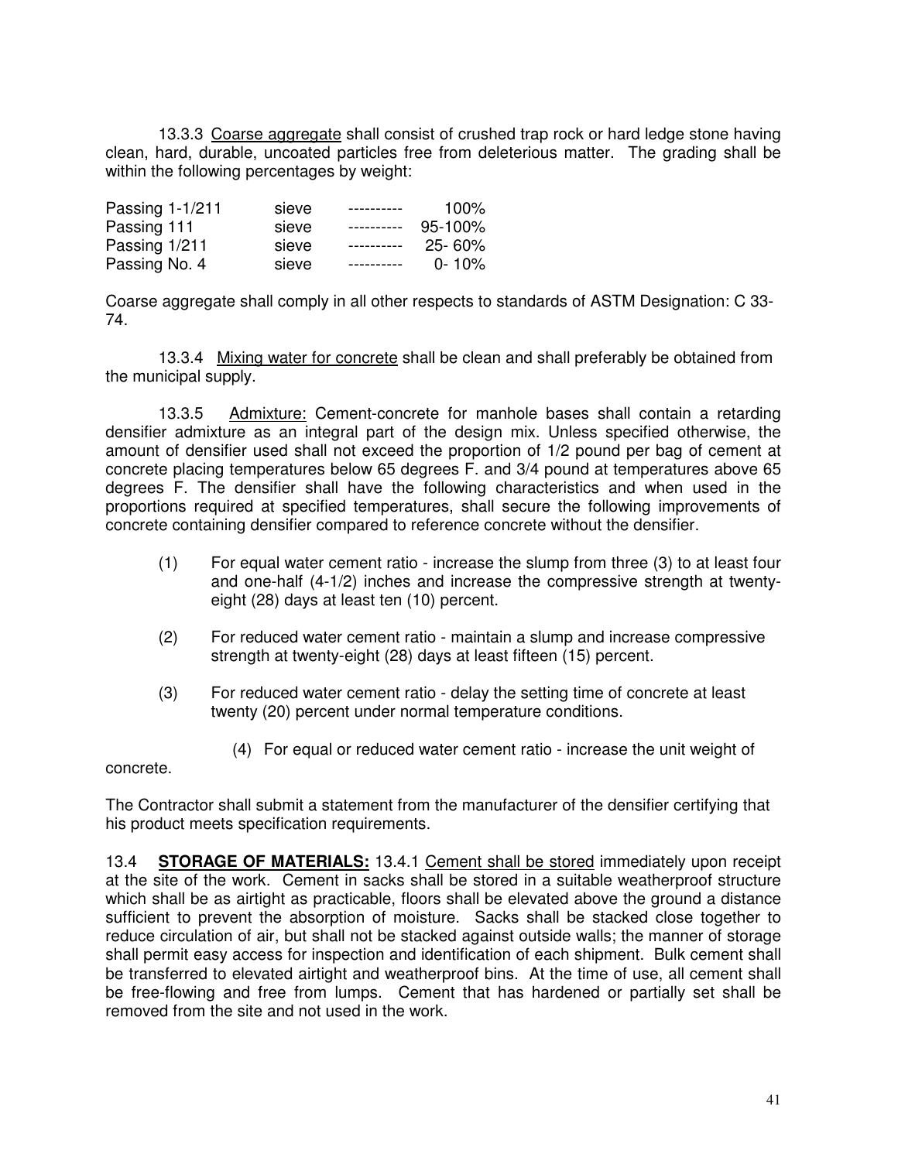13.3.3 Coarse aggregate shall consist of crushed trap rock or hard ledge stone having clean, hard, durable, uncoated particles free from deleterious matter. The grading shall be within the following percentages by weight:

| Passing 1-1/211 | sieve | ----------  | $100\%$     |
|-----------------|-------|-------------|-------------|
| Passing 111     | sieve | ----------  | $95 - 100%$ |
| Passing 1/211   | sieve | ----------- | $25 - 60%$  |
| Passing No. 4   | sieve |             | $0 - 10\%$  |

Coarse aggregate shall comply in all other respects to standards of ASTM Designation: C 33- 74.

13.3.4 Mixing water for concrete shall be clean and shall preferably be obtained from the municipal supply.

13.3.5 Admixture: Cement-concrete for manhole bases shall contain a retarding densifier admixture as an integral part of the design mix. Unless specified otherwise, the amount of densifier used shall not exceed the proportion of 1/2 pound per bag of cement at concrete placing temperatures below 65 degrees F. and 3/4 pound at temperatures above 65 degrees F. The densifier shall have the following characteristics and when used in the proportions required at specified temperatures, shall secure the following improvements of concrete containing densifier compared to reference concrete without the densifier.

- (1) For equal water cement ratio increase the slump from three (3) to at least four and one-half (4-1/2) inches and increase the compressive strength at twentyeight (28) days at least ten (10) percent.
- (2) For reduced water cement ratio maintain a slump and increase compressive strength at twenty-eight (28) days at least fifteen (15) percent.
- (3) For reduced water cement ratio delay the setting time of concrete at least twenty (20) percent under normal temperature conditions.
	- (4) For equal or reduced water cement ratio increase the unit weight of

concrete.

The Contractor shall submit a statement from the manufacturer of the densifier certifying that his product meets specification requirements.

13.4 **STORAGE OF MATERIALS:** 13.4.1 Cement shall be stored immediately upon receipt at the site of the work. Cement in sacks shall be stored in a suitable weatherproof structure which shall be as airtight as practicable, floors shall be elevated above the ground a distance sufficient to prevent the absorption of moisture. Sacks shall be stacked close together to reduce circulation of air, but shall not be stacked against outside walls; the manner of storage shall permit easy access for inspection and identification of each shipment. Bulk cement shall be transferred to elevated airtight and weatherproof bins. At the time of use, all cement shall be free-flowing and free from lumps. Cement that has hardened or partially set shall be removed from the site and not used in the work.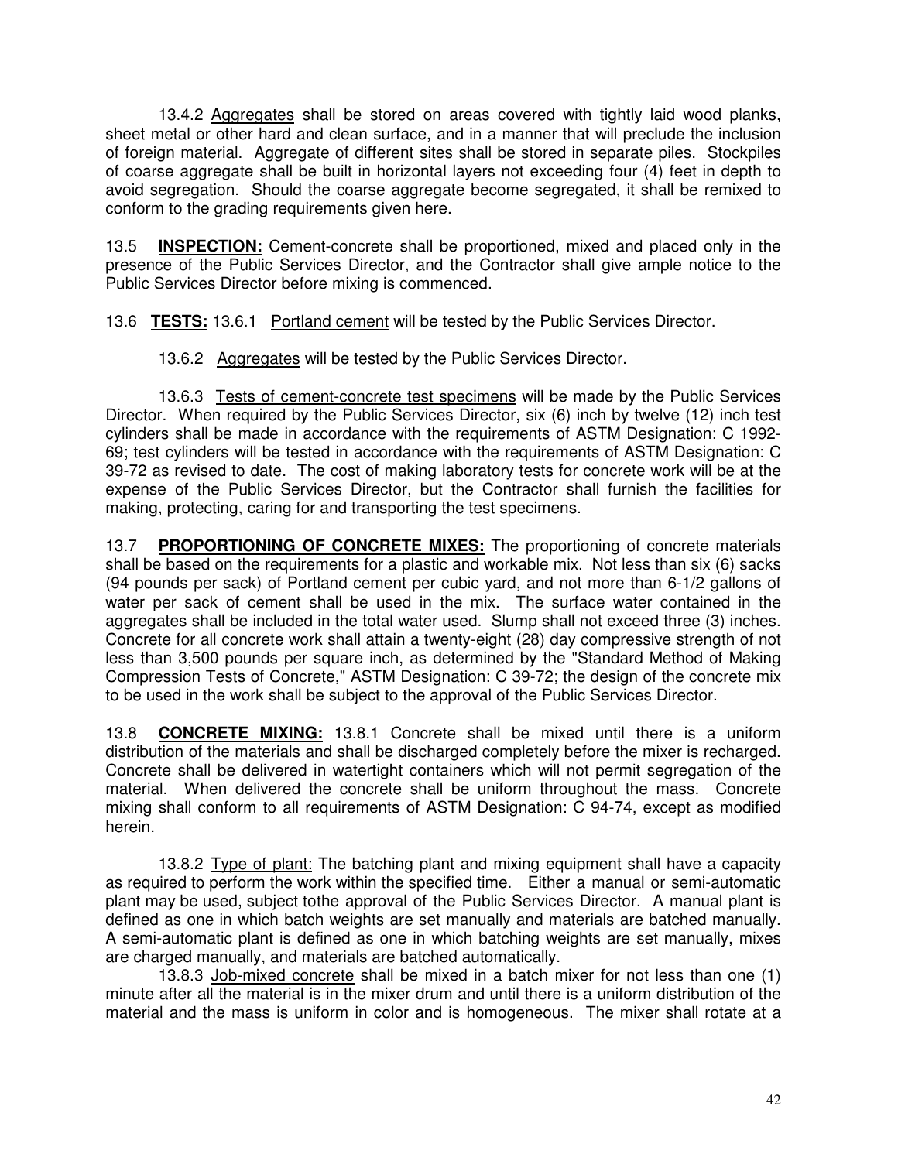13.4.2 Aggregates shall be stored on areas covered with tightly laid wood planks, sheet metal or other hard and clean surface, and in a manner that will preclude the inclusion of foreign material. Aggregate of different sites shall be stored in separate piles. Stockpiles of coarse aggregate shall be built in horizontal layers not exceeding four (4) feet in depth to avoid segregation. Should the coarse aggregate become segregated, it shall be remixed to conform to the grading requirements given here.

13.5 **INSPECTION:** Cement-concrete shall be proportioned, mixed and placed only in the presence of the Public Services Director, and the Contractor shall give ample notice to the Public Services Director before mixing is commenced.

13.6 **TESTS:** 13.6.1 Portland cement will be tested by the Public Services Director.

13.6.2 Aggregates will be tested by the Public Services Director.

13.6.3 Tests of cement-concrete test specimens will be made by the Public Services Director. When required by the Public Services Director, six (6) inch by twelve (12) inch test cylinders shall be made in accordance with the requirements of ASTM Designation: C 1992- 69; test cylinders will be tested in accordance with the requirements of ASTM Designation: C 39-72 as revised to date. The cost of making laboratory tests for concrete work will be at the expense of the Public Services Director, but the Contractor shall furnish the facilities for making, protecting, caring for and transporting the test specimens.

13.7 **PROPORTIONING OF CONCRETE MIXES:** The proportioning of concrete materials shall be based on the requirements for a plastic and workable mix. Not less than six (6) sacks (94 pounds per sack) of Portland cement per cubic yard, and not more than 6-1/2 gallons of water per sack of cement shall be used in the mix. The surface water contained in the aggregates shall be included in the total water used. Slump shall not exceed three (3) inches. Concrete for all concrete work shall attain a twenty-eight (28) day compressive strength of not less than 3,500 pounds per square inch, as determined by the "Standard Method of Making Compression Tests of Concrete," ASTM Designation: C 39-72; the design of the concrete mix to be used in the work shall be subject to the approval of the Public Services Director.

13.8 **CONCRETE MIXING:** 13.8.1 Concrete shall be mixed until there is a uniform distribution of the materials and shall be discharged completely before the mixer is recharged. Concrete shall be delivered in watertight containers which will not permit segregation of the material. When delivered the concrete shall be uniform throughout the mass. Concrete mixing shall conform to all requirements of ASTM Designation: C 94-74, except as modified herein.

13.8.2 Type of plant: The batching plant and mixing equipment shall have a capacity as required to perform the work within the specified time. Either a manual or semi-automatic plant may be used, subject tothe approval of the Public Services Director. A manual plant is defined as one in which batch weights are set manually and materials are batched manually. A semi-automatic plant is defined as one in which batching weights are set manually, mixes are charged manually, and materials are batched automatically.

13.8.3 Job-mixed concrete shall be mixed in a batch mixer for not less than one (1) minute after all the material is in the mixer drum and until there is a uniform distribution of the material and the mass is uniform in color and is homogeneous. The mixer shall rotate at a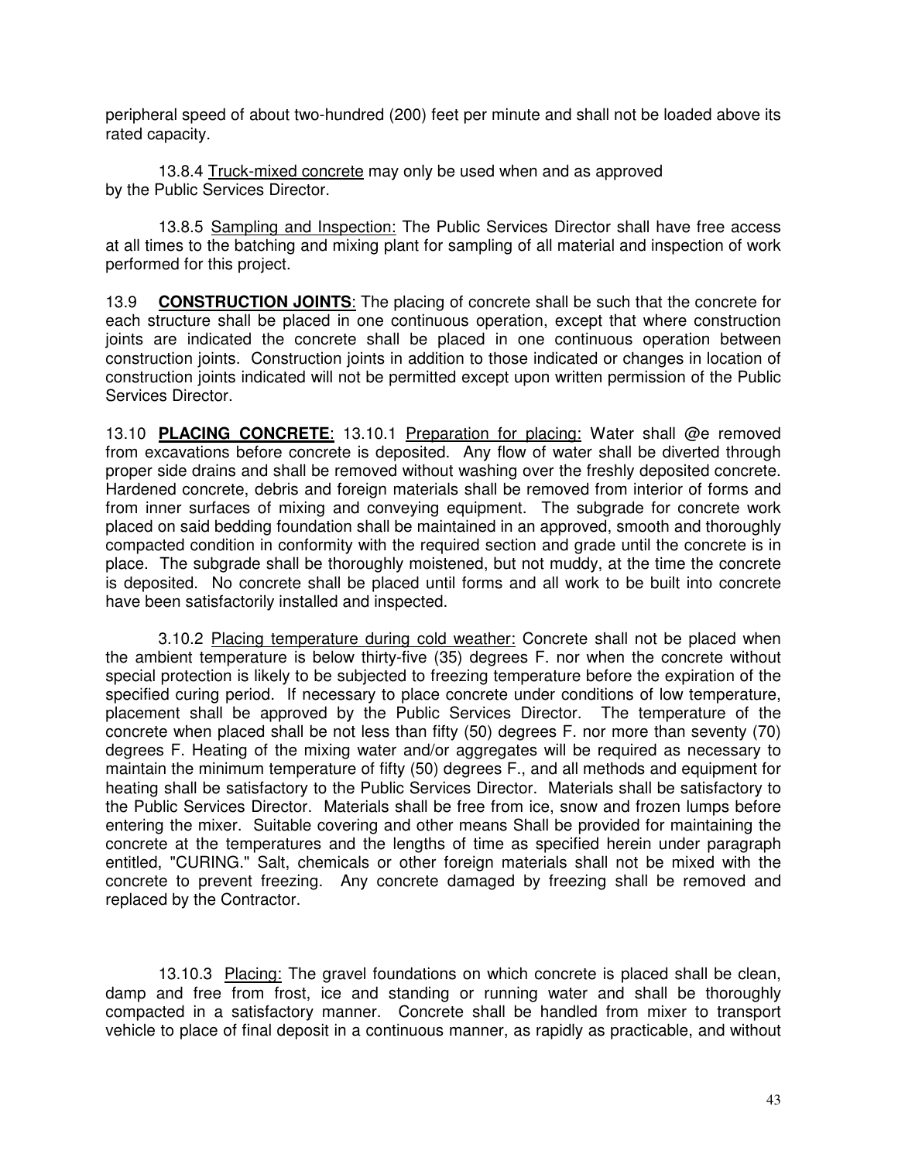peripheral speed of about two-hundred (200) feet per minute and shall not be loaded above its rated capacity.

13.8.4 Truck-mixed concrete may only be used when and as approved by the Public Services Director.

13.8.5 Sampling and Inspection: The Public Services Director shall have free access at all times to the batching and mixing plant for sampling of all material and inspection of work performed for this project.

13.9 **CONSTRUCTION JOINTS**: The placing of concrete shall be such that the concrete for each structure shall be placed in one continuous operation, except that where construction joints are indicated the concrete shall be placed in one continuous operation between construction joints. Construction joints in addition to those indicated or changes in location of construction joints indicated will not be permitted except upon written permission of the Public Services Director.

13.10 **PLACING CONCRETE**: 13.10.1 Preparation for placing: Water shall @e removed from excavations before concrete is deposited. Any flow of water shall be diverted through proper side drains and shall be removed without washing over the freshly deposited concrete. Hardened concrete, debris and foreign materials shall be removed from interior of forms and from inner surfaces of mixing and conveying equipment. The subgrade for concrete work placed on said bedding foundation shall be maintained in an approved, smooth and thoroughly compacted condition in conformity with the required section and grade until the concrete is in place. The subgrade shall be thoroughly moistened, but not muddy, at the time the concrete is deposited. No concrete shall be placed until forms and all work to be built into concrete have been satisfactorily installed and inspected.

3.10.2 Placing temperature during cold weather: Concrete shall not be placed when the ambient temperature is below thirty-five (35) degrees F. nor when the concrete without special protection is likely to be subjected to freezing temperature before the expiration of the specified curing period. If necessary to place concrete under conditions of low temperature, placement shall be approved by the Public Services Director. The temperature of the concrete when placed shall be not less than fifty (50) degrees F. nor more than seventy (70) degrees F. Heating of the mixing water and/or aggregates will be required as necessary to maintain the minimum temperature of fifty (50) degrees F., and all methods and equipment for heating shall be satisfactory to the Public Services Director. Materials shall be satisfactory to the Public Services Director. Materials shall be free from ice, snow and frozen lumps before entering the mixer. Suitable covering and other means Shall be provided for maintaining the concrete at the temperatures and the lengths of time as specified herein under paragraph entitled, "CURING." Salt, chemicals or other foreign materials shall not be mixed with the concrete to prevent freezing. Any concrete damaged by freezing shall be removed and replaced by the Contractor.

13.10.3 Placing: The gravel foundations on which concrete is placed shall be clean, damp and free from frost, ice and standing or running water and shall be thoroughly compacted in a satisfactory manner. Concrete shall be handled from mixer to transport vehicle to place of final deposit in a continuous manner, as rapidly as practicable, and without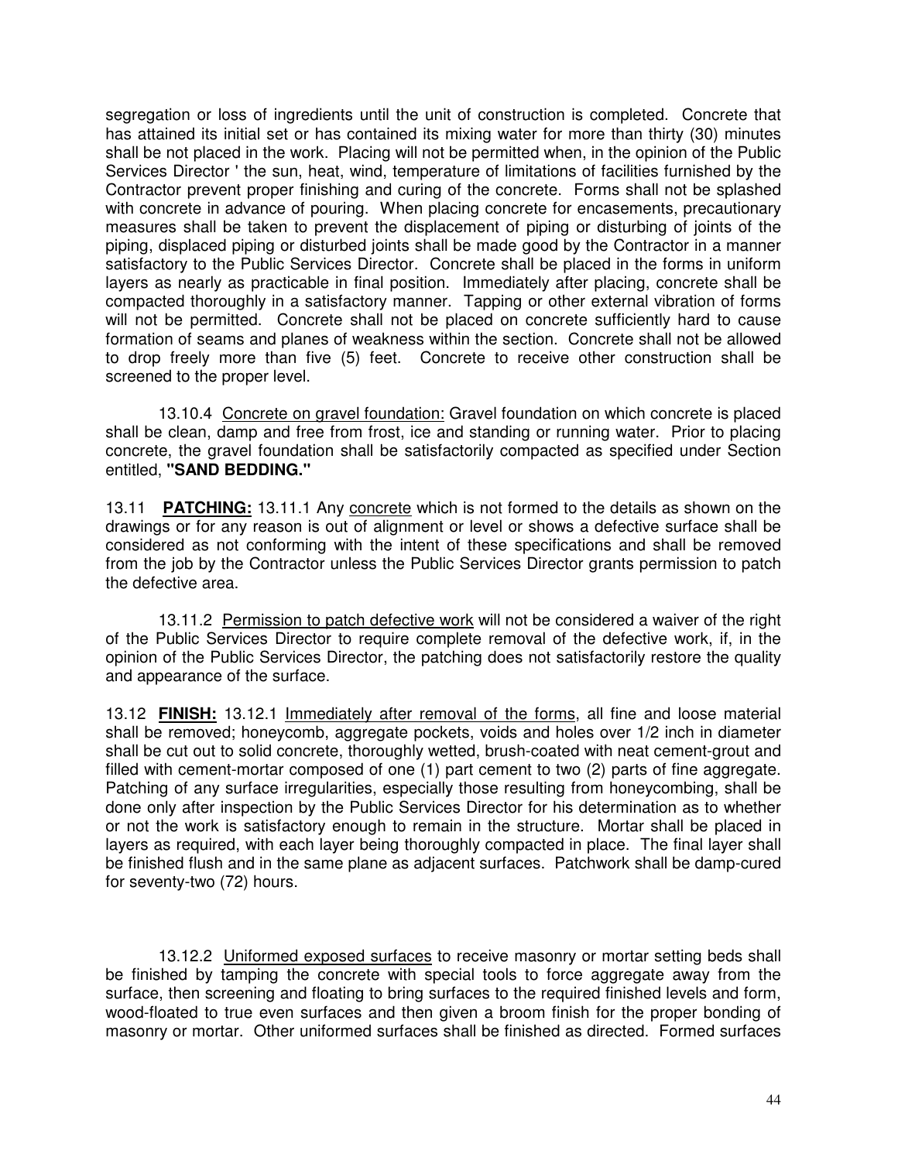segregation or loss of ingredients until the unit of construction is completed. Concrete that has attained its initial set or has contained its mixing water for more than thirty (30) minutes shall be not placed in the work. Placing will not be permitted when, in the opinion of the Public Services Director ' the sun, heat, wind, temperature of limitations of facilities furnished by the Contractor prevent proper finishing and curing of the concrete. Forms shall not be splashed with concrete in advance of pouring. When placing concrete for encasements, precautionary measures shall be taken to prevent the displacement of piping or disturbing of joints of the piping, displaced piping or disturbed joints shall be made good by the Contractor in a manner satisfactory to the Public Services Director. Concrete shall be placed in the forms in uniform layers as nearly as practicable in final position. Immediately after placing, concrete shall be compacted thoroughly in a satisfactory manner. Tapping or other external vibration of forms will not be permitted. Concrete shall not be placed on concrete sufficiently hard to cause formation of seams and planes of weakness within the section. Concrete shall not be allowed to drop freely more than five (5) feet. Concrete to receive other construction shall be screened to the proper level.

13.10.4 Concrete on gravel foundation: Gravel foundation on which concrete is placed shall be clean, damp and free from frost, ice and standing or running water. Prior to placing concrete, the gravel foundation shall be satisfactorily compacted as specified under Section entitled, **"SAND BEDDING."**

13.11 **PATCHING:** 13.11.1 Any concrete which is not formed to the details as shown on the drawings or for any reason is out of alignment or level or shows a defective surface shall be considered as not conforming with the intent of these specifications and shall be removed from the job by the Contractor unless the Public Services Director grants permission to patch the defective area.

13.11.2 Permission to patch defective work will not be considered a waiver of the right of the Public Services Director to require complete removal of the defective work, if, in the opinion of the Public Services Director, the patching does not satisfactorily restore the quality and appearance of the surface.

13.12 **FINISH:** 13.12.1 Immediately after removal of the forms, all fine and loose material shall be removed; honeycomb, aggregate pockets, voids and holes over 1/2 inch in diameter shall be cut out to solid concrete, thoroughly wetted, brush-coated with neat cement-grout and filled with cement-mortar composed of one  $(1)$  part cement to two  $(2)$  parts of fine aggregate. Patching of any surface irregularities, especially those resulting from honeycombing, shall be done only after inspection by the Public Services Director for his determination as to whether or not the work is satisfactory enough to remain in the structure. Mortar shall be placed in layers as required, with each layer being thoroughly compacted in place. The final layer shall be finished flush and in the same plane as adjacent surfaces. Patchwork shall be damp-cured for seventy-two (72) hours.

13.12.2 Uniformed exposed surfaces to receive masonry or mortar setting beds shall be finished by tamping the concrete with special tools to force aggregate away from the surface, then screening and floating to bring surfaces to the required finished levels and form, wood-floated to true even surfaces and then given a broom finish for the proper bonding of masonry or mortar. Other uniformed surfaces shall be finished as directed. Formed surfaces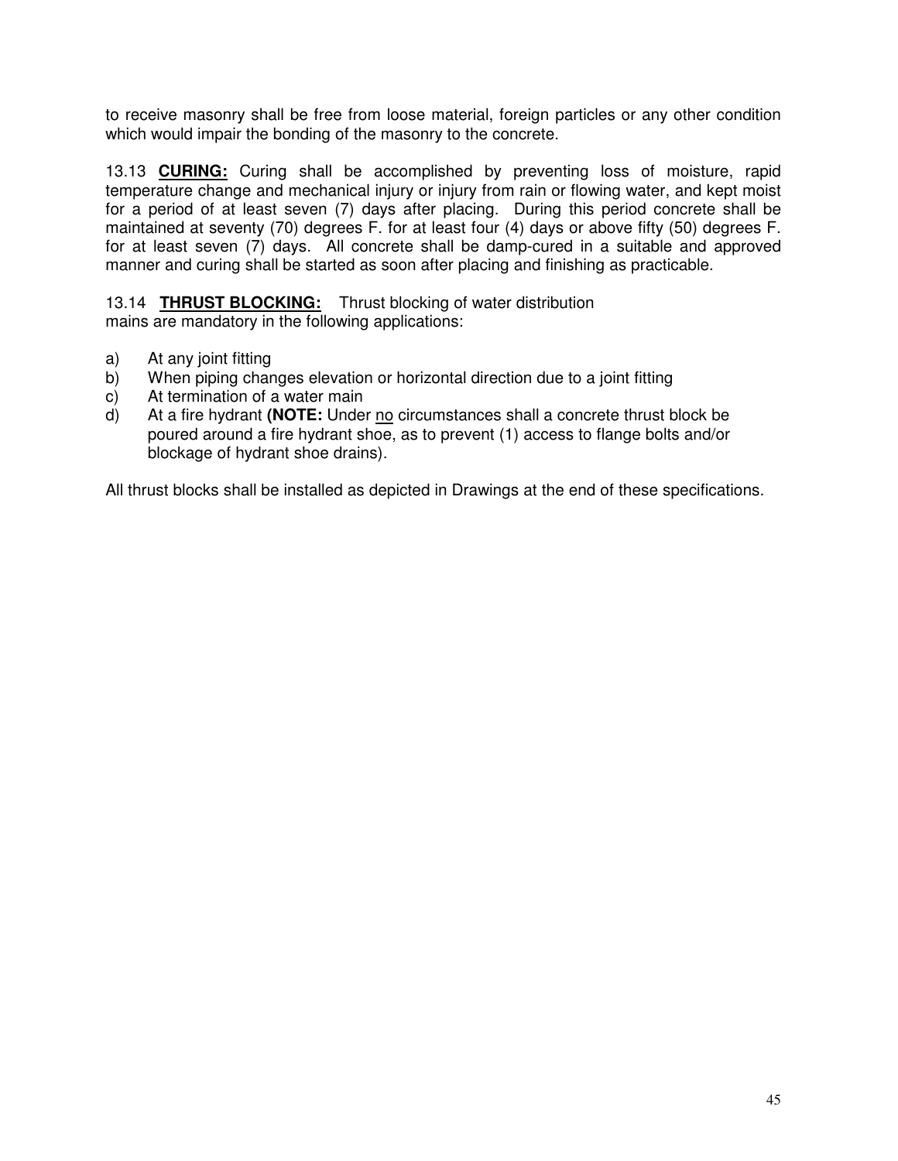to receive masonry shall be free from loose material, foreign particles or any other condition which would impair the bonding of the masonry to the concrete.

13.13 **CURING:** Curing shall be accomplished by preventing loss of moisture, rapid temperature change and mechanical injury or injury from rain or flowing water, and kept moist for a period of at least seven (7) days after placing. During this period concrete shall be maintained at seventy (70) degrees F. for at least four (4) days or above fifty (50) degrees F. for at least seven (7) days. All concrete shall be damp-cured in a suitable and approved manner and curing shall be started as soon after placing and finishing as practicable.

13.14 **THRUST BLOCKING:** Thrust blocking of water distribution mains are mandatory in the following applications:

- a) At any joint fitting
- b) When piping changes elevation or horizontal direction due to a joint fitting
- c) At termination of a water main
- d) At a fire hydrant **(NOTE:** Under no circumstances shall a concrete thrust block be poured around a fire hydrant shoe, as to prevent (1) access to flange bolts and/or blockage of hydrant shoe drains).

All thrust blocks shall be installed as depicted in Drawings at the end of these specifications.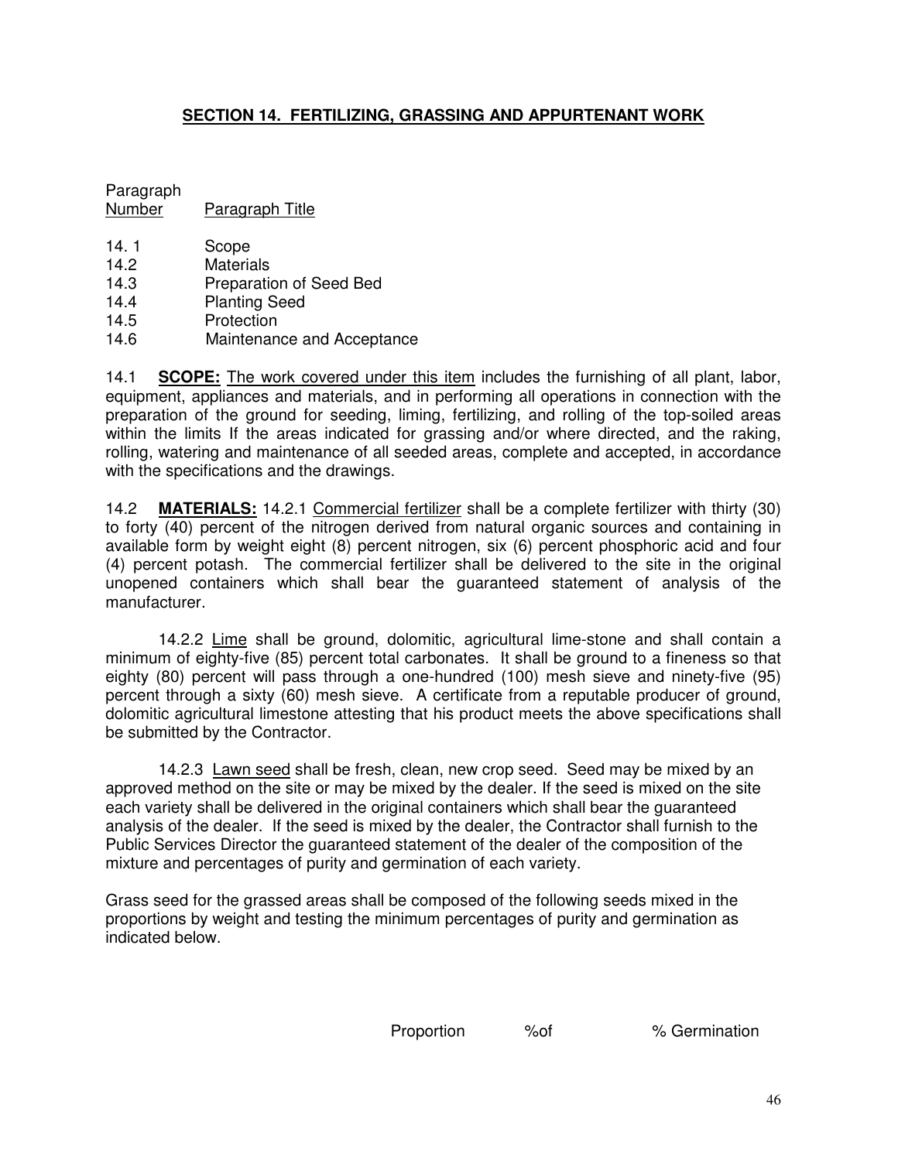# **SECTION 14. FERTILIZING, GRASSING AND APPURTENANT WORK**

Paragraph Number Paragraph Title

- 14.1 Scope
- 14.2 Materials
- 14.3 Preparation of Seed Bed
- 14.4 Planting Seed
- 14.5 Protection<br>14.6 Maintenan
- Maintenance and Acceptance

14.1 **SCOPE:** The work covered under this item includes the furnishing of all plant, labor, equipment, appliances and materials, and in performing all operations in connection with the preparation of the ground for seeding, liming, fertilizing, and rolling of the top-soiled areas within the limits If the areas indicated for grassing and/or where directed, and the raking, rolling, watering and maintenance of all seeded areas, complete and accepted, in accordance with the specifications and the drawings.

14.2 **MATERIALS:** 14.2.1 Commercial fertilizer shall be a complete fertilizer with thirty (30) to forty (40) percent of the nitrogen derived from natural organic sources and containing in available form by weight eight (8) percent nitrogen, six (6) percent phosphoric acid and four (4) percent potash. The commercial fertilizer shall be delivered to the site in the original unopened containers which shall bear the guaranteed statement of analysis of the manufacturer.

14.2.2 Lime shall be ground, dolomitic, agricultural lime-stone and shall contain a minimum of eighty-five (85) percent total carbonates. It shall be ground to a fineness so that eighty (80) percent will pass through a one-hundred (100) mesh sieve and ninety-five (95) percent through a sixty (60) mesh sieve. A certificate from a reputable producer of ground, dolomitic agricultural limestone attesting that his product meets the above specifications shall be submitted by the Contractor.

14.2.3 Lawn seed shall be fresh, clean, new crop seed. Seed may be mixed by an approved method on the site or may be mixed by the dealer. If the seed is mixed on the site each variety shall be delivered in the original containers which shall bear the guaranteed analysis of the dealer. If the seed is mixed by the dealer, the Contractor shall furnish to the Public Services Director the guaranteed statement of the dealer of the composition of the mixture and percentages of purity and germination of each variety.

Grass seed for the grassed areas shall be composed of the following seeds mixed in the proportions by weight and testing the minimum percentages of purity and germination as indicated below.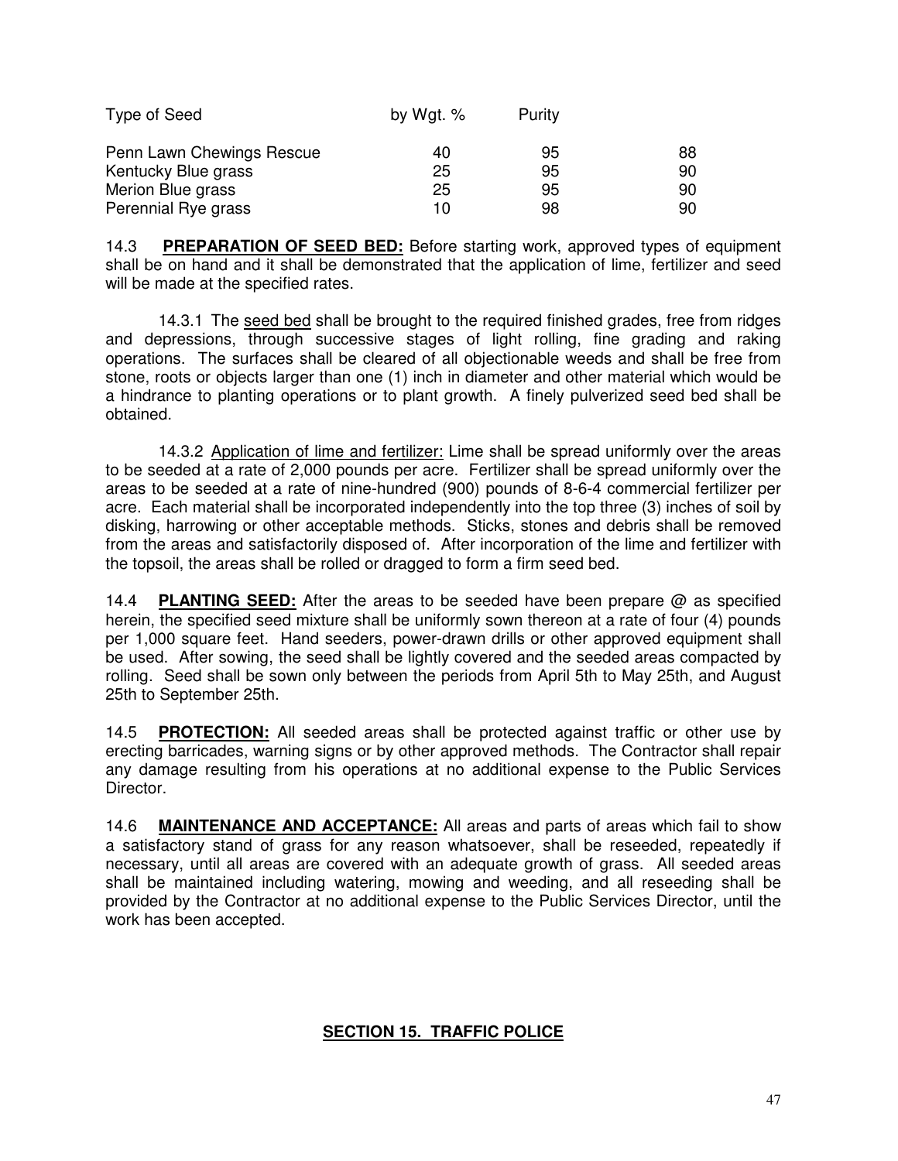| Type of Seed              | by Wgt. $%$ | Purity |    |
|---------------------------|-------------|--------|----|
| Penn Lawn Chewings Rescue | 40          | 95     | 88 |
| Kentucky Blue grass       | 25          | 95     | 90 |
| Merion Blue grass         | 25          | 95     | 90 |
| Perennial Rye grass       | 10          | 98     | 90 |

14.3 **PREPARATION OF SEED BED:** Before starting work, approved types of equipment shall be on hand and it shall be demonstrated that the application of lime, fertilizer and seed will be made at the specified rates.

14.3.1 The seed bed shall be brought to the required finished grades, free from ridges and depressions, through successive stages of light rolling, fine grading and raking operations. The surfaces shall be cleared of all objectionable weeds and shall be free from stone, roots or objects larger than one (1) inch in diameter and other material which would be a hindrance to planting operations or to plant growth. A finely pulverized seed bed shall be obtained.

14.3.2 Application of lime and fertilizer: Lime shall be spread uniformly over the areas to be seeded at a rate of 2,000 pounds per acre. Fertilizer shall be spread uniformly over the areas to be seeded at a rate of nine-hundred (900) pounds of 8-6-4 commercial fertilizer per acre. Each material shall be incorporated independently into the top three (3) inches of soil by disking, harrowing or other acceptable methods. Sticks, stones and debris shall be removed from the areas and satisfactorily disposed of. After incorporation of the lime and fertilizer with the topsoil, the areas shall be rolled or dragged to form a firm seed bed.

14.4 **PLANTING SEED:** After the areas to be seeded have been prepare @ as specified herein, the specified seed mixture shall be uniformly sown thereon at a rate of four (4) pounds per 1,000 square feet. Hand seeders, power-drawn drills or other approved equipment shall be used. After sowing, the seed shall be lightly covered and the seeded areas compacted by rolling. Seed shall be sown only between the periods from April 5th to May 25th, and August 25th to September 25th.

14.5 **PROTECTION:** All seeded areas shall be protected against traffic or other use by erecting barricades, warning signs or by other approved methods. The Contractor shall repair any damage resulting from his operations at no additional expense to the Public Services Director.

14.6 **MAINTENANCE AND ACCEPTANCE:** All areas and parts of areas which fail to show a satisfactory stand of grass for any reason whatsoever, shall be reseeded, repeatedly if necessary, until all areas are covered with an adequate growth of grass. All seeded areas shall be maintained including watering, mowing and weeding, and all reseeding shall be provided by the Contractor at no additional expense to the Public Services Director, until the work has been accepted.

# **SECTION 15. TRAFFIC POLICE**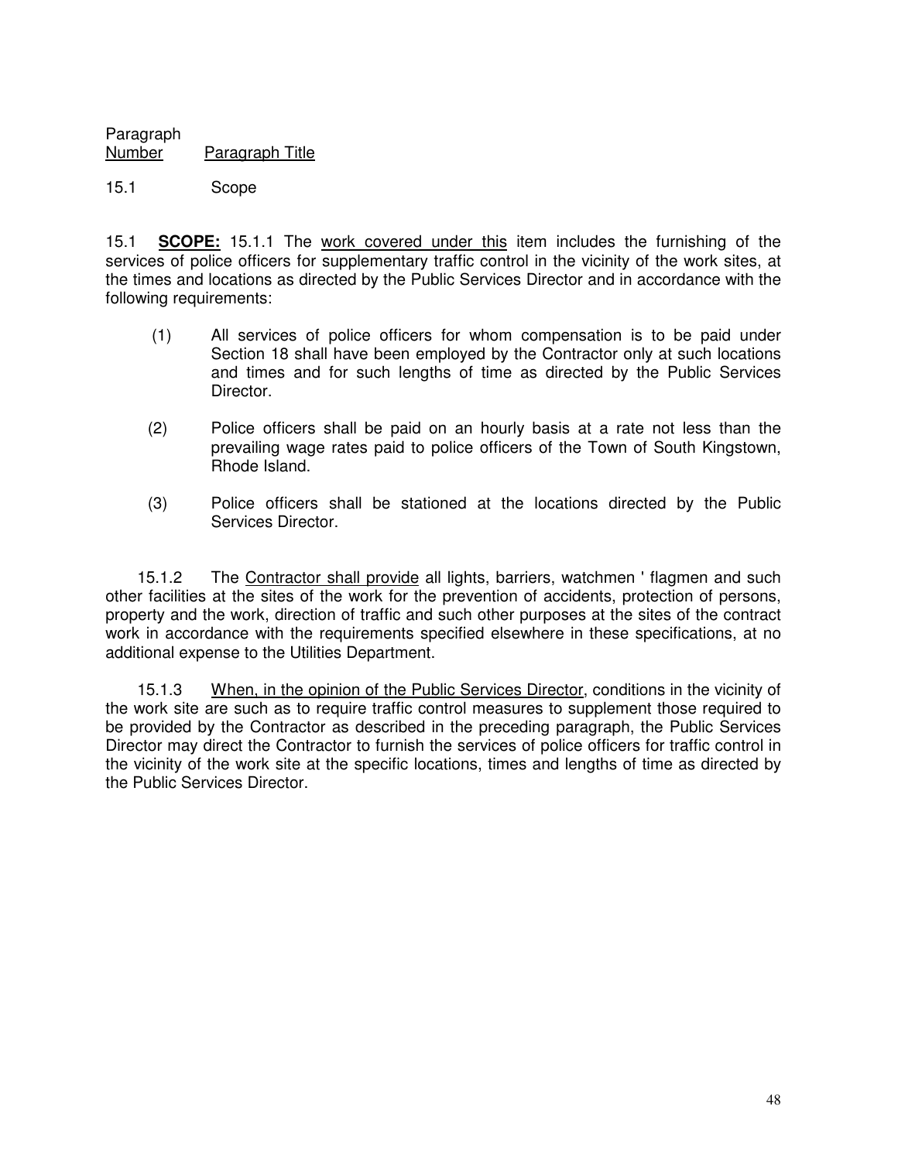Paragraph Paragraph Title

## 15.1 Scope

15.1 **SCOPE:** 15.1.1 The work covered under this item includes the furnishing of the services of police officers for supplementary traffic control in the vicinity of the work sites, at the times and locations as directed by the Public Services Director and in accordance with the following requirements:

- (1) All services of police officers for whom compensation is to be paid under Section 18 shall have been employed by the Contractor only at such locations and times and for such lengths of time as directed by the Public Services Director.
- (2) Police officers shall be paid on an hourly basis at a rate not less than the prevailing wage rates paid to police officers of the Town of South Kingstown, Rhode Island.
- (3) Police officers shall be stationed at the locations directed by the Public Services Director.

15.1.2 The Contractor shall provide all lights, barriers, watchmen ' flagmen and such other facilities at the sites of the work for the prevention of accidents, protection of persons, property and the work, direction of traffic and such other purposes at the sites of the contract work in accordance with the requirements specified elsewhere in these specifications, at no additional expense to the Utilities Department.

15.1.3 When, in the opinion of the Public Services Director, conditions in the vicinity of the work site are such as to require traffic control measures to supplement those required to be provided by the Contractor as described in the preceding paragraph, the Public Services Director may direct the Contractor to furnish the services of police officers for traffic control in the vicinity of the work site at the specific locations, times and lengths of time as directed by the Public Services Director.